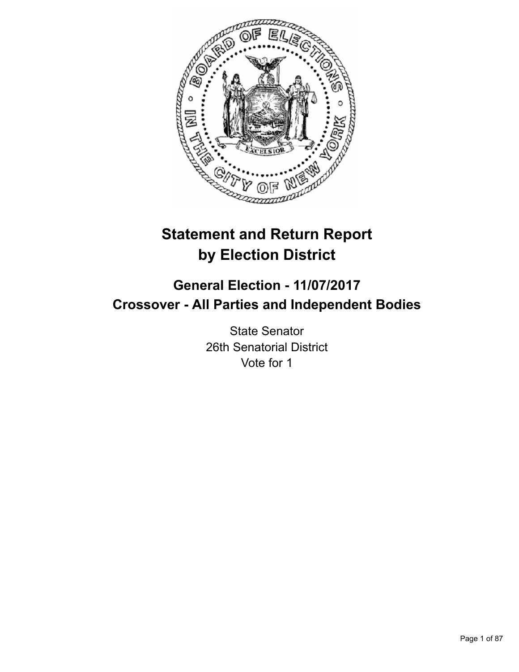

# **Statement and Return Report by Election District**

# **General Election - 11/07/2017 Crossover - All Parties and Independent Bodies**

State Senator 26th Senatorial District Vote for 1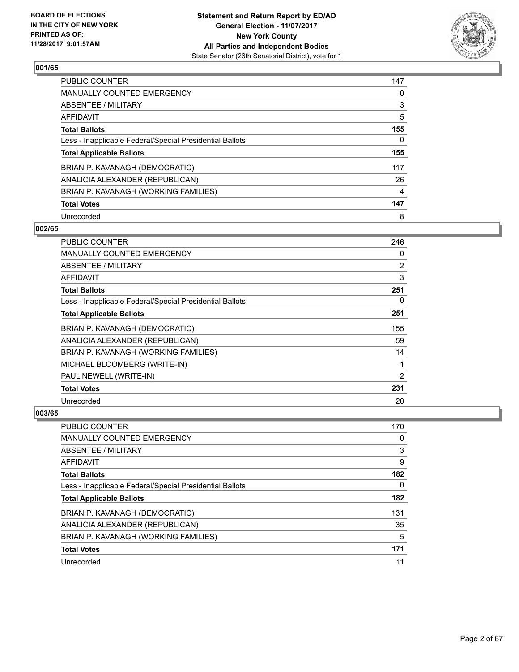

| <b>PUBLIC COUNTER</b>                                    | 147 |
|----------------------------------------------------------|-----|
| MANUALLY COUNTED EMERGENCY                               | 0   |
| ABSENTEE / MILITARY                                      | 3   |
| AFFIDAVIT                                                | 5   |
| <b>Total Ballots</b>                                     | 155 |
| Less - Inapplicable Federal/Special Presidential Ballots | 0   |
| <b>Total Applicable Ballots</b>                          | 155 |
| BRIAN P. KAVANAGH (DEMOCRATIC)                           | 117 |
| ANALICIA ALEXANDER (REPUBLICAN)                          | 26  |
| BRIAN P. KAVANAGH (WORKING FAMILIES)                     | 4   |
| <b>Total Votes</b>                                       | 147 |
| Unrecorded                                               | 8   |

#### **002/65**

| <b>PUBLIC COUNTER</b>                                    | 246 |
|----------------------------------------------------------|-----|
| MANUALLY COUNTED EMERGENCY                               | 0   |
| ABSENTEE / MILITARY                                      | 2   |
| AFFIDAVIT                                                | 3   |
| <b>Total Ballots</b>                                     | 251 |
| Less - Inapplicable Federal/Special Presidential Ballots | 0   |
| <b>Total Applicable Ballots</b>                          | 251 |
| BRIAN P. KAVANAGH (DEMOCRATIC)                           | 155 |
| ANALICIA ALEXANDER (REPUBLICAN)                          | 59  |
| BRIAN P. KAVANAGH (WORKING FAMILIES)                     | 14  |
| MICHAEL BLOOMBERG (WRITE-IN)                             | 1   |
| PAUL NEWELL (WRITE-IN)                                   | 2   |
| <b>Total Votes</b>                                       | 231 |
| Unrecorded                                               | 20  |

| <b>PUBLIC COUNTER</b>                                    | 170 |
|----------------------------------------------------------|-----|
| <b>MANUALLY COUNTED EMERGENCY</b>                        | 0   |
| ABSENTEE / MILITARY                                      | 3   |
| AFFIDAVIT                                                | 9   |
| <b>Total Ballots</b>                                     | 182 |
| Less - Inapplicable Federal/Special Presidential Ballots | 0   |
| <b>Total Applicable Ballots</b>                          | 182 |
| BRIAN P. KAVANAGH (DEMOCRATIC)                           | 131 |
| ANALICIA ALEXANDER (REPUBLICAN)                          | 35  |
| BRIAN P. KAVANAGH (WORKING FAMILIES)                     | 5   |
| <b>Total Votes</b>                                       | 171 |
| Unrecorded                                               | 11  |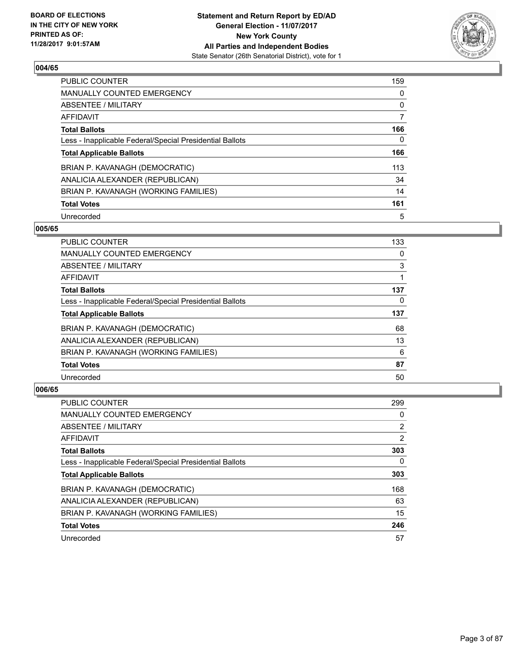

| <b>PUBLIC COUNTER</b>                                    | 159 |
|----------------------------------------------------------|-----|
| <b>MANUALLY COUNTED EMERGENCY</b>                        | 0   |
| ABSENTEE / MILITARY                                      | 0   |
| AFFIDAVIT                                                | 7   |
| <b>Total Ballots</b>                                     | 166 |
| Less - Inapplicable Federal/Special Presidential Ballots | 0   |
| <b>Total Applicable Ballots</b>                          | 166 |
| BRIAN P. KAVANAGH (DEMOCRATIC)                           | 113 |
| ANALICIA ALEXANDER (REPUBLICAN)                          | 34  |
| BRIAN P. KAVANAGH (WORKING FAMILIES)                     | 14  |
| <b>Total Votes</b>                                       | 161 |
| Unrecorded                                               | 5   |

#### **005/65**

| <b>PUBLIC COUNTER</b>                                    | 133 |
|----------------------------------------------------------|-----|
| <b>MANUALLY COUNTED EMERGENCY</b>                        | 0   |
| ABSENTEE / MILITARY                                      | 3   |
| <b>AFFIDAVIT</b>                                         |     |
| <b>Total Ballots</b>                                     | 137 |
| Less - Inapplicable Federal/Special Presidential Ballots | 0   |
| <b>Total Applicable Ballots</b>                          | 137 |
| BRIAN P. KAVANAGH (DEMOCRATIC)                           | 68  |
| ANALICIA ALEXANDER (REPUBLICAN)                          | 13  |
| BRIAN P. KAVANAGH (WORKING FAMILIES)                     | 6   |
| <b>Total Votes</b>                                       | 87  |
| Unrecorded                                               | 50  |

| PUBLIC COUNTER                                           | 299            |
|----------------------------------------------------------|----------------|
| <b>MANUALLY COUNTED EMERGENCY</b>                        | 0              |
| ABSENTEE / MILITARY                                      | $\overline{2}$ |
| AFFIDAVIT                                                | $\overline{2}$ |
| <b>Total Ballots</b>                                     | 303            |
| Less - Inapplicable Federal/Special Presidential Ballots | 0              |
| <b>Total Applicable Ballots</b>                          | 303            |
| BRIAN P. KAVANAGH (DEMOCRATIC)                           | 168            |
| ANALICIA ALEXANDER (REPUBLICAN)                          | 63             |
| BRIAN P. KAVANAGH (WORKING FAMILIES)                     | 15             |
| <b>Total Votes</b>                                       | 246            |
| Unrecorded                                               | 57             |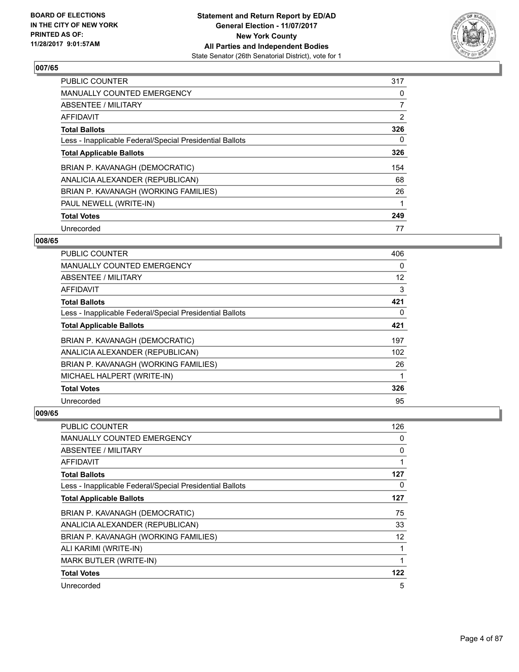

| PUBLIC COUNTER                                           | 317 |
|----------------------------------------------------------|-----|
| <b>MANUALLY COUNTED EMERGENCY</b>                        | 0   |
| ABSENTEE / MILITARY                                      | 7   |
| AFFIDAVIT                                                | 2   |
| <b>Total Ballots</b>                                     | 326 |
| Less - Inapplicable Federal/Special Presidential Ballots | 0   |
| <b>Total Applicable Ballots</b>                          | 326 |
| BRIAN P. KAVANAGH (DEMOCRATIC)                           | 154 |
| ANALICIA ALEXANDER (REPUBLICAN)                          | 68  |
| BRIAN P. KAVANAGH (WORKING FAMILIES)                     | 26  |
| PAUL NEWELL (WRITE-IN)                                   | 1   |
| <b>Total Votes</b>                                       | 249 |
| Unrecorded                                               | 77  |

# **008/65**

| <b>PUBLIC COUNTER</b>                                    | 406 |
|----------------------------------------------------------|-----|
| MANUALLY COUNTED EMERGENCY                               | 0   |
| ABSENTEE / MILITARY                                      | 12  |
| AFFIDAVIT                                                | 3   |
| <b>Total Ballots</b>                                     | 421 |
| Less - Inapplicable Federal/Special Presidential Ballots | 0   |
| <b>Total Applicable Ballots</b>                          | 421 |
| BRIAN P. KAVANAGH (DEMOCRATIC)                           | 197 |
| ANALICIA ALEXANDER (REPUBLICAN)                          | 102 |
| BRIAN P. KAVANAGH (WORKING FAMILIES)                     | 26  |
| MICHAEL HALPERT (WRITE-IN)                               |     |
| <b>Total Votes</b>                                       | 326 |
| Unrecorded                                               | 95  |

| PUBLIC COUNTER                                           | 126 |
|----------------------------------------------------------|-----|
| MANUALLY COUNTED EMERGENCY                               | 0   |
| ABSENTEE / MILITARY                                      | 0   |
| AFFIDAVIT                                                |     |
| <b>Total Ballots</b>                                     | 127 |
| Less - Inapplicable Federal/Special Presidential Ballots | 0   |
| <b>Total Applicable Ballots</b>                          | 127 |
| BRIAN P. KAVANAGH (DEMOCRATIC)                           | 75  |
| ANALICIA ALEXANDER (REPUBLICAN)                          | 33  |
| BRIAN P. KAVANAGH (WORKING FAMILIES)                     | 12  |
| ALI KARIMI (WRITE-IN)                                    | 1   |
| <b>MARK BUTLER (WRITE-IN)</b>                            |     |
| <b>Total Votes</b>                                       | 122 |
| Unrecorded                                               | 5   |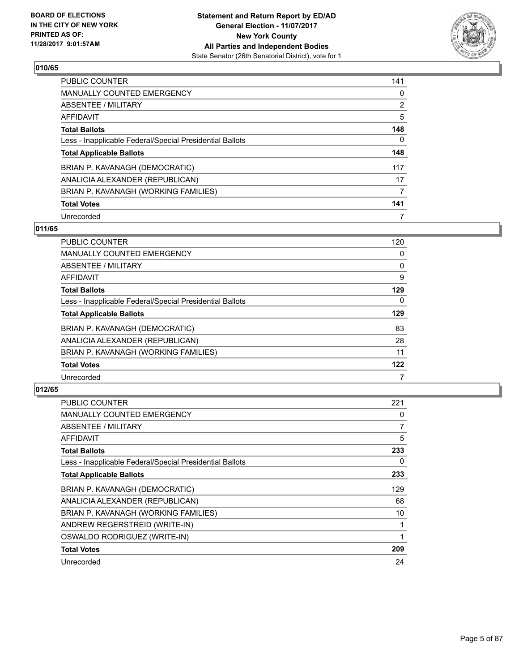

| <b>PUBLIC COUNTER</b>                                    | 141            |
|----------------------------------------------------------|----------------|
| <b>MANUALLY COUNTED EMERGENCY</b>                        | 0              |
| ABSENTEE / MILITARY                                      | $\overline{2}$ |
| AFFIDAVIT                                                | 5              |
| <b>Total Ballots</b>                                     | 148            |
| Less - Inapplicable Federal/Special Presidential Ballots | 0              |
| <b>Total Applicable Ballots</b>                          | 148            |
| BRIAN P. KAVANAGH (DEMOCRATIC)                           | 117            |
| ANALICIA ALEXANDER (REPUBLICAN)                          | 17             |
| BRIAN P. KAVANAGH (WORKING FAMILIES)                     | 7              |
| <b>Total Votes</b>                                       | 141            |
| Unrecorded                                               |                |

## **011/65**

| <b>PUBLIC COUNTER</b>                                    | 120 |
|----------------------------------------------------------|-----|
| <b>MANUALLY COUNTED EMERGENCY</b>                        | 0   |
| ABSENTEE / MILITARY                                      | 0   |
| <b>AFFIDAVIT</b>                                         | 9   |
| <b>Total Ballots</b>                                     | 129 |
| Less - Inapplicable Federal/Special Presidential Ballots | 0   |
| <b>Total Applicable Ballots</b>                          | 129 |
| BRIAN P. KAVANAGH (DEMOCRATIC)                           | 83  |
| ANALICIA ALEXANDER (REPUBLICAN)                          | 28  |
| BRIAN P. KAVANAGH (WORKING FAMILIES)                     | 11  |
| <b>Total Votes</b>                                       | 122 |
| Unrecorded                                               |     |

| PUBLIC COUNTER                                           | 221 |
|----------------------------------------------------------|-----|
| <b>MANUALLY COUNTED EMERGENCY</b>                        | 0   |
| ABSENTEE / MILITARY                                      | 7   |
| AFFIDAVIT                                                | 5   |
| <b>Total Ballots</b>                                     | 233 |
| Less - Inapplicable Federal/Special Presidential Ballots | 0   |
| <b>Total Applicable Ballots</b>                          | 233 |
| BRIAN P. KAVANAGH (DEMOCRATIC)                           | 129 |
| ANALICIA ALEXANDER (REPUBLICAN)                          | 68  |
| BRIAN P. KAVANAGH (WORKING FAMILIES)                     | 10  |
| ANDREW REGERSTREID (WRITE-IN)                            |     |
| OSWALDO RODRIGUEZ (WRITE-IN)                             |     |
| <b>Total Votes</b>                                       | 209 |
| Unrecorded                                               | 24  |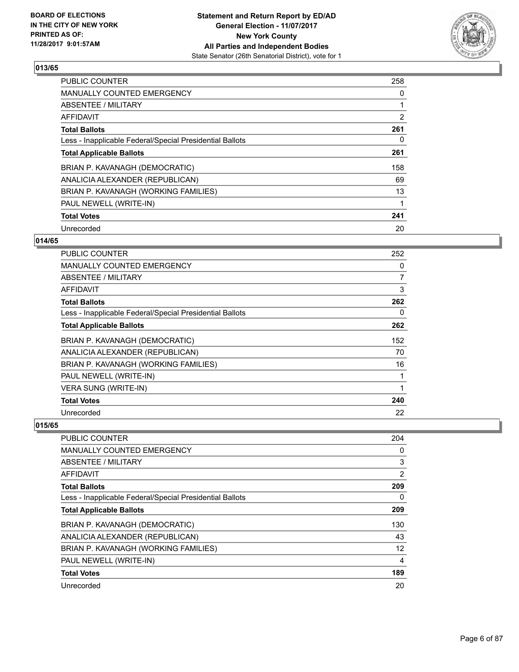

| <b>PUBLIC COUNTER</b>                                    | 258            |
|----------------------------------------------------------|----------------|
| <b>MANUALLY COUNTED EMERGENCY</b>                        | 0              |
| ABSENTEE / MILITARY                                      |                |
| AFFIDAVIT                                                | $\overline{2}$ |
| <b>Total Ballots</b>                                     | 261            |
| Less - Inapplicable Federal/Special Presidential Ballots | 0              |
| <b>Total Applicable Ballots</b>                          | 261            |
| BRIAN P. KAVANAGH (DEMOCRATIC)                           | 158            |
| ANALICIA ALEXANDER (REPUBLICAN)                          | 69             |
| BRIAN P. KAVANAGH (WORKING FAMILIES)                     | 13             |
| PAUL NEWELL (WRITE-IN)                                   | 1              |
| <b>Total Votes</b>                                       | 241            |
| Unrecorded                                               | 20             |

# **014/65**

| PUBLIC COUNTER                                           | 252 |
|----------------------------------------------------------|-----|
| <b>MANUALLY COUNTED EMERGENCY</b>                        | 0   |
| ABSENTEE / MILITARY                                      | 7   |
| <b>AFFIDAVIT</b>                                         | 3   |
| <b>Total Ballots</b>                                     | 262 |
| Less - Inapplicable Federal/Special Presidential Ballots | 0   |
| <b>Total Applicable Ballots</b>                          | 262 |
| BRIAN P. KAVANAGH (DEMOCRATIC)                           | 152 |
| ANALICIA ALEXANDER (REPUBLICAN)                          | 70  |
| BRIAN P. KAVANAGH (WORKING FAMILIES)                     | 16  |
| PAUL NEWELL (WRITE-IN)                                   | 1   |
| <b>VERA SUNG (WRITE-IN)</b>                              | 1   |
| <b>Total Votes</b>                                       | 240 |
| Unrecorded                                               | 22  |

| PUBLIC COUNTER                                           | 204 |
|----------------------------------------------------------|-----|
| MANUALLY COUNTED EMERGENCY                               | 0   |
| ABSENTEE / MILITARY                                      | 3   |
| AFFIDAVIT                                                | 2   |
| <b>Total Ballots</b>                                     | 209 |
| Less - Inapplicable Federal/Special Presidential Ballots | 0   |
| <b>Total Applicable Ballots</b>                          | 209 |
| BRIAN P. KAVANAGH (DEMOCRATIC)                           | 130 |
| ANALICIA ALEXANDER (REPUBLICAN)                          | 43  |
| BRIAN P. KAVANAGH (WORKING FAMILIES)                     | 12  |
| PAUL NEWELL (WRITE-IN)                                   | 4   |
| <b>Total Votes</b>                                       | 189 |
| Unrecorded                                               | 20  |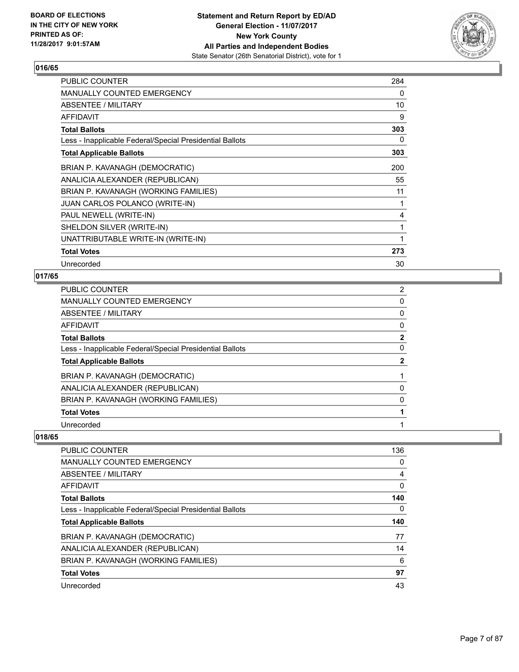

| <b>PUBLIC COUNTER</b>                                    | 284 |
|----------------------------------------------------------|-----|
| <b>MANUALLY COUNTED EMERGENCY</b>                        | 0   |
| ABSENTEE / MILITARY                                      | 10  |
| AFFIDAVIT                                                | 9   |
| <b>Total Ballots</b>                                     | 303 |
| Less - Inapplicable Federal/Special Presidential Ballots | 0   |
| <b>Total Applicable Ballots</b>                          | 303 |
| BRIAN P. KAVANAGH (DEMOCRATIC)                           | 200 |
| ANALICIA ALEXANDER (REPUBLICAN)                          | 55  |
| BRIAN P. KAVANAGH (WORKING FAMILIES)                     | 11  |
| <b>JUAN CARLOS POLANCO (WRITE-IN)</b>                    |     |
| PAUL NEWELL (WRITE-IN)                                   | 4   |
| SHELDON SILVER (WRITE-IN)                                | 1   |
| UNATTRIBUTABLE WRITE-IN (WRITE-IN)                       |     |
| <b>Total Votes</b>                                       | 273 |
| Unrecorded                                               | 30  |

# **017/65**

| PUBLIC COUNTER                                           | $\overline{2}$ |
|----------------------------------------------------------|----------------|
| <b>MANUALLY COUNTED EMERGENCY</b>                        | 0              |
| ABSENTEE / MILITARY                                      | 0              |
| AFFIDAVIT                                                | 0              |
| <b>Total Ballots</b>                                     | $\mathbf{2}$   |
| Less - Inapplicable Federal/Special Presidential Ballots | 0              |
| <b>Total Applicable Ballots</b>                          | 2              |
| BRIAN P. KAVANAGH (DEMOCRATIC)                           |                |
| ANALICIA ALEXANDER (REPUBLICAN)                          | 0              |
| BRIAN P. KAVANAGH (WORKING FAMILIES)                     | 0              |
| <b>Total Votes</b>                                       |                |
| Unrecorded                                               |                |

| <b>PUBLIC COUNTER</b>                                    | 136 |
|----------------------------------------------------------|-----|
| <b>MANUALLY COUNTED EMERGENCY</b>                        | 0   |
| ABSENTEE / MILITARY                                      | 4   |
| AFFIDAVIT                                                | 0   |
| <b>Total Ballots</b>                                     | 140 |
| Less - Inapplicable Federal/Special Presidential Ballots | 0   |
| <b>Total Applicable Ballots</b>                          | 140 |
| BRIAN P. KAVANAGH (DEMOCRATIC)                           | 77  |
| ANALICIA ALEXANDER (REPUBLICAN)                          | 14  |
| BRIAN P. KAVANAGH (WORKING FAMILIES)                     | 6   |
| <b>Total Votes</b>                                       | 97  |
| Unrecorded                                               | 43  |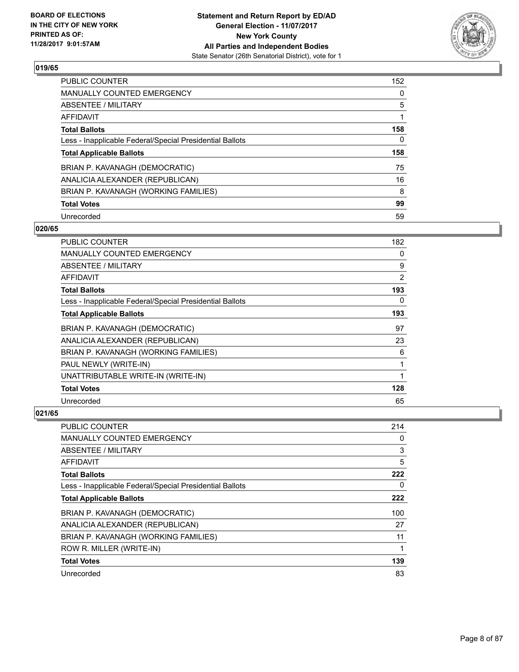

| <b>PUBLIC COUNTER</b>                                    | 152 |
|----------------------------------------------------------|-----|
| MANUALLY COUNTED EMERGENCY                               | 0   |
| ABSENTEE / MILITARY                                      | 5   |
| AFFIDAVIT                                                |     |
| <b>Total Ballots</b>                                     | 158 |
| Less - Inapplicable Federal/Special Presidential Ballots | 0   |
| <b>Total Applicable Ballots</b>                          | 158 |
| BRIAN P. KAVANAGH (DEMOCRATIC)                           | 75  |
| ANALICIA ALEXANDER (REPUBLICAN)                          | 16  |
| BRIAN P. KAVANAGH (WORKING FAMILIES)                     | 8   |
| <b>Total Votes</b>                                       | 99  |
|                                                          | 59  |

#### **020/65**

| PUBLIC COUNTER                                           | 182            |
|----------------------------------------------------------|----------------|
| <b>MANUALLY COUNTED EMERGENCY</b>                        | 0              |
| ABSENTEE / MILITARY                                      | 9              |
| AFFIDAVIT                                                | $\overline{2}$ |
| <b>Total Ballots</b>                                     | 193            |
| Less - Inapplicable Federal/Special Presidential Ballots | 0              |
| <b>Total Applicable Ballots</b>                          | 193            |
| BRIAN P. KAVANAGH (DEMOCRATIC)                           | 97             |
| ANALICIA ALEXANDER (REPUBLICAN)                          | 23             |
| BRIAN P. KAVANAGH (WORKING FAMILIES)                     | 6              |
| PAUL NEWLY (WRITE-IN)                                    | 1              |
| UNATTRIBUTABLE WRITE-IN (WRITE-IN)                       | 1              |
| <b>Total Votes</b>                                       | 128            |
| Unrecorded                                               | 65             |

| PUBLIC COUNTER                                           | 214 |
|----------------------------------------------------------|-----|
| MANUALLY COUNTED EMERGENCY                               | 0   |
| ABSENTEE / MILITARY                                      | 3   |
| AFFIDAVIT                                                | 5   |
| <b>Total Ballots</b>                                     | 222 |
| Less - Inapplicable Federal/Special Presidential Ballots | 0   |
| <b>Total Applicable Ballots</b>                          | 222 |
| BRIAN P. KAVANAGH (DEMOCRATIC)                           | 100 |
| ANALICIA ALEXANDER (REPUBLICAN)                          | 27  |
| BRIAN P. KAVANAGH (WORKING FAMILIES)                     | 11  |
| ROW R. MILLER (WRITE-IN)                                 | 1   |
| <b>Total Votes</b>                                       | 139 |
| Unrecorded                                               | 83  |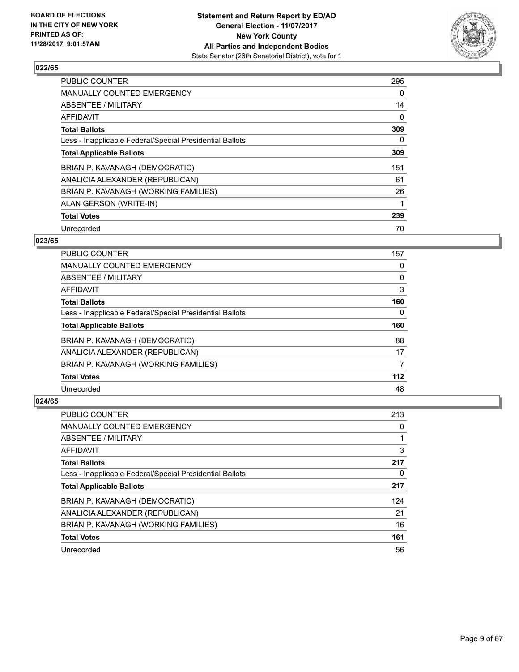

| PUBLIC COUNTER                                           | 295 |
|----------------------------------------------------------|-----|
| MANUALLY COUNTED EMERGENCY                               | 0   |
| ABSENTEE / MILITARY                                      | 14  |
| AFFIDAVIT                                                | 0   |
| <b>Total Ballots</b>                                     | 309 |
| Less - Inapplicable Federal/Special Presidential Ballots | 0   |
| <b>Total Applicable Ballots</b>                          | 309 |
| BRIAN P. KAVANAGH (DEMOCRATIC)                           | 151 |
| ANALICIA ALEXANDER (REPUBLICAN)                          | 61  |
| BRIAN P. KAVANAGH (WORKING FAMILIES)                     | 26  |
| ALAN GERSON (WRITE-IN)                                   |     |
| <b>Total Votes</b>                                       | 239 |
| Unrecorded                                               | 70  |

# **023/65**

| <b>PUBLIC COUNTER</b>                                    | 157 |
|----------------------------------------------------------|-----|
| <b>MANUALLY COUNTED EMERGENCY</b>                        | 0   |
| ABSENTEE / MILITARY                                      | 0   |
| <b>AFFIDAVIT</b>                                         | 3   |
| <b>Total Ballots</b>                                     | 160 |
| Less - Inapplicable Federal/Special Presidential Ballots | 0   |
| <b>Total Applicable Ballots</b>                          | 160 |
| BRIAN P. KAVANAGH (DEMOCRATIC)                           | 88  |
| ANALICIA ALEXANDER (REPUBLICAN)                          | 17  |
| BRIAN P. KAVANAGH (WORKING FAMILIES)                     | 7   |
| <b>Total Votes</b>                                       | 112 |
| Unrecorded                                               | 48  |

| PUBLIC COUNTER                                           | 213 |
|----------------------------------------------------------|-----|
| <b>MANUALLY COUNTED EMERGENCY</b>                        | 0   |
| ABSENTEE / MILITARY                                      |     |
| AFFIDAVIT                                                | 3   |
| <b>Total Ballots</b>                                     | 217 |
| Less - Inapplicable Federal/Special Presidential Ballots | 0   |
| <b>Total Applicable Ballots</b>                          | 217 |
| BRIAN P. KAVANAGH (DEMOCRATIC)                           | 124 |
| ANALICIA ALEXANDER (REPUBLICAN)                          | 21  |
| BRIAN P. KAVANAGH (WORKING FAMILIES)                     | 16  |
| <b>Total Votes</b>                                       | 161 |
|                                                          |     |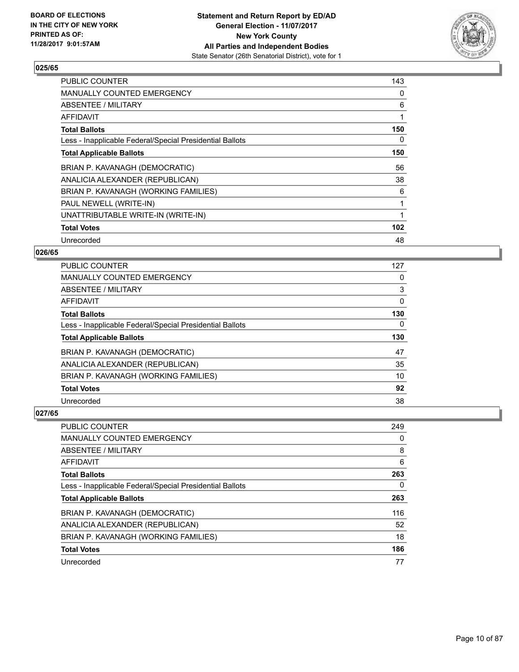

| <b>PUBLIC COUNTER</b>                                    | 143 |
|----------------------------------------------------------|-----|
| MANUALLY COUNTED EMERGENCY                               | 0   |
| ABSENTEE / MILITARY                                      | 6   |
| AFFIDAVIT                                                | 1   |
| <b>Total Ballots</b>                                     | 150 |
| Less - Inapplicable Federal/Special Presidential Ballots | 0   |
| <b>Total Applicable Ballots</b>                          | 150 |
| BRIAN P. KAVANAGH (DEMOCRATIC)                           | 56  |
| ANALICIA ALEXANDER (REPUBLICAN)                          | 38  |
| BRIAN P. KAVANAGH (WORKING FAMILIES)                     | 6   |
| PAUL NEWELL (WRITE-IN)                                   |     |
| UNATTRIBUTABLE WRITE-IN (WRITE-IN)                       |     |
| <b>Total Votes</b>                                       | 102 |
| Unrecorded                                               | 48  |

# **026/65**

| PUBLIC COUNTER                                           | 127      |
|----------------------------------------------------------|----------|
| MANUALLY COUNTED EMERGENCY                               | 0        |
| ABSENTEE / MILITARY                                      | 3        |
| AFFIDAVIT                                                | 0        |
| <b>Total Ballots</b>                                     | 130      |
| Less - Inapplicable Federal/Special Presidential Ballots | $\Omega$ |
| <b>Total Applicable Ballots</b>                          | 130      |
| BRIAN P. KAVANAGH (DEMOCRATIC)                           | 47       |
| ANALICIA ALEXANDER (REPUBLICAN)                          | 35       |
| BRIAN P. KAVANAGH (WORKING FAMILIES)                     | 10       |
| <b>Total Votes</b>                                       | 92       |
| Unrecorded                                               | 38       |

| <b>PUBLIC COUNTER</b>                                    | 249 |
|----------------------------------------------------------|-----|
| <b>MANUALLY COUNTED EMERGENCY</b>                        | 0   |
| ABSENTEE / MILITARY                                      | 8   |
| AFFIDAVIT                                                | 6   |
| <b>Total Ballots</b>                                     | 263 |
| Less - Inapplicable Federal/Special Presidential Ballots | 0   |
| <b>Total Applicable Ballots</b>                          | 263 |
| BRIAN P. KAVANAGH (DEMOCRATIC)                           | 116 |
| ANALICIA ALEXANDER (REPUBLICAN)                          | 52  |
|                                                          |     |
| BRIAN P. KAVANAGH (WORKING FAMILIES)                     | 18  |
| <b>Total Votes</b>                                       | 186 |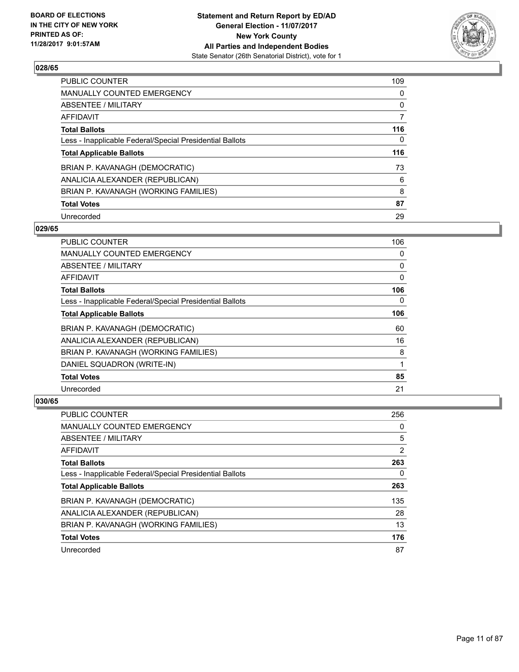

| <b>PUBLIC COUNTER</b>                                    | 109 |
|----------------------------------------------------------|-----|
| MANUALLY COUNTED EMERGENCY                               | 0   |
| ABSENTEE / MILITARY                                      | 0   |
| AFFIDAVIT                                                | 7   |
| <b>Total Ballots</b>                                     | 116 |
| Less - Inapplicable Federal/Special Presidential Ballots | 0   |
| <b>Total Applicable Ballots</b>                          | 116 |
| BRIAN P. KAVANAGH (DEMOCRATIC)                           | 73  |
| ANALICIA ALEXANDER (REPUBLICAN)                          | 6   |
| BRIAN P. KAVANAGH (WORKING FAMILIES)                     | 8   |
| <b>Total Votes</b>                                       | 87  |
| Unrecorded                                               | 29  |

#### **029/65**

| <b>PUBLIC COUNTER</b>                                    | 106 |
|----------------------------------------------------------|-----|
| <b>MANUALLY COUNTED EMERGENCY</b>                        | 0   |
| ABSENTEE / MILITARY                                      | 0   |
| AFFIDAVIT                                                | 0   |
| <b>Total Ballots</b>                                     | 106 |
| Less - Inapplicable Federal/Special Presidential Ballots | 0   |
| <b>Total Applicable Ballots</b>                          | 106 |
| BRIAN P. KAVANAGH (DEMOCRATIC)                           | 60  |
| ANALICIA ALEXANDER (REPUBLICAN)                          | 16  |
| BRIAN P. KAVANAGH (WORKING FAMILIES)                     | 8   |
| DANIEL SQUADRON (WRITE-IN)                               | 1   |
| <b>Total Votes</b>                                       | 85  |
| Unrecorded                                               | 21  |

| PUBLIC COUNTER                                           | 256 |
|----------------------------------------------------------|-----|
| <b>MANUALLY COUNTED EMERGENCY</b>                        | 0   |
| ABSENTEE / MILITARY                                      | 5   |
| AFFIDAVIT                                                | 2   |
| <b>Total Ballots</b>                                     | 263 |
| Less - Inapplicable Federal/Special Presidential Ballots | 0   |
| <b>Total Applicable Ballots</b>                          | 263 |
| BRIAN P. KAVANAGH (DEMOCRATIC)                           | 135 |
| ANALICIA ALEXANDER (REPUBLICAN)                          | 28  |
| BRIAN P. KAVANAGH (WORKING FAMILIES)                     | 13  |
|                                                          |     |
| <b>Total Votes</b>                                       | 176 |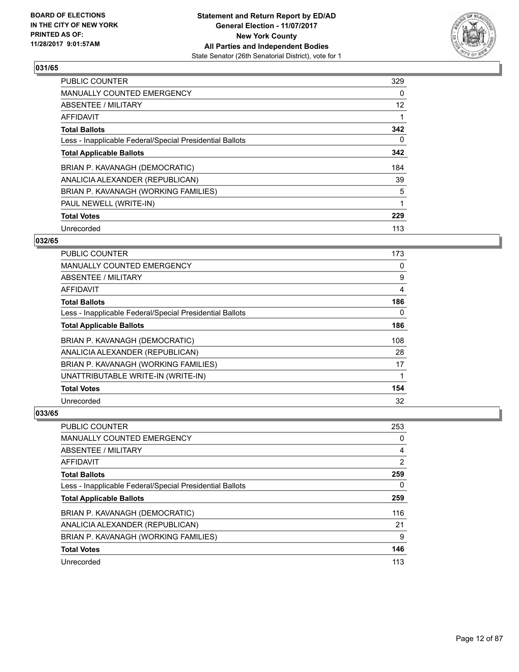

| <b>PUBLIC COUNTER</b>                                    | 329               |
|----------------------------------------------------------|-------------------|
| <b>MANUALLY COUNTED EMERGENCY</b>                        | 0                 |
| ABSENTEE / MILITARY                                      | $12 \overline{ }$ |
| AFFIDAVIT                                                |                   |
| <b>Total Ballots</b>                                     | 342               |
| Less - Inapplicable Federal/Special Presidential Ballots | 0                 |
| <b>Total Applicable Ballots</b>                          | 342               |
| BRIAN P. KAVANAGH (DEMOCRATIC)                           | 184               |
| ANALICIA ALEXANDER (REPUBLICAN)                          | 39                |
| BRIAN P. KAVANAGH (WORKING FAMILIES)                     | 5                 |
| PAUL NEWELL (WRITE-IN)                                   | 1                 |
| <b>Total Votes</b>                                       | 229               |
| Unrecorded                                               | 113               |

# **032/65**

| PUBLIC COUNTER                                           | 173 |
|----------------------------------------------------------|-----|
| MANUALLY COUNTED EMERGENCY                               | 0   |
| ABSENTEE / MILITARY                                      | 9   |
| AFFIDAVIT                                                | 4   |
| <b>Total Ballots</b>                                     | 186 |
| Less - Inapplicable Federal/Special Presidential Ballots | 0   |
| <b>Total Applicable Ballots</b>                          | 186 |
| BRIAN P. KAVANAGH (DEMOCRATIC)                           | 108 |
| ANALICIA ALEXANDER (REPUBLICAN)                          | 28  |
| BRIAN P. KAVANAGH (WORKING FAMILIES)                     | 17  |
| UNATTRIBUTABLE WRITE-IN (WRITE-IN)                       |     |
| <b>Total Votes</b>                                       | 154 |
| Unrecorded                                               | 32  |

| <b>PUBLIC COUNTER</b>                                    | 253 |
|----------------------------------------------------------|-----|
| <b>MANUALLY COUNTED EMERGENCY</b>                        | 0   |
| ABSENTEE / MILITARY                                      | 4   |
| AFFIDAVIT                                                | 2   |
| <b>Total Ballots</b>                                     | 259 |
| Less - Inapplicable Federal/Special Presidential Ballots | 0   |
| <b>Total Applicable Ballots</b>                          | 259 |
| BRIAN P. KAVANAGH (DEMOCRATIC)                           | 116 |
| ANALICIA ALEXANDER (REPUBLICAN)                          | 21  |
|                                                          |     |
| BRIAN P. KAVANAGH (WORKING FAMILIES)                     | 9   |
| <b>Total Votes</b>                                       | 146 |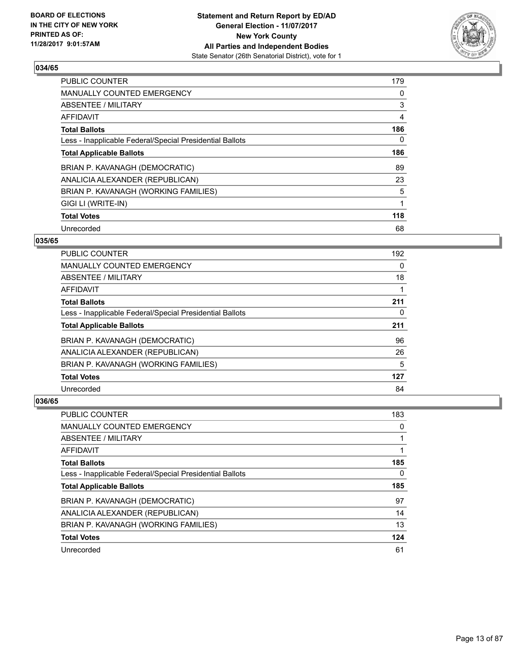

| <b>PUBLIC COUNTER</b>                                    | 179 |
|----------------------------------------------------------|-----|
| <b>MANUALLY COUNTED EMERGENCY</b>                        | 0   |
| ABSENTEE / MILITARY                                      | 3   |
| AFFIDAVIT                                                | 4   |
| <b>Total Ballots</b>                                     | 186 |
| Less - Inapplicable Federal/Special Presidential Ballots | 0   |
| <b>Total Applicable Ballots</b>                          | 186 |
| BRIAN P. KAVANAGH (DEMOCRATIC)                           | 89  |
| ANALICIA ALEXANDER (REPUBLICAN)                          | 23  |
| BRIAN P. KAVANAGH (WORKING FAMILIES)                     | 5   |
| GIGI LI (WRITE-IN)                                       |     |
| <b>Total Votes</b>                                       | 118 |
| Unrecorded                                               | 68  |

# **035/65**

| <b>PUBLIC COUNTER</b>                                    | 192 |
|----------------------------------------------------------|-----|
| <b>MANUALLY COUNTED EMERGENCY</b>                        | 0   |
| ABSENTEE / MILITARY                                      | 18  |
| <b>AFFIDAVIT</b>                                         |     |
| <b>Total Ballots</b>                                     | 211 |
| Less - Inapplicable Federal/Special Presidential Ballots | 0   |
| <b>Total Applicable Ballots</b>                          | 211 |
| BRIAN P. KAVANAGH (DEMOCRATIC)                           | 96  |
| ANALICIA ALEXANDER (REPUBLICAN)                          | 26  |
| BRIAN P. KAVANAGH (WORKING FAMILIES)                     | 5   |
| <b>Total Votes</b>                                       | 127 |
| Unrecorded                                               | 84  |

| PUBLIC COUNTER                                           | 183 |
|----------------------------------------------------------|-----|
| <b>MANUALLY COUNTED EMERGENCY</b>                        | 0   |
| ABSENTEE / MILITARY                                      |     |
| AFFIDAVIT                                                |     |
| <b>Total Ballots</b>                                     | 185 |
| Less - Inapplicable Federal/Special Presidential Ballots | 0   |
|                                                          |     |
| <b>Total Applicable Ballots</b>                          | 185 |
| BRIAN P. KAVANAGH (DEMOCRATIC)                           | 97  |
| ANALICIA ALEXANDER (REPUBLICAN)                          | 14  |
| BRIAN P. KAVANAGH (WORKING FAMILIES)                     | 13  |
| <b>Total Votes</b>                                       | 124 |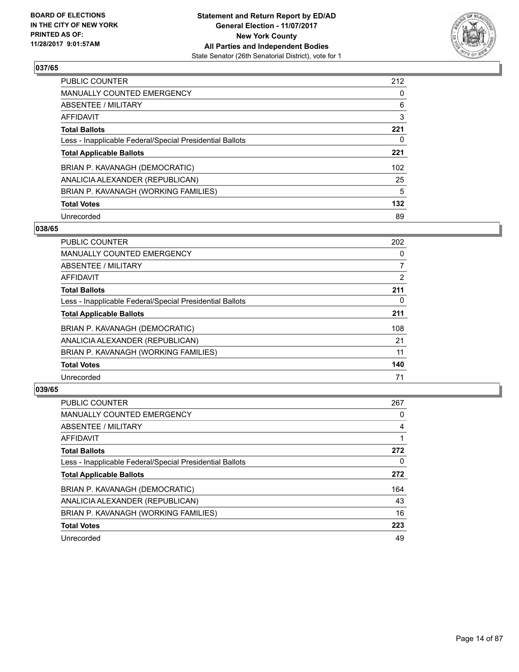

| PUBLIC COUNTER                                           | 212 |
|----------------------------------------------------------|-----|
| <b>MANUALLY COUNTED EMERGENCY</b>                        | 0   |
| ABSENTEE / MILITARY                                      | 6   |
| AFFIDAVIT                                                | 3   |
| <b>Total Ballots</b>                                     | 221 |
| Less - Inapplicable Federal/Special Presidential Ballots | 0   |
| <b>Total Applicable Ballots</b>                          | 221 |
| BRIAN P. KAVANAGH (DEMOCRATIC)                           | 102 |
| ANALICIA ALEXANDER (REPUBLICAN)                          | 25  |
| BRIAN P. KAVANAGH (WORKING FAMILIES)                     | 5   |
| <b>Total Votes</b>                                       | 132 |
| Unrecorded                                               | 89  |

#### **038/65**

| <b>PUBLIC COUNTER</b>                                    | 202 |
|----------------------------------------------------------|-----|
| <b>MANUALLY COUNTED EMERGENCY</b>                        | 0   |
| ABSENTEE / MILITARY                                      | 7   |
| <b>AFFIDAVIT</b>                                         | 2   |
| <b>Total Ballots</b>                                     | 211 |
| Less - Inapplicable Federal/Special Presidential Ballots | 0   |
| <b>Total Applicable Ballots</b>                          | 211 |
| BRIAN P. KAVANAGH (DEMOCRATIC)                           | 108 |
| ANALICIA ALEXANDER (REPUBLICAN)                          | 21  |
| BRIAN P. KAVANAGH (WORKING FAMILIES)                     | 11  |
| <b>Total Votes</b>                                       | 140 |
| Unrecorded                                               | 71  |

| <b>PUBLIC COUNTER</b>                                    | 267 |
|----------------------------------------------------------|-----|
| <b>MANUALLY COUNTED EMERGENCY</b>                        | 0   |
| ABSENTEE / MILITARY                                      | 4   |
| AFFIDAVIT                                                |     |
| <b>Total Ballots</b>                                     | 272 |
| Less - Inapplicable Federal/Special Presidential Ballots | 0   |
| <b>Total Applicable Ballots</b>                          | 272 |
| BRIAN P. KAVANAGH (DEMOCRATIC)                           | 164 |
| ANALICIA ALEXANDER (REPUBLICAN)                          | 43  |
| BRIAN P. KAVANAGH (WORKING FAMILIES)                     | 16  |
| <b>Total Votes</b>                                       | 223 |
| Unrecorded                                               | 49  |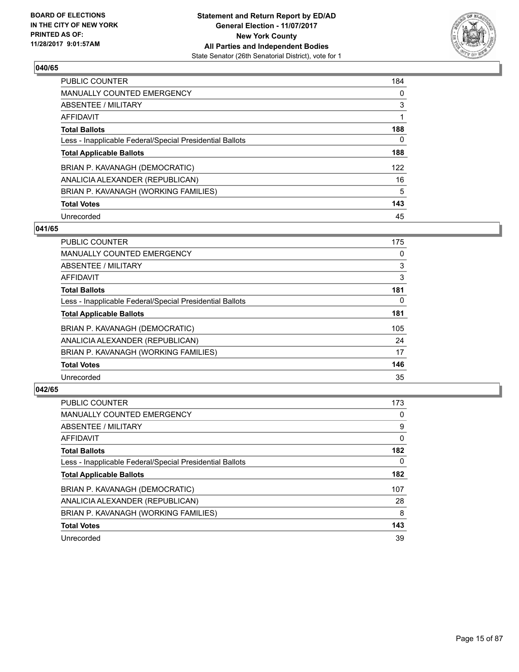

| <b>PUBLIC COUNTER</b>                                    | 184 |
|----------------------------------------------------------|-----|
| <b>MANUALLY COUNTED EMERGENCY</b>                        | 0   |
| ABSENTEE / MILITARY                                      | 3   |
| AFFIDAVIT                                                |     |
| <b>Total Ballots</b>                                     | 188 |
| Less - Inapplicable Federal/Special Presidential Ballots | 0   |
| <b>Total Applicable Ballots</b>                          | 188 |
| BRIAN P. KAVANAGH (DEMOCRATIC)                           | 122 |
| ANALICIA ALEXANDER (REPUBLICAN)                          | 16  |
| BRIAN P. KAVANAGH (WORKING FAMILIES)                     | 5   |
| <b>Total Votes</b>                                       | 143 |
| Unrecorded                                               | 45  |

#### **041/65**

| <b>PUBLIC COUNTER</b>                                    | 175 |
|----------------------------------------------------------|-----|
| <b>MANUALLY COUNTED EMERGENCY</b>                        | 0   |
| ABSENTEE / MILITARY                                      | 3   |
| <b>AFFIDAVIT</b>                                         | 3   |
| <b>Total Ballots</b>                                     | 181 |
| Less - Inapplicable Federal/Special Presidential Ballots | 0   |
| <b>Total Applicable Ballots</b>                          | 181 |
| BRIAN P. KAVANAGH (DEMOCRATIC)                           | 105 |
| ANALICIA ALEXANDER (REPUBLICAN)                          | 24  |
| BRIAN P. KAVANAGH (WORKING FAMILIES)                     | 17  |
| <b>Total Votes</b>                                       | 146 |
| Unrecorded                                               | 35  |

| <b>PUBLIC COUNTER</b>                                    | 173 |
|----------------------------------------------------------|-----|
| <b>MANUALLY COUNTED EMERGENCY</b>                        | 0   |
| ABSENTEE / MILITARY                                      | 9   |
| AFFIDAVIT                                                | 0   |
| <b>Total Ballots</b>                                     | 182 |
| Less - Inapplicable Federal/Special Presidential Ballots | 0   |
| <b>Total Applicable Ballots</b>                          | 182 |
| BRIAN P. KAVANAGH (DEMOCRATIC)                           | 107 |
| ANALICIA ALEXANDER (REPUBLICAN)                          | 28  |
| BRIAN P. KAVANAGH (WORKING FAMILIES)                     | 8   |
| <b>Total Votes</b>                                       | 143 |
| Unrecorded                                               | 39  |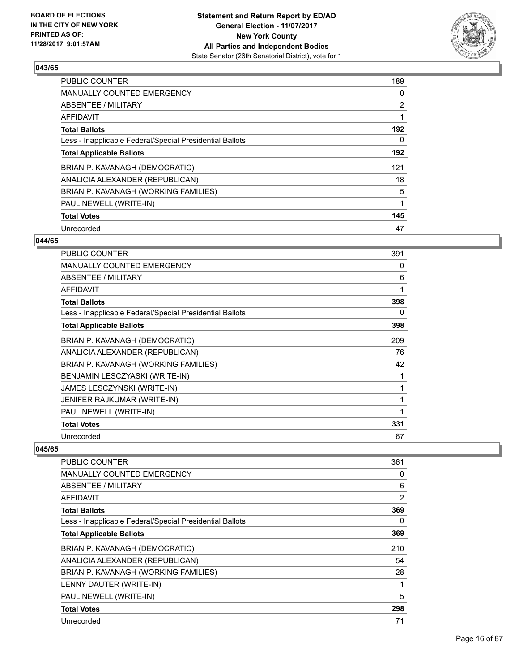

| <b>PUBLIC COUNTER</b>                                    | 189            |
|----------------------------------------------------------|----------------|
| <b>MANUALLY COUNTED EMERGENCY</b>                        | 0              |
| ABSENTEE / MILITARY                                      | $\overline{2}$ |
| <b>AFFIDAVIT</b>                                         |                |
| <b>Total Ballots</b>                                     | 192            |
| Less - Inapplicable Federal/Special Presidential Ballots | 0              |
| <b>Total Applicable Ballots</b>                          | 192            |
| BRIAN P. KAVANAGH (DEMOCRATIC)                           | 121            |
| ANALICIA ALEXANDER (REPUBLICAN)                          | 18             |
| BRIAN P. KAVANAGH (WORKING FAMILIES)                     | 5              |
| PAUL NEWELL (WRITE-IN)                                   |                |
| <b>Total Votes</b>                                       | 145            |
| Unrecorded                                               | 47             |

## **044/65**

| <b>PUBLIC COUNTER</b>                                    | 391 |
|----------------------------------------------------------|-----|
| <b>MANUALLY COUNTED EMERGENCY</b>                        | 0   |
| ABSENTEE / MILITARY                                      | 6   |
| AFFIDAVIT                                                | 1   |
| <b>Total Ballots</b>                                     | 398 |
| Less - Inapplicable Federal/Special Presidential Ballots | 0   |
| <b>Total Applicable Ballots</b>                          | 398 |
| BRIAN P. KAVANAGH (DEMOCRATIC)                           | 209 |
| ANALICIA ALEXANDER (REPUBLICAN)                          | 76  |
| BRIAN P. KAVANAGH (WORKING FAMILIES)                     | 42  |
| BENJAMIN LESCZYASKI (WRITE-IN)                           | 1   |
| JAMES LESCZYNSKI (WRITE-IN)                              | 1   |
| JENIFER RAJKUMAR (WRITE-IN)                              |     |
| PAUL NEWELL (WRITE-IN)                                   |     |
| <b>Total Votes</b>                                       | 331 |
| Unrecorded                                               | 67  |

| <b>PUBLIC COUNTER</b>                                    | 361 |
|----------------------------------------------------------|-----|
| MANUALLY COUNTED EMERGENCY                               | 0   |
| ABSENTEE / MILITARY                                      | 6   |
| AFFIDAVIT                                                | 2   |
| <b>Total Ballots</b>                                     | 369 |
| Less - Inapplicable Federal/Special Presidential Ballots | 0   |
| <b>Total Applicable Ballots</b>                          | 369 |
| BRIAN P. KAVANAGH (DEMOCRATIC)                           | 210 |
| ANALICIA ALEXANDER (REPUBLICAN)                          | 54  |
| BRIAN P. KAVANAGH (WORKING FAMILIES)                     | 28  |
| LENNY DAUTER (WRITE-IN)                                  | 1   |
| PAUL NEWELL (WRITE-IN)                                   | 5   |
| <b>Total Votes</b>                                       | 298 |
| Unrecorded                                               | 71  |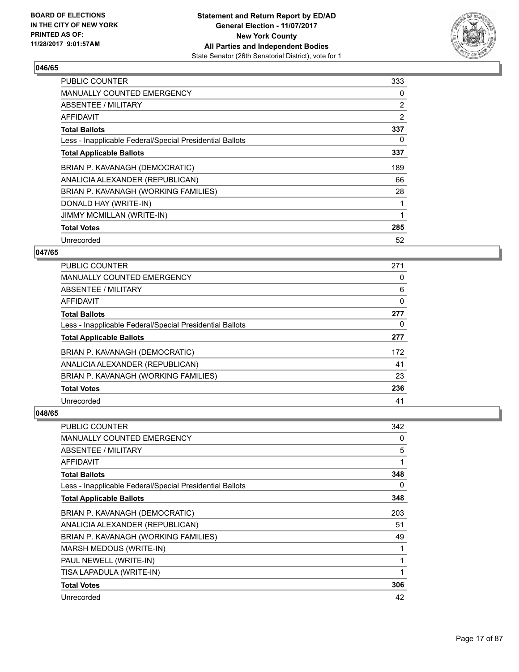

| <b>PUBLIC COUNTER</b>                                    | 333 |
|----------------------------------------------------------|-----|
| <b>MANUALLY COUNTED EMERGENCY</b>                        | 0   |
| <b>ABSENTEE / MILITARY</b>                               | 2   |
| AFFIDAVIT                                                | 2   |
| <b>Total Ballots</b>                                     | 337 |
| Less - Inapplicable Federal/Special Presidential Ballots | 0   |
| <b>Total Applicable Ballots</b>                          | 337 |
| BRIAN P. KAVANAGH (DEMOCRATIC)                           | 189 |
| ANALICIA ALEXANDER (REPUBLICAN)                          | 66  |
| BRIAN P. KAVANAGH (WORKING FAMILIES)                     | 28  |
| DONALD HAY (WRITE-IN)                                    |     |
| <b>JIMMY MCMILLAN (WRITE-IN)</b>                         |     |
| <b>Total Votes</b>                                       | 285 |
| Unrecorded                                               | 52  |

# **047/65**

| PUBLIC COUNTER                                           | 271 |
|----------------------------------------------------------|-----|
| <b>MANUALLY COUNTED EMERGENCY</b>                        | 0   |
| ABSENTEE / MILITARY                                      | 6   |
| AFFIDAVIT                                                | 0   |
| <b>Total Ballots</b>                                     | 277 |
| Less - Inapplicable Federal/Special Presidential Ballots | 0   |
| <b>Total Applicable Ballots</b>                          | 277 |
| BRIAN P. KAVANAGH (DEMOCRATIC)                           | 172 |
| ANALICIA ALEXANDER (REPUBLICAN)                          | 41  |
| BRIAN P. KAVANAGH (WORKING FAMILIES)                     | 23  |
| <b>Total Votes</b>                                       | 236 |
| Unrecorded                                               | 41  |

| PUBLIC COUNTER                                           | 342 |
|----------------------------------------------------------|-----|
| <b>MANUALLY COUNTED EMERGENCY</b>                        | 0   |
| <b>ABSENTEE / MILITARY</b>                               | 5   |
| AFFIDAVIT                                                | 1   |
| <b>Total Ballots</b>                                     | 348 |
| Less - Inapplicable Federal/Special Presidential Ballots | 0   |
| <b>Total Applicable Ballots</b>                          | 348 |
| BRIAN P. KAVANAGH (DEMOCRATIC)                           | 203 |
| ANALICIA ALEXANDER (REPUBLICAN)                          | 51  |
| BRIAN P. KAVANAGH (WORKING FAMILIES)                     | 49  |
| MARSH MEDOUS (WRITE-IN)                                  | 1   |
| PAUL NEWELL (WRITE-IN)                                   | 1   |
| TISA LAPADULA (WRITE-IN)                                 | 1   |
| <b>Total Votes</b>                                       | 306 |
| Unrecorded                                               | 42  |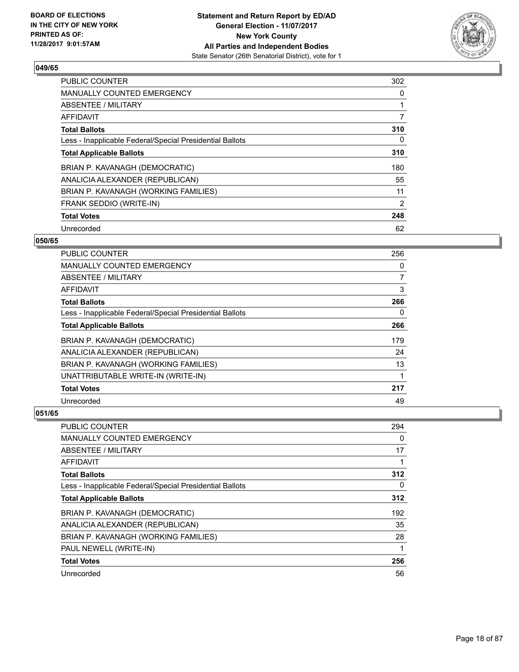

| <b>PUBLIC COUNTER</b>                                    | 302 |
|----------------------------------------------------------|-----|
| <b>MANUALLY COUNTED EMERGENCY</b>                        | 0   |
| ABSENTEE / MILITARY                                      |     |
| <b>AFFIDAVIT</b>                                         | 7   |
| <b>Total Ballots</b>                                     | 310 |
| Less - Inapplicable Federal/Special Presidential Ballots | 0   |
| <b>Total Applicable Ballots</b>                          | 310 |
| BRIAN P. KAVANAGH (DEMOCRATIC)                           | 180 |
| ANALICIA ALEXANDER (REPUBLICAN)                          | 55  |
| BRIAN P. KAVANAGH (WORKING FAMILIES)                     | 11  |
| FRANK SEDDIO (WRITE-IN)                                  | 2   |
| <b>Total Votes</b>                                       | 248 |
| Unrecorded                                               | 62  |

# **050/65**

| <b>PUBLIC COUNTER</b>                                    | 256            |
|----------------------------------------------------------|----------------|
| MANUALLY COUNTED EMERGENCY                               | 0              |
| ABSENTEE / MILITARY                                      | $\overline{7}$ |
| AFFIDAVIT                                                | 3              |
| <b>Total Ballots</b>                                     | 266            |
| Less - Inapplicable Federal/Special Presidential Ballots | 0              |
| <b>Total Applicable Ballots</b>                          | 266            |
| BRIAN P. KAVANAGH (DEMOCRATIC)                           | 179            |
| ANALICIA ALEXANDER (REPUBLICAN)                          | 24             |
| BRIAN P. KAVANAGH (WORKING FAMILIES)                     | 13             |
| UNATTRIBUTABLE WRITE-IN (WRITE-IN)                       |                |
| <b>Total Votes</b>                                       | 217            |
| Unrecorded                                               | 49             |

| PUBLIC COUNTER                                           | 294 |
|----------------------------------------------------------|-----|
| <b>MANUALLY COUNTED EMERGENCY</b>                        | 0   |
| ABSENTEE / MILITARY                                      | 17  |
| AFFIDAVIT                                                |     |
| <b>Total Ballots</b>                                     | 312 |
| Less - Inapplicable Federal/Special Presidential Ballots | 0   |
| <b>Total Applicable Ballots</b>                          | 312 |
| BRIAN P. KAVANAGH (DEMOCRATIC)                           | 192 |
| ANALICIA ALEXANDER (REPUBLICAN)                          | 35  |
| BRIAN P. KAVANAGH (WORKING FAMILIES)                     | 28  |
| PAUL NEWELL (WRITE-IN)                                   | 1   |
| <b>Total Votes</b>                                       | 256 |
| Unrecorded                                               | 56  |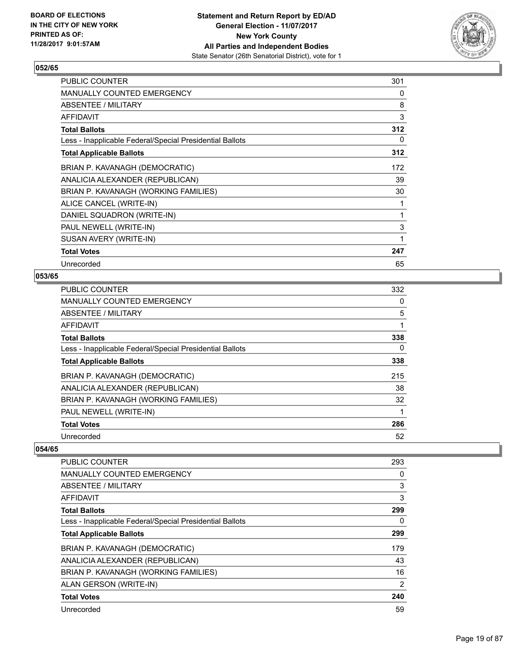

| <b>PUBLIC COUNTER</b>                                    | 301 |
|----------------------------------------------------------|-----|
| <b>MANUALLY COUNTED EMERGENCY</b>                        | 0   |
| ABSENTEE / MILITARY                                      | 8   |
| <b>AFFIDAVIT</b>                                         | 3   |
| <b>Total Ballots</b>                                     | 312 |
| Less - Inapplicable Federal/Special Presidential Ballots | 0   |
| <b>Total Applicable Ballots</b>                          | 312 |
| BRIAN P. KAVANAGH (DEMOCRATIC)                           | 172 |
| ANALICIA ALEXANDER (REPUBLICAN)                          | 39  |
| BRIAN P. KAVANAGH (WORKING FAMILIES)                     | 30  |
| ALICE CANCEL (WRITE-IN)                                  |     |
| DANIEL SQUADRON (WRITE-IN)                               | 1   |
| PAUL NEWELL (WRITE-IN)                                   | 3   |
| SUSAN AVERY (WRITE-IN)                                   | 1   |
| <b>Total Votes</b>                                       | 247 |
| Unrecorded                                               | 65  |

# **053/65**

| <b>PUBLIC COUNTER</b>                                    | 332 |
|----------------------------------------------------------|-----|
| MANUALLY COUNTED EMERGENCY                               | 0   |
| ABSENTEE / MILITARY                                      | 5   |
| AFFIDAVIT                                                | 1   |
| <b>Total Ballots</b>                                     | 338 |
| Less - Inapplicable Federal/Special Presidential Ballots | 0   |
| <b>Total Applicable Ballots</b>                          | 338 |
| BRIAN P. KAVANAGH (DEMOCRATIC)                           | 215 |
| ANALICIA ALEXANDER (REPUBLICAN)                          | 38  |
| BRIAN P. KAVANAGH (WORKING FAMILIES)                     | 32  |
| PAUL NEWELL (WRITE-IN)                                   |     |
| <b>Total Votes</b>                                       | 286 |
| Unrecorded                                               | 52  |

| <b>PUBLIC COUNTER</b>                                    | 293 |
|----------------------------------------------------------|-----|
| <b>MANUALLY COUNTED EMERGENCY</b>                        | 0   |
| ABSENTEE / MILITARY                                      | 3   |
| AFFIDAVIT                                                | 3   |
| <b>Total Ballots</b>                                     | 299 |
| Less - Inapplicable Federal/Special Presidential Ballots | 0   |
| <b>Total Applicable Ballots</b>                          | 299 |
| BRIAN P. KAVANAGH (DEMOCRATIC)                           | 179 |
| ANALICIA ALEXANDER (REPUBLICAN)                          | 43  |
| BRIAN P. KAVANAGH (WORKING FAMILIES)                     | 16  |
| ALAN GERSON (WRITE-IN)                                   | 2   |
| <b>Total Votes</b>                                       | 240 |
| Unrecorded                                               | 59  |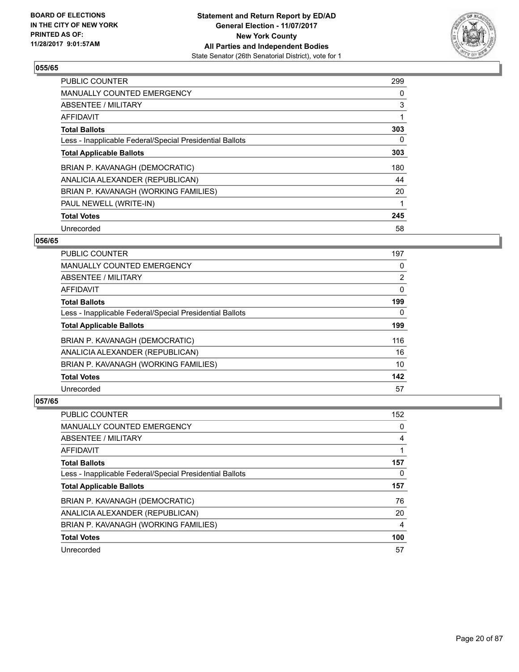

| <b>PUBLIC COUNTER</b>                                    | 299 |
|----------------------------------------------------------|-----|
| <b>MANUALLY COUNTED EMERGENCY</b>                        | 0   |
| ABSENTEE / MILITARY                                      | 3   |
| <b>AFFIDAVIT</b>                                         |     |
| <b>Total Ballots</b>                                     | 303 |
| Less - Inapplicable Federal/Special Presidential Ballots | 0   |
| <b>Total Applicable Ballots</b>                          | 303 |
| BRIAN P. KAVANAGH (DEMOCRATIC)                           | 180 |
| ANALICIA ALEXANDER (REPUBLICAN)                          | 44  |
| BRIAN P. KAVANAGH (WORKING FAMILIES)                     | 20  |
| PAUL NEWELL (WRITE-IN)                                   |     |
| <b>Total Votes</b>                                       | 245 |
| Unrecorded                                               | 58  |

## **056/65**

| <b>PUBLIC COUNTER</b>                                    | 197 |
|----------------------------------------------------------|-----|
| <b>MANUALLY COUNTED EMERGENCY</b>                        | 0   |
| ABSENTEE / MILITARY                                      | 2   |
| AFFIDAVIT                                                | 0   |
| <b>Total Ballots</b>                                     | 199 |
| Less - Inapplicable Federal/Special Presidential Ballots | 0   |
| <b>Total Applicable Ballots</b>                          | 199 |
| BRIAN P. KAVANAGH (DEMOCRATIC)                           | 116 |
| ANALICIA ALEXANDER (REPUBLICAN)                          | 16  |
| BRIAN P. KAVANAGH (WORKING FAMILIES)                     | 10  |
| <b>Total Votes</b>                                       | 142 |
| Unrecorded                                               | 57  |

| <b>PUBLIC COUNTER</b>                                    | 152 |
|----------------------------------------------------------|-----|
| MANUALLY COUNTED EMERGENCY                               | 0   |
| ABSENTEE / MILITARY                                      | 4   |
| AFFIDAVIT                                                |     |
| <b>Total Ballots</b>                                     | 157 |
| Less - Inapplicable Federal/Special Presidential Ballots | 0   |
|                                                          |     |
| <b>Total Applicable Ballots</b>                          | 157 |
| BRIAN P. KAVANAGH (DEMOCRATIC)                           | 76  |
| ANALICIA ALEXANDER (REPUBLICAN)                          | 20  |
| BRIAN P. KAVANAGH (WORKING FAMILIES)                     | 4   |
| <b>Total Votes</b>                                       | 100 |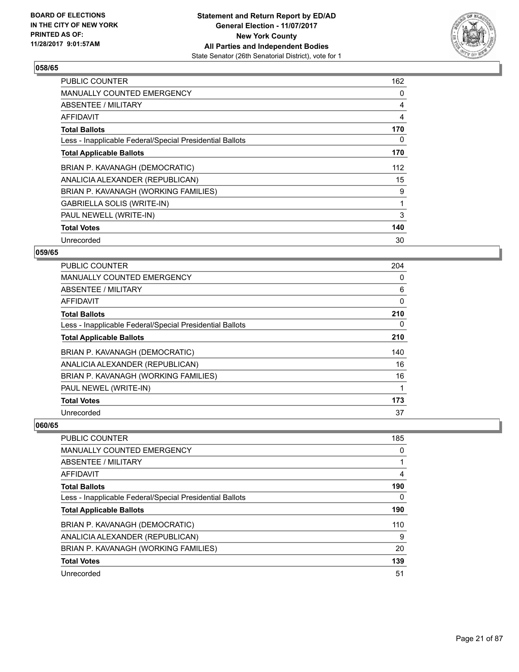

| <b>PUBLIC COUNTER</b>                                    | 162 |
|----------------------------------------------------------|-----|
| <b>MANUALLY COUNTED EMERGENCY</b>                        | 0   |
| <b>ABSENTEE / MILITARY</b>                               | 4   |
| AFFIDAVIT                                                | 4   |
| <b>Total Ballots</b>                                     | 170 |
| Less - Inapplicable Federal/Special Presidential Ballots | 0   |
| <b>Total Applicable Ballots</b>                          | 170 |
| BRIAN P. KAVANAGH (DEMOCRATIC)                           | 112 |
| ANALICIA ALEXANDER (REPUBLICAN)                          | 15  |
| BRIAN P. KAVANAGH (WORKING FAMILIES)                     | 9   |
| GABRIELLA SOLIS (WRITE-IN)                               | 1   |
| PAUL NEWELL (WRITE-IN)                                   | 3   |
| <b>Total Votes</b>                                       | 140 |
| Unrecorded                                               | 30  |

# **059/65**

| PUBLIC COUNTER                                           | 204 |
|----------------------------------------------------------|-----|
| <b>MANUALLY COUNTED EMERGENCY</b>                        | 0   |
| ABSENTEE / MILITARY                                      | 6   |
| AFFIDAVIT                                                | 0   |
| <b>Total Ballots</b>                                     | 210 |
| Less - Inapplicable Federal/Special Presidential Ballots | 0   |
| <b>Total Applicable Ballots</b>                          | 210 |
| BRIAN P. KAVANAGH (DEMOCRATIC)                           | 140 |
| ANALICIA ALEXANDER (REPUBLICAN)                          | 16  |
| BRIAN P. KAVANAGH (WORKING FAMILIES)                     | 16  |
| PAUL NEWEL (WRITE-IN)                                    | 1   |
| <b>Total Votes</b>                                       | 173 |
| Unrecorded                                               | 37  |

| <b>PUBLIC COUNTER</b>                                    | 185 |
|----------------------------------------------------------|-----|
| <b>MANUALLY COUNTED EMERGENCY</b>                        | 0   |
| ABSENTEE / MILITARY                                      |     |
| AFFIDAVIT                                                | 4   |
| <b>Total Ballots</b>                                     | 190 |
| Less - Inapplicable Federal/Special Presidential Ballots | 0   |
| <b>Total Applicable Ballots</b>                          | 190 |
| BRIAN P. KAVANAGH (DEMOCRATIC)                           | 110 |
| ANALICIA ALEXANDER (REPUBLICAN)                          | 9   |
| BRIAN P. KAVANAGH (WORKING FAMILIES)                     | 20  |
| <b>Total Votes</b>                                       | 139 |
| Unrecorded                                               | 51  |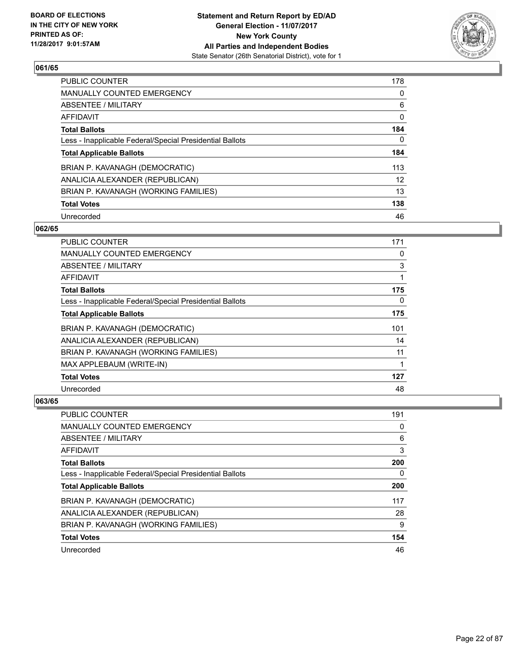

| <b>PUBLIC COUNTER</b>                                    | 178 |
|----------------------------------------------------------|-----|
| MANUALLY COUNTED EMERGENCY                               | 0   |
| ABSENTEE / MILITARY                                      | 6   |
| AFFIDAVIT                                                | 0   |
| <b>Total Ballots</b>                                     | 184 |
| Less - Inapplicable Federal/Special Presidential Ballots | 0   |
| <b>Total Applicable Ballots</b>                          | 184 |
| BRIAN P. KAVANAGH (DEMOCRATIC)                           | 113 |
| ANALICIA ALEXANDER (REPUBLICAN)                          | 12  |
| BRIAN P. KAVANAGH (WORKING FAMILIES)                     | 13  |
| <b>Total Votes</b>                                       | 138 |
| Unrecorded                                               | 46  |

#### **062/65**

| <b>PUBLIC COUNTER</b>                                    | 171 |
|----------------------------------------------------------|-----|
| <b>MANUALLY COUNTED EMERGENCY</b>                        | 0   |
| ABSENTEE / MILITARY                                      | 3   |
| AFFIDAVIT                                                | 1   |
| <b>Total Ballots</b>                                     | 175 |
| Less - Inapplicable Federal/Special Presidential Ballots | 0   |
| <b>Total Applicable Ballots</b>                          | 175 |
| BRIAN P. KAVANAGH (DEMOCRATIC)                           | 101 |
| ANALICIA ALEXANDER (REPUBLICAN)                          | 14  |
| BRIAN P. KAVANAGH (WORKING FAMILIES)                     | 11  |
| MAX APPLEBAUM (WRITE-IN)                                 | 1   |
| <b>Total Votes</b>                                       | 127 |
| Unrecorded                                               | 48  |

| PUBLIC COUNTER                                           | 191 |
|----------------------------------------------------------|-----|
| <b>MANUALLY COUNTED EMERGENCY</b>                        | 0   |
| ABSENTEE / MILITARY                                      | 6   |
| AFFIDAVIT                                                | 3   |
| <b>Total Ballots</b>                                     | 200 |
| Less - Inapplicable Federal/Special Presidential Ballots | 0   |
| <b>Total Applicable Ballots</b>                          | 200 |
| BRIAN P. KAVANAGH (DEMOCRATIC)                           | 117 |
| ANALICIA ALEXANDER (REPUBLICAN)                          | 28  |
| BRIAN P. KAVANAGH (WORKING FAMILIES)                     | 9   |
| <b>Total Votes</b>                                       | 154 |
| Unrecorded                                               | 46  |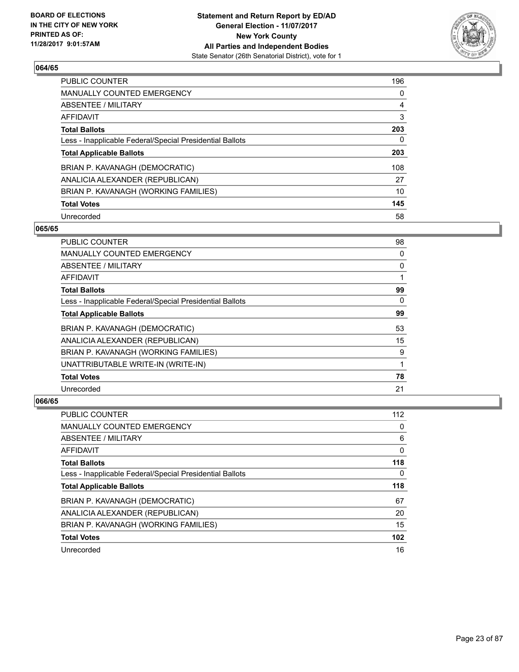

| <b>PUBLIC COUNTER</b>                                    | 196 |
|----------------------------------------------------------|-----|
| MANUALLY COUNTED EMERGENCY                               | 0   |
| ABSENTEE / MILITARY                                      | 4   |
| AFFIDAVIT                                                | 3   |
| <b>Total Ballots</b>                                     | 203 |
| Less - Inapplicable Federal/Special Presidential Ballots | 0   |
| <b>Total Applicable Ballots</b>                          | 203 |
| BRIAN P. KAVANAGH (DEMOCRATIC)                           | 108 |
| ANALICIA ALEXANDER (REPUBLICAN)                          | 27  |
| BRIAN P. KAVANAGH (WORKING FAMILIES)                     | 10  |
| <b>Total Votes</b>                                       | 145 |
| Unrecorded                                               | 58  |

#### **065/65**

| <b>PUBLIC COUNTER</b>                                    | 98 |
|----------------------------------------------------------|----|
| <b>MANUALLY COUNTED EMERGENCY</b>                        | 0  |
| ABSENTEE / MILITARY                                      | 0  |
| AFFIDAVIT                                                |    |
| <b>Total Ballots</b>                                     | 99 |
| Less - Inapplicable Federal/Special Presidential Ballots | 0  |
| <b>Total Applicable Ballots</b>                          | 99 |
| BRIAN P. KAVANAGH (DEMOCRATIC)                           | 53 |
| ANALICIA ALEXANDER (REPUBLICAN)                          | 15 |
| BRIAN P. KAVANAGH (WORKING FAMILIES)                     | 9  |
| UNATTRIBUTABLE WRITE-IN (WRITE-IN)                       |    |
| <b>Total Votes</b>                                       | 78 |
| Unrecorded                                               | 21 |

| <b>PUBLIC COUNTER</b>                                    | 112 |
|----------------------------------------------------------|-----|
| <b>MANUALLY COUNTED EMERGENCY</b>                        | 0   |
| ABSENTEE / MILITARY                                      | 6   |
| AFFIDAVIT                                                | 0   |
| <b>Total Ballots</b>                                     | 118 |
| Less - Inapplicable Federal/Special Presidential Ballots | 0   |
|                                                          |     |
| <b>Total Applicable Ballots</b>                          | 118 |
| BRIAN P. KAVANAGH (DEMOCRATIC)                           | 67  |
| ANALICIA ALEXANDER (REPUBLICAN)                          | 20  |
| BRIAN P. KAVANAGH (WORKING FAMILIES)                     | 15  |
| <b>Total Votes</b>                                       | 102 |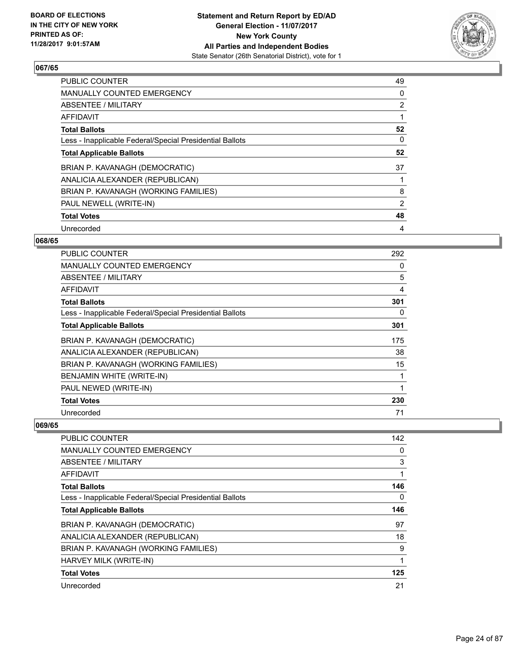

| PUBLIC COUNTER                                           | 49 |
|----------------------------------------------------------|----|
| <b>MANUALLY COUNTED EMERGENCY</b>                        | 0  |
| ABSENTEE / MILITARY                                      | 2  |
| <b>AFFIDAVIT</b>                                         |    |
| <b>Total Ballots</b>                                     | 52 |
| Less - Inapplicable Federal/Special Presidential Ballots | 0  |
| <b>Total Applicable Ballots</b>                          | 52 |
| BRIAN P. KAVANAGH (DEMOCRATIC)                           | 37 |
| ANALICIA ALEXANDER (REPUBLICAN)                          |    |
| BRIAN P. KAVANAGH (WORKING FAMILIES)                     | 8  |
| PAUL NEWELL (WRITE-IN)                                   | 2  |
| <b>Total Votes</b>                                       | 48 |
| Unrecorded                                               | 4  |

# **068/65**

| PUBLIC COUNTER                                           | 292 |
|----------------------------------------------------------|-----|
| <b>MANUALLY COUNTED EMERGENCY</b>                        | 0   |
| ABSENTEE / MILITARY                                      | 5   |
| AFFIDAVIT                                                | 4   |
| <b>Total Ballots</b>                                     | 301 |
| Less - Inapplicable Federal/Special Presidential Ballots | 0   |
| <b>Total Applicable Ballots</b>                          | 301 |
| BRIAN P. KAVANAGH (DEMOCRATIC)                           | 175 |
| ANALICIA ALEXANDER (REPUBLICAN)                          | 38  |
| BRIAN P. KAVANAGH (WORKING FAMILIES)                     | 15  |
| BENJAMIN WHITE (WRITE-IN)                                | 1   |
| PAUL NEWED (WRITE-IN)                                    | 1   |
| <b>Total Votes</b>                                       | 230 |
| Unrecorded                                               | 71  |

| PUBLIC COUNTER                                           | 142 |
|----------------------------------------------------------|-----|
| MANUALLY COUNTED EMERGENCY                               | 0   |
| ABSENTEE / MILITARY                                      | 3   |
| AFFIDAVIT                                                | 1   |
| <b>Total Ballots</b>                                     | 146 |
| Less - Inapplicable Federal/Special Presidential Ballots | 0   |
| <b>Total Applicable Ballots</b>                          | 146 |
| BRIAN P. KAVANAGH (DEMOCRATIC)                           | 97  |
| ANALICIA ALEXANDER (REPUBLICAN)                          | 18  |
| BRIAN P. KAVANAGH (WORKING FAMILIES)                     | 9   |
| HARVEY MILK (WRITE-IN)                                   | 1   |
| <b>Total Votes</b>                                       | 125 |
| Unrecorded                                               | 21  |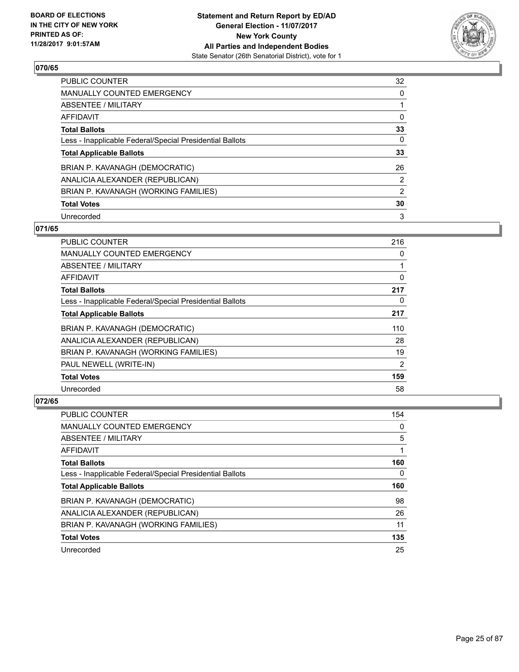

| <b>PUBLIC COUNTER</b>                                    | 32             |
|----------------------------------------------------------|----------------|
| MANUALLY COUNTED EMERGENCY                               | 0              |
| ABSENTEE / MILITARY                                      |                |
| AFFIDAVIT                                                | 0              |
| <b>Total Ballots</b>                                     | 33             |
| Less - Inapplicable Federal/Special Presidential Ballots | 0              |
| <b>Total Applicable Ballots</b>                          | 33             |
| BRIAN P. KAVANAGH (DEMOCRATIC)                           | 26             |
| ANALICIA ALEXANDER (REPUBLICAN)                          | $\overline{2}$ |
| BRIAN P. KAVANAGH (WORKING FAMILIES)                     | 2              |
| <b>Total Votes</b>                                       | 30             |
| Unrecorded                                               | 3              |

#### **071/65**

| <b>PUBLIC COUNTER</b>                                    | 216 |
|----------------------------------------------------------|-----|
| <b>MANUALLY COUNTED EMERGENCY</b>                        | 0   |
| ABSENTEE / MILITARY                                      | 1   |
| <b>AFFIDAVIT</b>                                         | 0   |
| <b>Total Ballots</b>                                     | 217 |
| Less - Inapplicable Federal/Special Presidential Ballots | 0   |
| <b>Total Applicable Ballots</b>                          | 217 |
| BRIAN P. KAVANAGH (DEMOCRATIC)                           | 110 |
| ANALICIA ALEXANDER (REPUBLICAN)                          | 28  |
| BRIAN P. KAVANAGH (WORKING FAMILIES)                     | 19  |
| PAUL NEWELL (WRITE-IN)                                   | 2   |
| <b>Total Votes</b>                                       | 159 |
| Unrecorded                                               | 58  |

| PUBLIC COUNTER                                           | 154 |
|----------------------------------------------------------|-----|
| <b>MANUALLY COUNTED EMERGENCY</b>                        | 0   |
| ABSENTEE / MILITARY                                      | 5   |
| AFFIDAVIT                                                |     |
| <b>Total Ballots</b>                                     | 160 |
| Less - Inapplicable Federal/Special Presidential Ballots | 0   |
|                                                          |     |
| <b>Total Applicable Ballots</b>                          | 160 |
| BRIAN P. KAVANAGH (DEMOCRATIC)                           | 98  |
| ANALICIA ALEXANDER (REPUBLICAN)                          | 26  |
| BRIAN P. KAVANAGH (WORKING FAMILIES)                     | 11  |
| <b>Total Votes</b>                                       | 135 |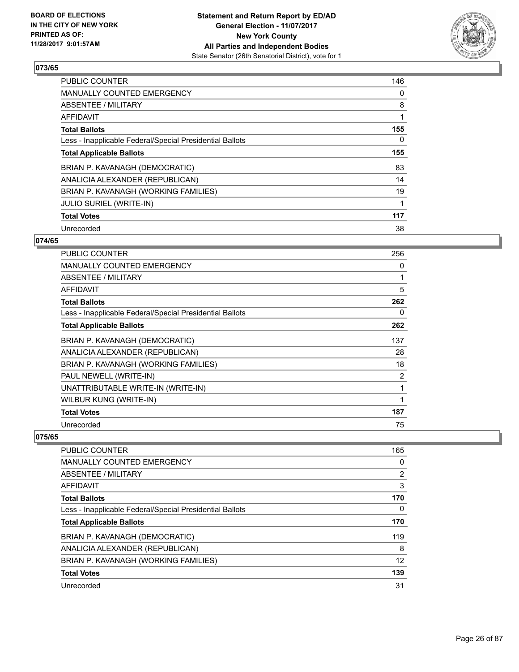

| <b>PUBLIC COUNTER</b>                                    | 146 |
|----------------------------------------------------------|-----|
| <b>MANUALLY COUNTED EMERGENCY</b>                        | 0   |
| ABSENTEE / MILITARY                                      | 8   |
| AFFIDAVIT                                                |     |
| <b>Total Ballots</b>                                     | 155 |
| Less - Inapplicable Federal/Special Presidential Ballots | 0   |
| <b>Total Applicable Ballots</b>                          | 155 |
| BRIAN P. KAVANAGH (DEMOCRATIC)                           | 83  |
| ANALICIA ALEXANDER (REPUBLICAN)                          | 14  |
| BRIAN P. KAVANAGH (WORKING FAMILIES)                     | 19  |
| <b>JULIO SURIEL (WRITE-IN)</b>                           |     |
| <b>Total Votes</b>                                       | 117 |
| Unrecorded                                               | 38  |

# **074/65**

| PUBLIC COUNTER                                           | 256            |
|----------------------------------------------------------|----------------|
| <b>MANUALLY COUNTED EMERGENCY</b>                        | 0              |
| <b>ABSENTEE / MILITARY</b>                               | $\mathbf{1}$   |
| AFFIDAVIT                                                | 5              |
| <b>Total Ballots</b>                                     | 262            |
| Less - Inapplicable Federal/Special Presidential Ballots | 0              |
| <b>Total Applicable Ballots</b>                          | 262            |
| BRIAN P. KAVANAGH (DEMOCRATIC)                           | 137            |
| ANALICIA ALEXANDER (REPUBLICAN)                          | 28             |
| BRIAN P. KAVANAGH (WORKING FAMILIES)                     | 18             |
| PAUL NEWELL (WRITE-IN)                                   | $\overline{2}$ |
| UNATTRIBUTABLE WRITE-IN (WRITE-IN)                       | 1              |
| WILBUR KUNG (WRITE-IN)                                   | 1              |
| <b>Total Votes</b>                                       | 187            |
| Unrecorded                                               | 75             |

| <b>PUBLIC COUNTER</b>                                    | 165            |
|----------------------------------------------------------|----------------|
| MANUALLY COUNTED EMERGENCY                               | 0              |
| ABSENTEE / MILITARY                                      | $\overline{2}$ |
| AFFIDAVIT                                                | 3              |
| <b>Total Ballots</b>                                     | 170            |
| Less - Inapplicable Federal/Special Presidential Ballots | 0              |
| <b>Total Applicable Ballots</b>                          | 170            |
| BRIAN P. KAVANAGH (DEMOCRATIC)                           | 119            |
| ANALICIA ALEXANDER (REPUBLICAN)                          | 8              |
| BRIAN P. KAVANAGH (WORKING FAMILIES)                     | 12             |
| <b>Total Votes</b>                                       | 139            |
| Unrecorded                                               | 31             |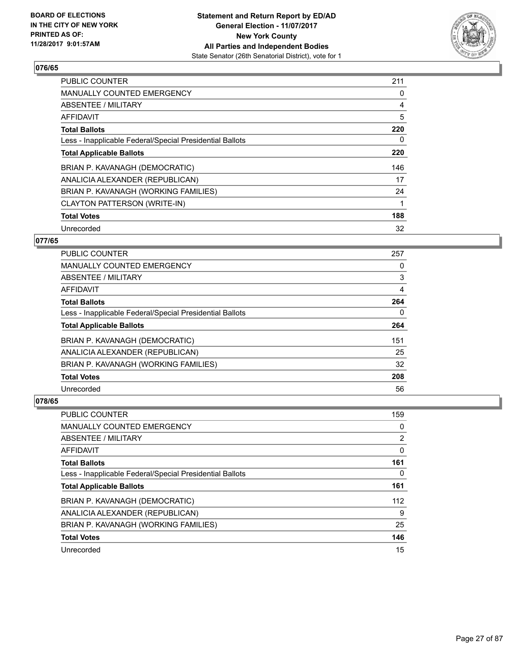

| PUBLIC COUNTER                                           | 211 |
|----------------------------------------------------------|-----|
| <b>MANUALLY COUNTED EMERGENCY</b>                        | 0   |
| ABSENTEE / MILITARY                                      | 4   |
| AFFIDAVIT                                                | 5   |
| <b>Total Ballots</b>                                     | 220 |
| Less - Inapplicable Federal/Special Presidential Ballots | 0   |
| <b>Total Applicable Ballots</b>                          | 220 |
| BRIAN P. KAVANAGH (DEMOCRATIC)                           | 146 |
| ANALICIA ALEXANDER (REPUBLICAN)                          | 17  |
| BRIAN P. KAVANAGH (WORKING FAMILIES)                     | 24  |
| CLAYTON PATTERSON (WRITE-IN)                             | 1   |
| <b>Total Votes</b>                                       | 188 |
| Unrecorded                                               | 32  |

# **077/65**

| <b>PUBLIC COUNTER</b>                                    | 257 |
|----------------------------------------------------------|-----|
| <b>MANUALLY COUNTED EMERGENCY</b>                        | 0   |
| ABSENTEE / MILITARY                                      | 3   |
| <b>AFFIDAVIT</b>                                         | 4   |
| <b>Total Ballots</b>                                     | 264 |
| Less - Inapplicable Federal/Special Presidential Ballots | 0   |
| <b>Total Applicable Ballots</b>                          | 264 |
| BRIAN P. KAVANAGH (DEMOCRATIC)                           | 151 |
| ANALICIA ALEXANDER (REPUBLICAN)                          | 25  |
| BRIAN P. KAVANAGH (WORKING FAMILIES)                     | 32  |
| <b>Total Votes</b>                                       | 208 |
| Unrecorded                                               | 56  |

| <b>PUBLIC COUNTER</b>                                    | 159 |
|----------------------------------------------------------|-----|
| <b>MANUALLY COUNTED EMERGENCY</b>                        | 0   |
| ABSENTEE / MILITARY                                      | 2   |
| AFFIDAVIT                                                | 0   |
| <b>Total Ballots</b>                                     | 161 |
| Less - Inapplicable Federal/Special Presidential Ballots | 0   |
| <b>Total Applicable Ballots</b>                          | 161 |
| BRIAN P. KAVANAGH (DEMOCRATIC)                           | 112 |
| ANALICIA ALEXANDER (REPUBLICAN)                          | 9   |
| BRIAN P. KAVANAGH (WORKING FAMILIES)                     | 25  |
| <b>Total Votes</b>                                       | 146 |
| Unrecorded                                               | 15  |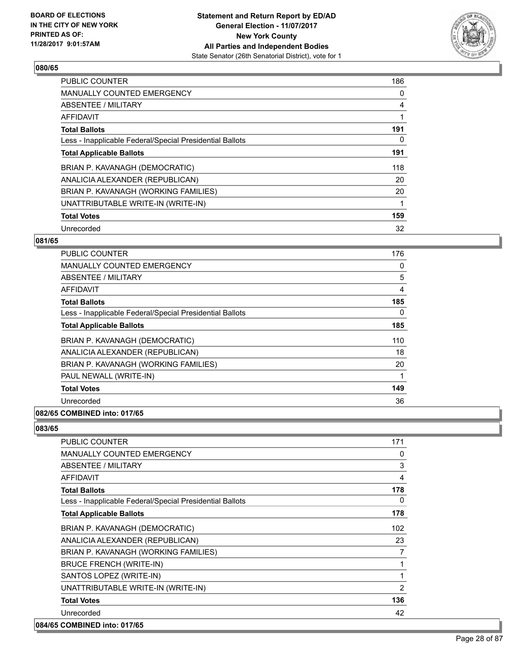

| <b>PUBLIC COUNTER</b>                                    | 186 |
|----------------------------------------------------------|-----|
| <b>MANUALLY COUNTED EMERGENCY</b>                        | 0   |
| ABSENTEE / MILITARY                                      | 4   |
| <b>AFFIDAVIT</b>                                         |     |
| <b>Total Ballots</b>                                     | 191 |
| Less - Inapplicable Federal/Special Presidential Ballots | 0   |
| <b>Total Applicable Ballots</b>                          | 191 |
| BRIAN P. KAVANAGH (DEMOCRATIC)                           | 118 |
| ANALICIA ALEXANDER (REPUBLICAN)                          | 20  |
| BRIAN P. KAVANAGH (WORKING FAMILIES)                     | 20  |
| UNATTRIBUTABLE WRITE-IN (WRITE-IN)                       |     |
| <b>Total Votes</b>                                       | 159 |
| Unrecorded                                               | 32  |

# **081/65**

| <b>PUBLIC COUNTER</b>                                    | 176      |
|----------------------------------------------------------|----------|
| <b>MANUALLY COUNTED EMERGENCY</b>                        | 0        |
| <b>ABSENTEE / MILITARY</b>                               | 5        |
| AFFIDAVIT                                                | 4        |
| <b>Total Ballots</b>                                     | 185      |
| Less - Inapplicable Federal/Special Presidential Ballots | $\Omega$ |
| <b>Total Applicable Ballots</b>                          | 185      |
| BRIAN P. KAVANAGH (DEMOCRATIC)                           | 110      |
| ANALICIA ALEXANDER (REPUBLICAN)                          | 18       |
| BRIAN P. KAVANAGH (WORKING FAMILIES)                     | 20       |
| PAUL NEWALL (WRITE-IN)                                   |          |
| <b>Total Votes</b>                                       | 149      |
| Unrecorded                                               | 36       |
| 082/65 COMBINED into: 017/65                             |          |

| <b>PUBLIC COUNTER</b>                                    | 171 |
|----------------------------------------------------------|-----|
| <b>MANUALLY COUNTED EMERGENCY</b>                        | 0   |
| ABSENTEE / MILITARY                                      | 3   |
| <b>AFFIDAVIT</b>                                         | 4   |
| <b>Total Ballots</b>                                     | 178 |
| Less - Inapplicable Federal/Special Presidential Ballots | 0   |
| <b>Total Applicable Ballots</b>                          | 178 |
| BRIAN P. KAVANAGH (DEMOCRATIC)                           | 102 |
| ANALICIA ALEXANDER (REPUBLICAN)                          | 23  |
| BRIAN P. KAVANAGH (WORKING FAMILIES)                     | 7   |
| <b>BRUCE FRENCH (WRITE-IN)</b>                           | 1   |
| SANTOS LOPEZ (WRITE-IN)                                  | 1   |
| UNATTRIBUTABLE WRITE-IN (WRITE-IN)                       | 2   |
| <b>Total Votes</b>                                       | 136 |
| Unrecorded                                               | 42  |
| 084/65 COMBINED into: 017/65                             |     |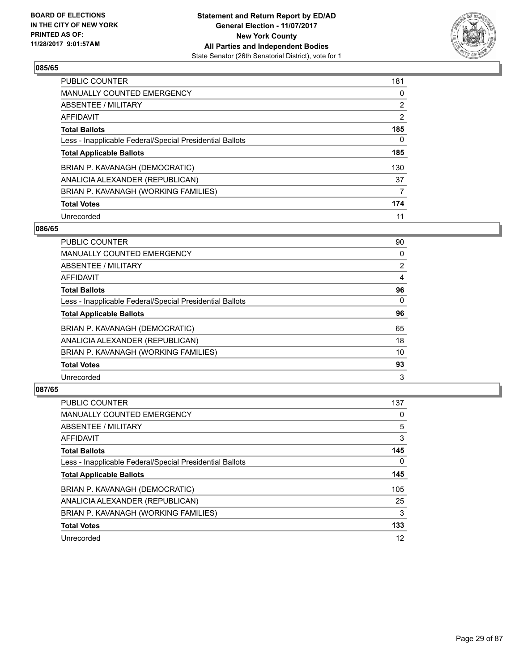

| <b>PUBLIC COUNTER</b>                                    | 181 |
|----------------------------------------------------------|-----|
| <b>MANUALLY COUNTED EMERGENCY</b>                        | 0   |
| ABSENTEE / MILITARY                                      | 2   |
| AFFIDAVIT                                                | 2   |
| <b>Total Ballots</b>                                     | 185 |
| Less - Inapplicable Federal/Special Presidential Ballots | 0   |
| <b>Total Applicable Ballots</b>                          | 185 |
| BRIAN P. KAVANAGH (DEMOCRATIC)                           | 130 |
| ANALICIA ALEXANDER (REPUBLICAN)                          | 37  |
| BRIAN P. KAVANAGH (WORKING FAMILIES)                     | 7   |
| <b>Total Votes</b>                                       | 174 |
| Unrecorded                                               | 11  |

#### **086/65**

| <b>PUBLIC COUNTER</b>                                    | 90             |
|----------------------------------------------------------|----------------|
| <b>MANUALLY COUNTED EMERGENCY</b>                        | 0              |
| ABSENTEE / MILITARY                                      | $\overline{2}$ |
| <b>AFFIDAVIT</b>                                         | 4              |
| <b>Total Ballots</b>                                     | 96             |
| Less - Inapplicable Federal/Special Presidential Ballots | $\Omega$       |
| <b>Total Applicable Ballots</b>                          | 96             |
| BRIAN P. KAVANAGH (DEMOCRATIC)                           | 65             |
| ANALICIA ALEXANDER (REPUBLICAN)                          | 18             |
| BRIAN P. KAVANAGH (WORKING FAMILIES)                     | 10             |
| <b>Total Votes</b>                                       | 93             |
| Unrecorded                                               | 3              |

| <b>PUBLIC COUNTER</b>                                    | 137 |
|----------------------------------------------------------|-----|
| <b>MANUALLY COUNTED EMERGENCY</b>                        | 0   |
| ABSENTEE / MILITARY                                      | 5   |
| AFFIDAVIT                                                | 3   |
| <b>Total Ballots</b>                                     | 145 |
| Less - Inapplicable Federal/Special Presidential Ballots | 0   |
| <b>Total Applicable Ballots</b>                          | 145 |
| BRIAN P. KAVANAGH (DEMOCRATIC)                           | 105 |
| ANALICIA ALEXANDER (REPUBLICAN)                          | 25  |
| BRIAN P. KAVANAGH (WORKING FAMILIES)                     | 3   |
| <b>Total Votes</b>                                       | 133 |
| Unrecorded                                               | 12  |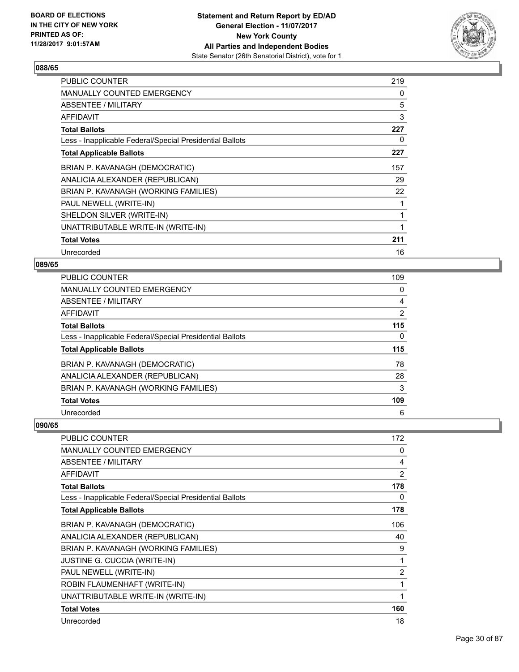

| <b>PUBLIC COUNTER</b>                                    | 219 |
|----------------------------------------------------------|-----|
| <b>MANUALLY COUNTED EMERGENCY</b>                        | 0   |
| ABSENTEE / MILITARY                                      | 5   |
| <b>AFFIDAVIT</b>                                         | 3   |
| <b>Total Ballots</b>                                     | 227 |
| Less - Inapplicable Federal/Special Presidential Ballots | 0   |
| <b>Total Applicable Ballots</b>                          | 227 |
| BRIAN P. KAVANAGH (DEMOCRATIC)                           | 157 |
| ANALICIA ALEXANDER (REPUBLICAN)                          | 29  |
| BRIAN P. KAVANAGH (WORKING FAMILIES)                     | 22  |
| PAUL NEWELL (WRITE-IN)                                   |     |
| SHELDON SILVER (WRITE-IN)                                |     |
| UNATTRIBUTABLE WRITE-IN (WRITE-IN)                       | 1   |
| <b>Total Votes</b>                                       | 211 |
| Unrecorded                                               | 16  |

# **089/65**

| <b>PUBLIC COUNTER</b>                                    | 109            |
|----------------------------------------------------------|----------------|
| <b>MANUALLY COUNTED EMERGENCY</b>                        | 0              |
| <b>ABSENTEE / MILITARY</b>                               | 4              |
| <b>AFFIDAVIT</b>                                         | $\overline{2}$ |
| <b>Total Ballots</b>                                     | 115            |
| Less - Inapplicable Federal/Special Presidential Ballots | 0              |
| <b>Total Applicable Ballots</b>                          | 115            |
| BRIAN P. KAVANAGH (DEMOCRATIC)                           | 78             |
| ANALICIA ALEXANDER (REPUBLICAN)                          | 28             |
| BRIAN P. KAVANAGH (WORKING FAMILIES)                     | 3              |
| <b>Total Votes</b>                                       | 109            |
|                                                          |                |

| <b>PUBLIC COUNTER</b>                                    | 172            |
|----------------------------------------------------------|----------------|
| MANUALLY COUNTED EMERGENCY                               | 0              |
| ABSENTEE / MILITARY                                      | 4              |
| <b>AFFIDAVIT</b>                                         | 2              |
| <b>Total Ballots</b>                                     | 178            |
| Less - Inapplicable Federal/Special Presidential Ballots | 0              |
| <b>Total Applicable Ballots</b>                          | 178            |
| BRIAN P. KAVANAGH (DEMOCRATIC)                           | 106            |
| ANALICIA ALEXANDER (REPUBLICAN)                          | 40             |
| BRIAN P. KAVANAGH (WORKING FAMILIES)                     | 9              |
| <b>JUSTINE G. CUCCIA (WRITE-IN)</b>                      | 1              |
| PAUL NEWELL (WRITE-IN)                                   | $\overline{2}$ |
| ROBIN FLAUMENHAFT (WRITE-IN)                             | 1              |
| UNATTRIBUTABLE WRITE-IN (WRITE-IN)                       | 1              |
| <b>Total Votes</b>                                       | 160            |
| Unrecorded                                               | 18             |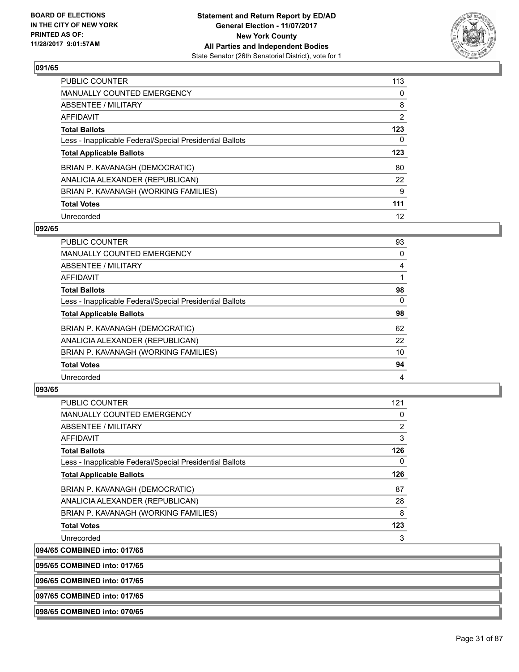

| <b>PUBLIC COUNTER</b>                                    | 113            |
|----------------------------------------------------------|----------------|
| <b>MANUALLY COUNTED EMERGENCY</b>                        | 0              |
| ABSENTEE / MILITARY                                      | 8              |
| AFFIDAVIT                                                | $\overline{2}$ |
| <b>Total Ballots</b>                                     | 123            |
| Less - Inapplicable Federal/Special Presidential Ballots | 0              |
| <b>Total Applicable Ballots</b>                          | 123            |
| BRIAN P. KAVANAGH (DEMOCRATIC)                           | 80             |
| ANALICIA ALEXANDER (REPUBLICAN)                          | 22             |
| BRIAN P. KAVANAGH (WORKING FAMILIES)                     | 9              |
| <b>Total Votes</b>                                       | 111            |
| Unrecorded                                               | 12             |

#### **092/65**

| <b>PUBLIC COUNTER</b>                                    | 93       |
|----------------------------------------------------------|----------|
| <b>MANUALLY COUNTED EMERGENCY</b>                        | 0        |
| ABSENTEE / MILITARY                                      | 4        |
| <b>AFFIDAVIT</b>                                         |          |
| <b>Total Ballots</b>                                     | 98       |
| Less - Inapplicable Federal/Special Presidential Ballots | $\Omega$ |
| <b>Total Applicable Ballots</b>                          | 98       |
| BRIAN P. KAVANAGH (DEMOCRATIC)                           | 62       |
| ANALICIA ALEXANDER (REPUBLICAN)                          | 22       |
| BRIAN P. KAVANAGH (WORKING FAMILIES)                     | 10       |
| <b>Total Votes</b>                                       | 94       |
| Unrecorded                                               | 4        |

#### **093/65**

| <b>PUBLIC COUNTER</b>                                    | 121            |
|----------------------------------------------------------|----------------|
| <b>MANUALLY COUNTED EMERGENCY</b>                        | 0              |
| ABSENTEE / MILITARY                                      | $\overline{2}$ |
| AFFIDAVIT                                                | 3              |
| <b>Total Ballots</b>                                     | 126            |
| Less - Inapplicable Federal/Special Presidential Ballots | 0              |
| <b>Total Applicable Ballots</b>                          | 126            |
| BRIAN P. KAVANAGH (DEMOCRATIC)                           | 87             |
| ANALICIA ALEXANDER (REPUBLICAN)                          | 28             |
| BRIAN P. KAVANAGH (WORKING FAMILIES)                     | 8              |
| <b>Total Votes</b>                                       | 123            |
| Unrecorded                                               | 3              |
|                                                          |                |

**094/65 COMBINED into: 017/65**

**095/65 COMBINED into: 017/65**

**096/65 COMBINED into: 017/65**

**097/65 COMBINED into: 017/65**

**098/65 COMBINED into: 070/65**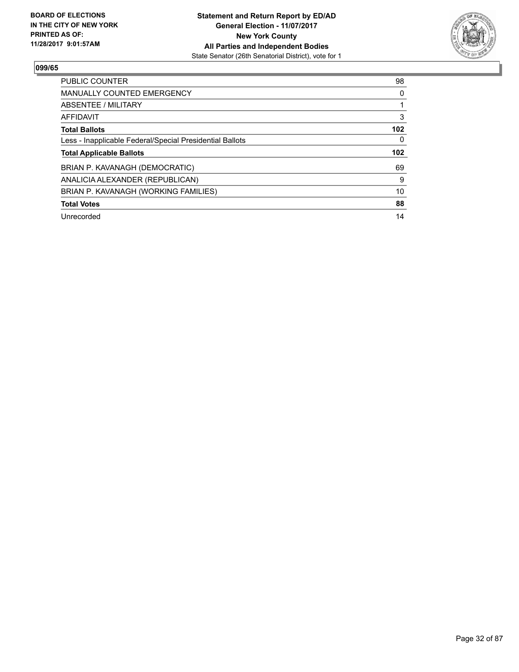

| <b>PUBLIC COUNTER</b>                                    | 98               |
|----------------------------------------------------------|------------------|
| <b>MANUALLY COUNTED EMERGENCY</b>                        | 0                |
| ABSENTEE / MILITARY                                      |                  |
| AFFIDAVIT                                                | 3                |
| <b>Total Ballots</b>                                     | 102              |
| Less - Inapplicable Federal/Special Presidential Ballots | 0                |
|                                                          |                  |
| <b>Total Applicable Ballots</b>                          | 102 <sub>2</sub> |
| BRIAN P. KAVANAGH (DEMOCRATIC)                           | 69               |
| ANALICIA ALEXANDER (REPUBLICAN)                          | 9                |
| BRIAN P. KAVANAGH (WORKING FAMILIES)                     | 10               |
| <b>Total Votes</b>                                       | 88               |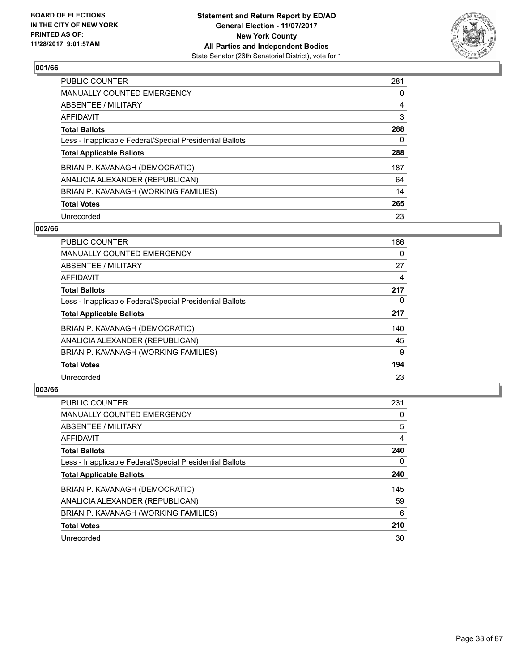

| <b>PUBLIC COUNTER</b>                                    | 281 |
|----------------------------------------------------------|-----|
| <b>MANUALLY COUNTED EMERGENCY</b>                        | 0   |
| ABSENTEE / MILITARY                                      | 4   |
| AFFIDAVIT                                                | 3   |
| <b>Total Ballots</b>                                     | 288 |
| Less - Inapplicable Federal/Special Presidential Ballots | 0   |
| <b>Total Applicable Ballots</b>                          | 288 |
| BRIAN P. KAVANAGH (DEMOCRATIC)                           | 187 |
| ANALICIA ALEXANDER (REPUBLICAN)                          | 64  |
| BRIAN P. KAVANAGH (WORKING FAMILIES)                     | 14  |
| <b>Total Votes</b>                                       | 265 |
| Unrecorded                                               | 23  |

#### **002/66**

| <b>PUBLIC COUNTER</b>                                    | 186 |
|----------------------------------------------------------|-----|
| <b>MANUALLY COUNTED EMERGENCY</b>                        | 0   |
| ABSENTEE / MILITARY                                      | 27  |
| <b>AFFIDAVIT</b>                                         | 4   |
| <b>Total Ballots</b>                                     | 217 |
| Less - Inapplicable Federal/Special Presidential Ballots | 0   |
| <b>Total Applicable Ballots</b>                          | 217 |
| BRIAN P. KAVANAGH (DEMOCRATIC)                           | 140 |
| ANALICIA ALEXANDER (REPUBLICAN)                          | 45  |
| BRIAN P. KAVANAGH (WORKING FAMILIES)                     | 9   |
| <b>Total Votes</b>                                       | 194 |
| Unrecorded                                               | 23  |

| <b>PUBLIC COUNTER</b>                                    | 231 |
|----------------------------------------------------------|-----|
| <b>MANUALLY COUNTED EMERGENCY</b>                        | 0   |
| ABSENTEE / MILITARY                                      | 5   |
| AFFIDAVIT                                                | 4   |
| <b>Total Ballots</b>                                     | 240 |
| Less - Inapplicable Federal/Special Presidential Ballots | 0   |
| <b>Total Applicable Ballots</b>                          | 240 |
| BRIAN P. KAVANAGH (DEMOCRATIC)                           | 145 |
| ANALICIA ALEXANDER (REPUBLICAN)                          | 59  |
| BRIAN P. KAVANAGH (WORKING FAMILIES)                     | 6   |
| <b>Total Votes</b>                                       | 210 |
| Unrecorded                                               | 30  |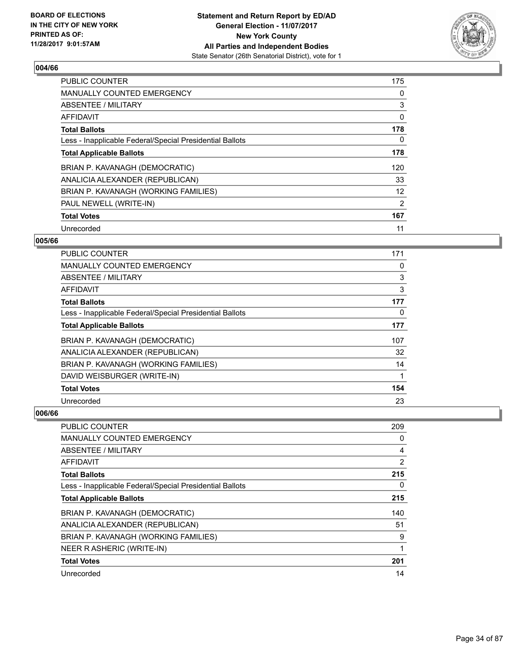

| <b>PUBLIC COUNTER</b>                                    | 175 |
|----------------------------------------------------------|-----|
| <b>MANUALLY COUNTED EMERGENCY</b>                        | 0   |
| ABSENTEE / MILITARY                                      | 3   |
| <b>AFFIDAVIT</b>                                         | 0   |
| <b>Total Ballots</b>                                     | 178 |
| Less - Inapplicable Federal/Special Presidential Ballots | 0   |
| <b>Total Applicable Ballots</b>                          | 178 |
| BRIAN P. KAVANAGH (DEMOCRATIC)                           | 120 |
| ANALICIA ALEXANDER (REPUBLICAN)                          | 33  |
| BRIAN P. KAVANAGH (WORKING FAMILIES)                     | 12  |
| PAUL NEWELL (WRITE-IN)                                   | 2   |
| <b>Total Votes</b>                                       | 167 |
| Unrecorded                                               | 11  |

## **005/66**

| <b>PUBLIC COUNTER</b>                                    | 171 |
|----------------------------------------------------------|-----|
| MANUALLY COUNTED EMERGENCY                               | 0   |
| ABSENTEE / MILITARY                                      | 3   |
| AFFIDAVIT                                                | 3   |
| <b>Total Ballots</b>                                     | 177 |
| Less - Inapplicable Federal/Special Presidential Ballots | 0   |
| <b>Total Applicable Ballots</b>                          | 177 |
| BRIAN P. KAVANAGH (DEMOCRATIC)                           | 107 |
| ANALICIA ALEXANDER (REPUBLICAN)                          | 32  |
| BRIAN P. KAVANAGH (WORKING FAMILIES)                     | 14  |
| DAVID WEISBURGER (WRITE-IN)                              |     |
| <b>Total Votes</b>                                       | 154 |
| Unrecorded                                               | 23  |

| PUBLIC COUNTER                                           | 209            |
|----------------------------------------------------------|----------------|
| MANUALLY COUNTED EMERGENCY                               | 0              |
| ABSENTEE / MILITARY                                      | 4              |
| AFFIDAVIT                                                | $\overline{2}$ |
| <b>Total Ballots</b>                                     | 215            |
| Less - Inapplicable Federal/Special Presidential Ballots | 0              |
| <b>Total Applicable Ballots</b>                          | 215            |
| BRIAN P. KAVANAGH (DEMOCRATIC)                           | 140            |
| ANALICIA ALEXANDER (REPUBLICAN)                          | 51             |
| BRIAN P. KAVANAGH (WORKING FAMILIES)                     | 9              |
| NEER R ASHERIC (WRITE-IN)                                | 1              |
| <b>Total Votes</b>                                       | 201            |
| Unrecorded                                               | 14             |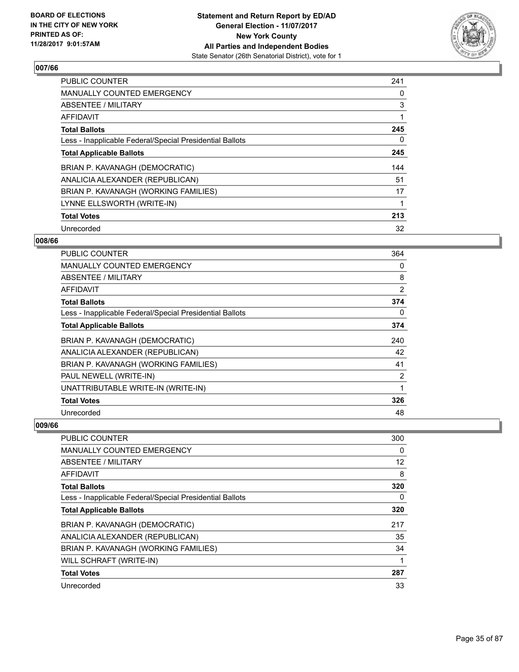

| <b>PUBLIC COUNTER</b>                                    | 241 |
|----------------------------------------------------------|-----|
| <b>MANUALLY COUNTED EMERGENCY</b>                        | 0   |
| ABSENTEE / MILITARY                                      | 3   |
| <b>AFFIDAVIT</b>                                         |     |
| <b>Total Ballots</b>                                     | 245 |
| Less - Inapplicable Federal/Special Presidential Ballots | 0   |
| <b>Total Applicable Ballots</b>                          | 245 |
| BRIAN P. KAVANAGH (DEMOCRATIC)                           | 144 |
| ANALICIA ALEXANDER (REPUBLICAN)                          | 51  |
| BRIAN P. KAVANAGH (WORKING FAMILIES)                     | 17  |
| LYNNE ELLSWORTH (WRITE-IN)                               |     |
| <b>Total Votes</b>                                       | 213 |
| Unrecorded                                               | 32  |

## **008/66**

| <b>PUBLIC COUNTER</b>                                    | 364 |
|----------------------------------------------------------|-----|
| <b>MANUALLY COUNTED EMERGENCY</b>                        | 0   |
| ABSENTEE / MILITARY                                      | 8   |
| <b>AFFIDAVIT</b>                                         | 2   |
| <b>Total Ballots</b>                                     | 374 |
| Less - Inapplicable Federal/Special Presidential Ballots | 0   |
| <b>Total Applicable Ballots</b>                          | 374 |
| BRIAN P. KAVANAGH (DEMOCRATIC)                           | 240 |
| ANALICIA ALEXANDER (REPUBLICAN)                          | 42  |
| BRIAN P. KAVANAGH (WORKING FAMILIES)                     | 41  |
| PAUL NEWELL (WRITE-IN)                                   | 2   |
| UNATTRIBUTABLE WRITE-IN (WRITE-IN)                       | 1   |
| <b>Total Votes</b>                                       | 326 |
| Unrecorded                                               | 48  |

| PUBLIC COUNTER                                           | 300 |
|----------------------------------------------------------|-----|
| MANUALLY COUNTED EMERGENCY                               | 0   |
| ABSENTEE / MILITARY                                      | 12  |
| AFFIDAVIT                                                | 8   |
| <b>Total Ballots</b>                                     | 320 |
| Less - Inapplicable Federal/Special Presidential Ballots | 0   |
| <b>Total Applicable Ballots</b>                          | 320 |
| BRIAN P. KAVANAGH (DEMOCRATIC)                           | 217 |
| ANALICIA ALEXANDER (REPUBLICAN)                          | 35  |
| BRIAN P. KAVANAGH (WORKING FAMILIES)                     | 34  |
| WILL SCHRAFT (WRITE-IN)                                  |     |
| <b>Total Votes</b>                                       | 287 |
| Unrecorded                                               | 33  |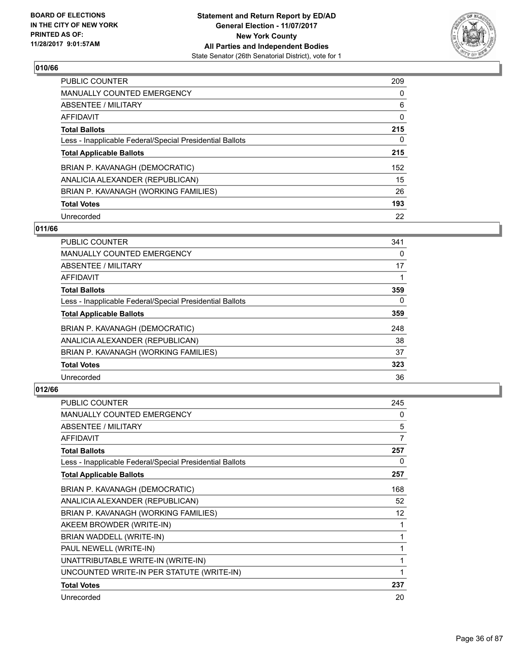

| <b>PUBLIC COUNTER</b>                                    | 209 |
|----------------------------------------------------------|-----|
| <b>MANUALLY COUNTED EMERGENCY</b>                        | 0   |
| ABSENTEE / MILITARY                                      | 6   |
| AFFIDAVIT                                                | 0   |
| <b>Total Ballots</b>                                     | 215 |
| Less - Inapplicable Federal/Special Presidential Ballots | 0   |
| <b>Total Applicable Ballots</b>                          | 215 |
| BRIAN P. KAVANAGH (DEMOCRATIC)                           | 152 |
| ANALICIA ALEXANDER (REPUBLICAN)                          | 15  |
| BRIAN P. KAVANAGH (WORKING FAMILIES)                     | 26  |
| <b>Total Votes</b>                                       | 193 |
| Unrecorded                                               | 22  |

## **011/66**

| <b>PUBLIC COUNTER</b>                                    | 341      |
|----------------------------------------------------------|----------|
| <b>MANUALLY COUNTED EMERGENCY</b>                        | 0        |
| ABSENTEE / MILITARY                                      | 17       |
| <b>AFFIDAVIT</b>                                         |          |
| <b>Total Ballots</b>                                     | 359      |
| Less - Inapplicable Federal/Special Presidential Ballots | $\Omega$ |
| <b>Total Applicable Ballots</b>                          | 359      |
| BRIAN P. KAVANAGH (DEMOCRATIC)                           | 248      |
| ANALICIA ALEXANDER (REPUBLICAN)                          | 38       |
| BRIAN P. KAVANAGH (WORKING FAMILIES)                     | 37       |
| <b>Total Votes</b>                                       | 323      |
| Unrecorded                                               | 36       |

| <b>PUBLIC COUNTER</b>                                    | 245 |
|----------------------------------------------------------|-----|
| <b>MANUALLY COUNTED EMERGENCY</b>                        | 0   |
| ABSENTEE / MILITARY                                      | 5   |
| <b>AFFIDAVIT</b>                                         | 7   |
| <b>Total Ballots</b>                                     | 257 |
| Less - Inapplicable Federal/Special Presidential Ballots | 0   |
| <b>Total Applicable Ballots</b>                          | 257 |
| BRIAN P. KAVANAGH (DEMOCRATIC)                           | 168 |
| ANALICIA ALEXANDER (REPUBLICAN)                          | 52  |
| BRIAN P. KAVANAGH (WORKING FAMILIES)                     | 12  |
| AKEEM BROWDER (WRITE-IN)                                 | 1   |
| BRIAN WADDELL (WRITE-IN)                                 | 1   |
| PAUL NEWELL (WRITE-IN)                                   | 1   |
| UNATTRIBUTABLE WRITE-IN (WRITE-IN)                       | 1   |
| UNCOUNTED WRITE-IN PER STATUTE (WRITE-IN)                | 1   |
| <b>Total Votes</b>                                       | 237 |
| Unrecorded                                               | 20  |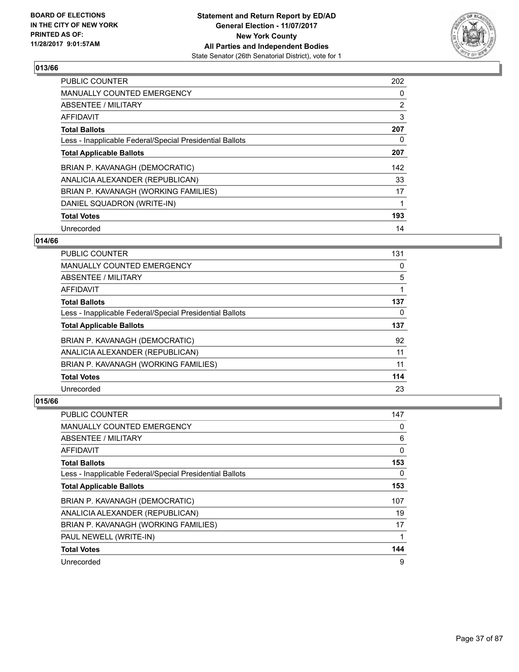

| <b>PUBLIC COUNTER</b>                                    | 202            |
|----------------------------------------------------------|----------------|
| <b>MANUALLY COUNTED EMERGENCY</b>                        | 0              |
| ABSENTEE / MILITARY                                      | $\overline{2}$ |
| <b>AFFIDAVIT</b>                                         | 3              |
| <b>Total Ballots</b>                                     | 207            |
| Less - Inapplicable Federal/Special Presidential Ballots | 0              |
| <b>Total Applicable Ballots</b>                          | 207            |
| BRIAN P. KAVANAGH (DEMOCRATIC)                           | 142            |
| ANALICIA ALEXANDER (REPUBLICAN)                          | 33             |
| BRIAN P. KAVANAGH (WORKING FAMILIES)                     | 17             |
| DANIEL SQUADRON (WRITE-IN)                               |                |
| <b>Total Votes</b>                                       | 193            |
| Unrecorded                                               | 14             |

## **014/66**

| <b>PUBLIC COUNTER</b>                                    | 131 |
|----------------------------------------------------------|-----|
| <b>MANUALLY COUNTED EMERGENCY</b>                        | 0   |
| ABSENTEE / MILITARY                                      | 5   |
| <b>AFFIDAVIT</b>                                         |     |
| <b>Total Ballots</b>                                     | 137 |
| Less - Inapplicable Federal/Special Presidential Ballots | 0   |
| <b>Total Applicable Ballots</b>                          | 137 |
| BRIAN P. KAVANAGH (DEMOCRATIC)                           | 92  |
| ANALICIA ALEXANDER (REPUBLICAN)                          | 11  |
| BRIAN P. KAVANAGH (WORKING FAMILIES)                     | 11  |
| <b>Total Votes</b>                                       | 114 |
| Unrecorded                                               | 23  |

| <b>PUBLIC COUNTER</b>                                    | 147 |
|----------------------------------------------------------|-----|
| <b>MANUALLY COUNTED EMERGENCY</b>                        | 0   |
| ABSENTEE / MILITARY                                      | 6   |
| AFFIDAVIT                                                | 0   |
| <b>Total Ballots</b>                                     | 153 |
| Less - Inapplicable Federal/Special Presidential Ballots | 0   |
| <b>Total Applicable Ballots</b>                          | 153 |
| BRIAN P. KAVANAGH (DEMOCRATIC)                           | 107 |
| ANALICIA ALEXANDER (REPUBLICAN)                          | 19  |
| BRIAN P. KAVANAGH (WORKING FAMILIES)                     | 17  |
| PAUL NEWELL (WRITE-IN)                                   |     |
| <b>Total Votes</b>                                       | 144 |
| Unrecorded                                               | 9   |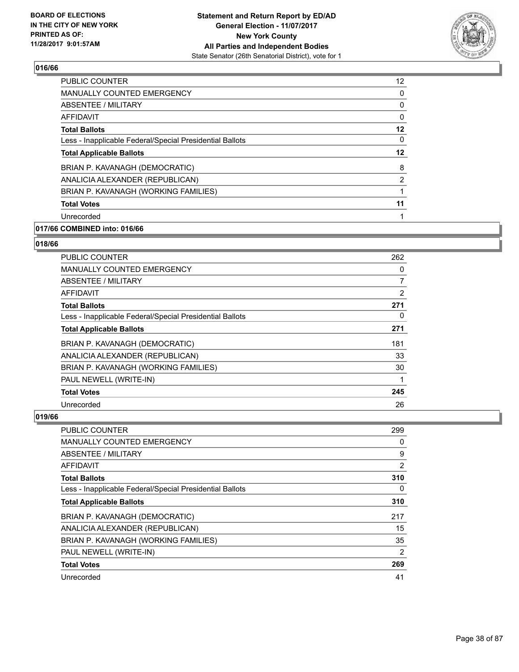

| <b>PUBLIC COUNTER</b>                                    | 12 |
|----------------------------------------------------------|----|
| <b>MANUALLY COUNTED EMERGENCY</b>                        | 0  |
| ABSENTEE / MILITARY                                      | 0  |
| AFFIDAVIT                                                | 0  |
| <b>Total Ballots</b>                                     | 12 |
| Less - Inapplicable Federal/Special Presidential Ballots | 0  |
| <b>Total Applicable Ballots</b>                          | 12 |
| BRIAN P. KAVANAGH (DEMOCRATIC)                           | 8  |
| ANALICIA ALEXANDER (REPUBLICAN)                          | 2  |
| BRIAN P. KAVANAGH (WORKING FAMILIES)                     |    |
| <b>Total Votes</b>                                       | 11 |
| Unrecorded                                               |    |
|                                                          |    |

# **017/66 COMBINED into: 016/66**

# **018/66**

| PUBLIC COUNTER                                           | 262 |
|----------------------------------------------------------|-----|
| <b>MANUALLY COUNTED EMERGENCY</b>                        | 0   |
| ABSENTEE / MILITARY                                      | 7   |
| <b>AFFIDAVIT</b>                                         | 2   |
| <b>Total Ballots</b>                                     | 271 |
| Less - Inapplicable Federal/Special Presidential Ballots | 0   |
| <b>Total Applicable Ballots</b>                          | 271 |
| BRIAN P. KAVANAGH (DEMOCRATIC)                           | 181 |
| ANALICIA ALEXANDER (REPUBLICAN)                          | 33  |
| BRIAN P. KAVANAGH (WORKING FAMILIES)                     | 30  |
| PAUL NEWELL (WRITE-IN)                                   |     |
| <b>Total Votes</b>                                       | 245 |
| Unrecorded                                               | 26  |

| <b>PUBLIC COUNTER</b>                                    | 299      |
|----------------------------------------------------------|----------|
| <b>MANUALLY COUNTED EMERGENCY</b>                        | 0        |
| ABSENTEE / MILITARY                                      | 9        |
| AFFIDAVIT                                                | 2        |
| <b>Total Ballots</b>                                     | 310      |
| Less - Inapplicable Federal/Special Presidential Ballots | $\Omega$ |
| <b>Total Applicable Ballots</b>                          | 310      |
| BRIAN P. KAVANAGH (DEMOCRATIC)                           | 217      |
| ANALICIA ALEXANDER (REPUBLICAN)                          | 15       |
| BRIAN P. KAVANAGH (WORKING FAMILIES)                     | 35       |
| PAUL NEWELL (WRITE-IN)                                   | 2        |
| <b>Total Votes</b>                                       | 269      |
| Unrecorded                                               | 41       |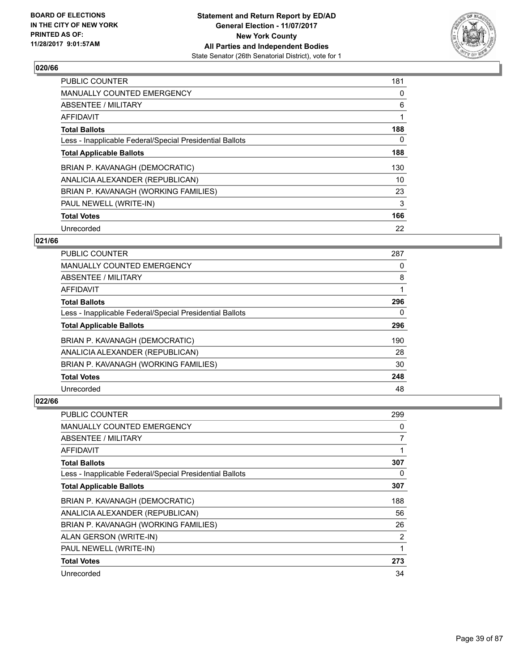

| <b>PUBLIC COUNTER</b>                                    | 181 |
|----------------------------------------------------------|-----|
| <b>MANUALLY COUNTED EMERGENCY</b>                        | 0   |
| ABSENTEE / MILITARY                                      | 6   |
| AFFIDAVIT                                                |     |
| <b>Total Ballots</b>                                     | 188 |
| Less - Inapplicable Federal/Special Presidential Ballots | 0   |
| <b>Total Applicable Ballots</b>                          | 188 |
| BRIAN P. KAVANAGH (DEMOCRATIC)                           | 130 |
| ANALICIA ALEXANDER (REPUBLICAN)                          | 10  |
| BRIAN P. KAVANAGH (WORKING FAMILIES)                     | 23  |
| PAUL NEWELL (WRITE-IN)                                   | 3   |
| <b>Total Votes</b>                                       | 166 |
| Unrecorded                                               | 22  |

# **021/66**

| <b>PUBLIC COUNTER</b>                                    | 287 |
|----------------------------------------------------------|-----|
| <b>MANUALLY COUNTED EMERGENCY</b>                        | 0   |
| ABSENTEE / MILITARY                                      | 8   |
| <b>AFFIDAVIT</b>                                         |     |
| <b>Total Ballots</b>                                     | 296 |
| Less - Inapplicable Federal/Special Presidential Ballots | 0   |
| <b>Total Applicable Ballots</b>                          | 296 |
| BRIAN P. KAVANAGH (DEMOCRATIC)                           | 190 |
| ANALICIA ALEXANDER (REPUBLICAN)                          | 28  |
| BRIAN P. KAVANAGH (WORKING FAMILIES)                     | 30  |
| <b>Total Votes</b>                                       | 248 |
| Unrecorded                                               | 48  |

| <b>PUBLIC COUNTER</b>                                    | 299 |
|----------------------------------------------------------|-----|
| <b>MANUALLY COUNTED EMERGENCY</b>                        | 0   |
| ABSENTEE / MILITARY                                      | 7   |
| AFFIDAVIT                                                |     |
| <b>Total Ballots</b>                                     | 307 |
| Less - Inapplicable Federal/Special Presidential Ballots | 0   |
| <b>Total Applicable Ballots</b>                          | 307 |
| BRIAN P. KAVANAGH (DEMOCRATIC)                           | 188 |
| ANALICIA ALEXANDER (REPUBLICAN)                          | 56  |
| BRIAN P. KAVANAGH (WORKING FAMILIES)                     | 26  |
| ALAN GERSON (WRITE-IN)                                   | 2   |
| PAUL NEWELL (WRITE-IN)                                   | 1   |
| <b>Total Votes</b>                                       | 273 |
| Unrecorded                                               | 34  |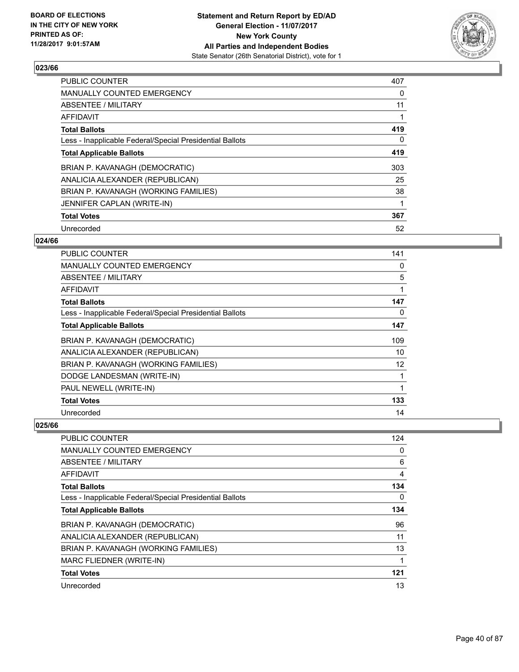

| <b>PUBLIC COUNTER</b>                                    | 407 |
|----------------------------------------------------------|-----|
| <b>MANUALLY COUNTED EMERGENCY</b>                        | 0   |
| ABSENTEE / MILITARY                                      | 11  |
| AFFIDAVIT                                                |     |
| <b>Total Ballots</b>                                     | 419 |
| Less - Inapplicable Federal/Special Presidential Ballots | 0   |
| <b>Total Applicable Ballots</b>                          | 419 |
| BRIAN P. KAVANAGH (DEMOCRATIC)                           | 303 |
| ANALICIA ALEXANDER (REPUBLICAN)                          | 25  |
| BRIAN P. KAVANAGH (WORKING FAMILIES)                     | 38  |
| JENNIFER CAPLAN (WRITE-IN)                               |     |
| <b>Total Votes</b>                                       | 367 |
| Unrecorded                                               | 52  |

## **024/66**

| PUBLIC COUNTER                                           | 141 |
|----------------------------------------------------------|-----|
| <b>MANUALLY COUNTED EMERGENCY</b>                        | 0   |
| ABSENTEE / MILITARY                                      | 5   |
| AFFIDAVIT                                                | 1   |
| <b>Total Ballots</b>                                     | 147 |
| Less - Inapplicable Federal/Special Presidential Ballots | 0   |
| <b>Total Applicable Ballots</b>                          | 147 |
| BRIAN P. KAVANAGH (DEMOCRATIC)                           | 109 |
| ANALICIA ALEXANDER (REPUBLICAN)                          | 10  |
| BRIAN P. KAVANAGH (WORKING FAMILIES)                     | 12  |
| DODGE LANDESMAN (WRITE-IN)                               | 1   |
| PAUL NEWELL (WRITE-IN)                                   | 1   |
| <b>Total Votes</b>                                       | 133 |
| Unrecorded                                               | 14  |

| PUBLIC COUNTER                                           | 124 |
|----------------------------------------------------------|-----|
| MANUALLY COUNTED EMERGENCY                               | 0   |
| ABSENTEE / MILITARY                                      | 6   |
| AFFIDAVIT                                                | 4   |
| <b>Total Ballots</b>                                     | 134 |
| Less - Inapplicable Federal/Special Presidential Ballots | 0   |
| <b>Total Applicable Ballots</b>                          | 134 |
| BRIAN P. KAVANAGH (DEMOCRATIC)                           | 96  |
| ANALICIA ALEXANDER (REPUBLICAN)                          | 11  |
| BRIAN P. KAVANAGH (WORKING FAMILIES)                     | 13  |
| MARC FLIEDNER (WRITE-IN)                                 |     |
| <b>Total Votes</b>                                       | 121 |
| Unrecorded                                               | 13  |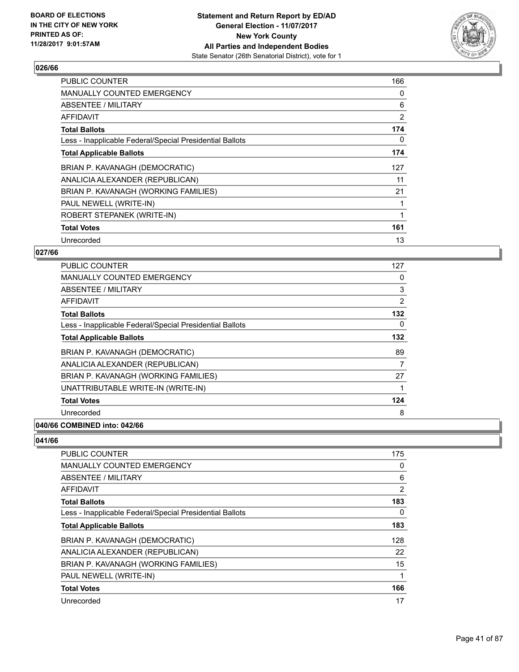

| <b>PUBLIC COUNTER</b>                                    | 166 |
|----------------------------------------------------------|-----|
| <b>MANUALLY COUNTED EMERGENCY</b>                        | 0   |
| <b>ABSENTEE / MILITARY</b>                               | 6   |
| AFFIDAVIT                                                | 2   |
| <b>Total Ballots</b>                                     | 174 |
| Less - Inapplicable Federal/Special Presidential Ballots | 0   |
| <b>Total Applicable Ballots</b>                          | 174 |
| BRIAN P. KAVANAGH (DEMOCRATIC)                           | 127 |
| ANALICIA ALEXANDER (REPUBLICAN)                          | 11  |
| BRIAN P. KAVANAGH (WORKING FAMILIES)                     | 21  |
| PAUL NEWELL (WRITE-IN)                                   |     |
| ROBERT STEPANEK (WRITE-IN)                               |     |
| <b>Total Votes</b>                                       | 161 |
| Unrecorded                                               | 13  |

## **027/66**

| <b>PUBLIC COUNTER</b>                                    | 127 |
|----------------------------------------------------------|-----|
| <b>MANUALLY COUNTED EMERGENCY</b>                        | 0   |
| ABSENTEE / MILITARY                                      | 3   |
| AFFIDAVIT                                                | 2   |
| <b>Total Ballots</b>                                     | 132 |
| Less - Inapplicable Federal/Special Presidential Ballots | 0   |
| <b>Total Applicable Ballots</b>                          | 132 |
| BRIAN P. KAVANAGH (DEMOCRATIC)                           | 89  |
| ANALICIA ALEXANDER (REPUBLICAN)                          | 7   |
| BRIAN P. KAVANAGH (WORKING FAMILIES)                     | 27  |
| UNATTRIBUTABLE WRITE-IN (WRITE-IN)                       |     |
| <b>Total Votes</b>                                       | 124 |
| Unrecorded                                               | 8   |
|                                                          |     |

# **040/66 COMBINED into: 042/66**

| PUBLIC COUNTER                                           | 175 |
|----------------------------------------------------------|-----|
| <b>MANUALLY COUNTED EMERGENCY</b>                        | 0   |
| ABSENTEE / MILITARY                                      | 6   |
| AFFIDAVIT                                                | 2   |
| <b>Total Ballots</b>                                     | 183 |
| Less - Inapplicable Federal/Special Presidential Ballots | 0   |
| <b>Total Applicable Ballots</b>                          | 183 |
| BRIAN P. KAVANAGH (DEMOCRATIC)                           | 128 |
| ANALICIA ALEXANDER (REPUBLICAN)                          | 22  |
| BRIAN P. KAVANAGH (WORKING FAMILIES)                     | 15  |
| PAUL NEWELL (WRITE-IN)                                   | 1   |
| <b>Total Votes</b>                                       | 166 |
| Unrecorded                                               | 17  |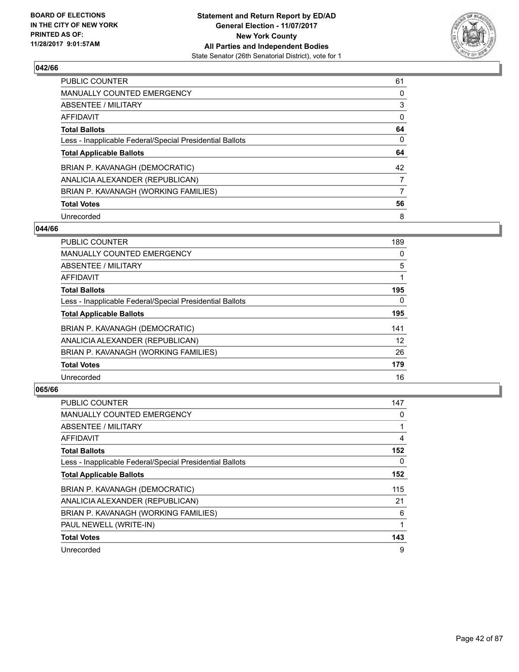

| <b>PUBLIC COUNTER</b>                                    | 61 |
|----------------------------------------------------------|----|
| <b>MANUALLY COUNTED EMERGENCY</b>                        | 0  |
| ABSENTEE / MILITARY                                      | 3  |
| AFFIDAVIT                                                | 0  |
| <b>Total Ballots</b>                                     | 64 |
| Less - Inapplicable Federal/Special Presidential Ballots | 0  |
| <b>Total Applicable Ballots</b>                          | 64 |
| BRIAN P. KAVANAGH (DEMOCRATIC)                           | 42 |
| ANALICIA ALEXANDER (REPUBLICAN)                          | 7  |
| BRIAN P. KAVANAGH (WORKING FAMILIES)                     | 7  |
| <b>Total Votes</b>                                       | 56 |
| Unrecorded                                               | 8  |

#### **044/66**

| <b>PUBLIC COUNTER</b>                                    | 189      |
|----------------------------------------------------------|----------|
| <b>MANUALLY COUNTED EMERGENCY</b>                        | 0        |
| ABSENTEE / MILITARY                                      | 5        |
| <b>AFFIDAVIT</b>                                         |          |
| <b>Total Ballots</b>                                     | 195      |
| Less - Inapplicable Federal/Special Presidential Ballots | $\Omega$ |
| <b>Total Applicable Ballots</b>                          | 195      |
| BRIAN P. KAVANAGH (DEMOCRATIC)                           | 141      |
| ANALICIA ALEXANDER (REPUBLICAN)                          | 12       |
| BRIAN P. KAVANAGH (WORKING FAMILIES)                     | 26       |
| <b>Total Votes</b>                                       | 179      |
| Unrecorded                                               | 16       |

| <b>PUBLIC COUNTER</b>                                    | 147 |
|----------------------------------------------------------|-----|
| <b>MANUALLY COUNTED EMERGENCY</b>                        | 0   |
| ABSENTEE / MILITARY                                      |     |
| AFFIDAVIT                                                | 4   |
| <b>Total Ballots</b>                                     | 152 |
| Less - Inapplicable Federal/Special Presidential Ballots | 0   |
| <b>Total Applicable Ballots</b>                          | 152 |
| BRIAN P. KAVANAGH (DEMOCRATIC)                           | 115 |
| ANALICIA ALEXANDER (REPUBLICAN)                          | 21  |
| BRIAN P. KAVANAGH (WORKING FAMILIES)                     | 6   |
| PAUL NEWELL (WRITE-IN)                                   |     |
| <b>Total Votes</b>                                       | 143 |
| Unrecorded                                               | 9   |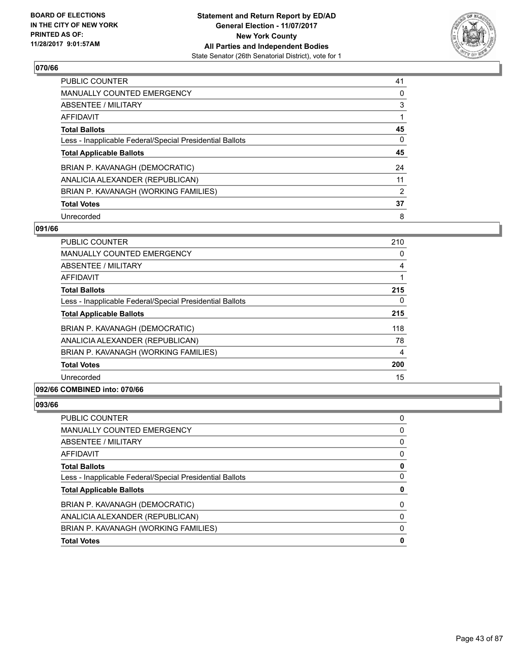

| PUBLIC COUNTER                                           | 41 |
|----------------------------------------------------------|----|
| <b>MANUALLY COUNTED EMERGENCY</b>                        | 0  |
| ABSENTEE / MILITARY                                      | 3  |
| AFFIDAVIT                                                |    |
| <b>Total Ballots</b>                                     | 45 |
| Less - Inapplicable Federal/Special Presidential Ballots | 0  |
| <b>Total Applicable Ballots</b>                          | 45 |
| BRIAN P. KAVANAGH (DEMOCRATIC)                           | 24 |
| ANALICIA ALEXANDER (REPUBLICAN)                          | 11 |
| BRIAN P. KAVANAGH (WORKING FAMILIES)                     | 2  |
| <b>Total Votes</b>                                       | 37 |
|                                                          |    |

#### **091/66**

| <b>PUBLIC COUNTER</b>                                    | 210 |
|----------------------------------------------------------|-----|
| <b>MANUALLY COUNTED EMERGENCY</b>                        | 0   |
| ABSENTEE / MILITARY                                      | 4   |
| AFFIDAVIT                                                |     |
| <b>Total Ballots</b>                                     | 215 |
| Less - Inapplicable Federal/Special Presidential Ballots | 0   |
| <b>Total Applicable Ballots</b>                          | 215 |
| BRIAN P. KAVANAGH (DEMOCRATIC)                           | 118 |
| ANALICIA ALEXANDER (REPUBLICAN)                          | 78  |
| BRIAN P. KAVANAGH (WORKING FAMILIES)                     | 4   |
| <b>Total Votes</b>                                       | 200 |
| Unrecorded                                               | 15  |
|                                                          |     |

#### **092/66 COMBINED into: 070/66**

| <b>Total Votes</b>                                       |   |
|----------------------------------------------------------|---|
| BRIAN P. KAVANAGH (WORKING FAMILIES)                     | 0 |
| ANALICIA ALEXANDER (REPUBLICAN)                          | O |
| BRIAN P. KAVANAGH (DEMOCRATIC)                           | 0 |
| <b>Total Applicable Ballots</b>                          | 0 |
| Less - Inapplicable Federal/Special Presidential Ballots |   |
| <b>Total Ballots</b>                                     |   |
| AFFIDAVIT                                                | 0 |
| <b>ABSENTEE / MILITARY</b>                               | 0 |
| <b>MANUALLY COUNTED EMERGENCY</b>                        | 0 |
| <b>PUBLIC COUNTER</b>                                    | 0 |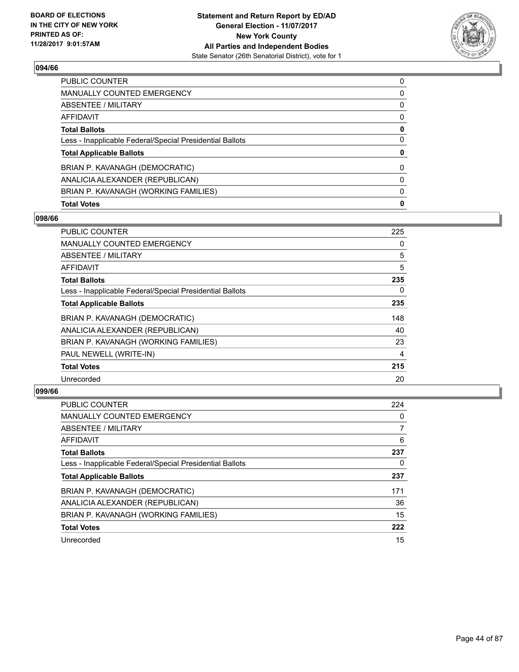

| <b>Total Votes</b>                                       | 0        |
|----------------------------------------------------------|----------|
| BRIAN P. KAVANAGH (WORKING FAMILIES)                     | 0        |
| ANALICIA ALEXANDER (REPUBLICAN)                          | 0        |
| BRIAN P. KAVANAGH (DEMOCRATIC)                           | $\Omega$ |
| <b>Total Applicable Ballots</b>                          | 0        |
| Less - Inapplicable Federal/Special Presidential Ballots | 0        |
| <b>Total Ballots</b>                                     | 0        |
| AFFIDAVIT                                                | 0        |
| ABSENTEE / MILITARY                                      | 0        |
| <b>MANUALLY COUNTED EMERGENCY</b>                        | 0        |
| <b>PUBLIC COUNTER</b>                                    | 0        |

## **098/66**

| PUBLIC COUNTER                                           | 225 |
|----------------------------------------------------------|-----|
| <b>MANUALLY COUNTED EMERGENCY</b>                        | 0   |
| ABSENTEE / MILITARY                                      | 5   |
| AFFIDAVIT                                                | 5   |
| <b>Total Ballots</b>                                     | 235 |
| Less - Inapplicable Federal/Special Presidential Ballots | 0   |
| <b>Total Applicable Ballots</b>                          | 235 |
| BRIAN P. KAVANAGH (DEMOCRATIC)                           | 148 |
| ANALICIA ALEXANDER (REPUBLICAN)                          | 40  |
| BRIAN P. KAVANAGH (WORKING FAMILIES)                     | 23  |
| PAUL NEWELL (WRITE-IN)                                   | 4   |
| <b>Total Votes</b>                                       | 215 |
| Unrecorded                                               | 20  |

| <b>PUBLIC COUNTER</b>                                    | 224 |
|----------------------------------------------------------|-----|
| <b>MANUALLY COUNTED EMERGENCY</b>                        | 0   |
| ABSENTEE / MILITARY                                      |     |
| AFFIDAVIT                                                | 6   |
| <b>Total Ballots</b>                                     | 237 |
| Less - Inapplicable Federal/Special Presidential Ballots | 0   |
| <b>Total Applicable Ballots</b>                          | 237 |
| BRIAN P. KAVANAGH (DEMOCRATIC)                           | 171 |
| ANALICIA ALEXANDER (REPUBLICAN)                          | 36  |
| BRIAN P. KAVANAGH (WORKING FAMILIES)                     | 15  |
| <b>Total Votes</b>                                       | 222 |
| Unrecorded                                               | 15  |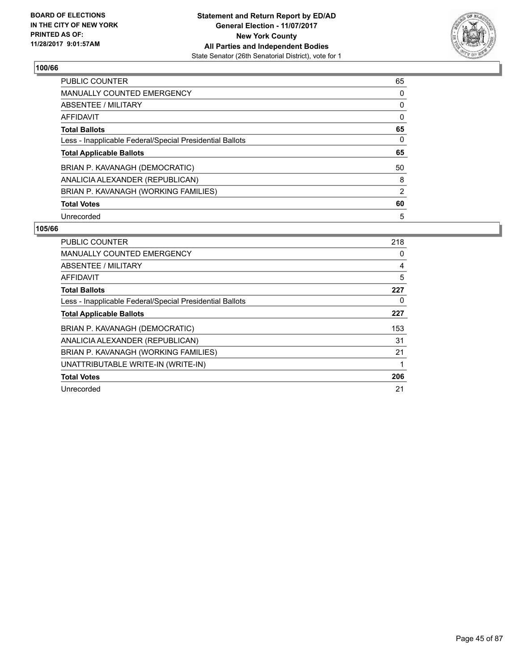

| <b>PUBLIC COUNTER</b>                                    | 65 |
|----------------------------------------------------------|----|
| <b>MANUALLY COUNTED EMERGENCY</b>                        | 0  |
| ABSENTEE / MILITARY                                      | 0  |
| <b>AFFIDAVIT</b>                                         | 0  |
| <b>Total Ballots</b>                                     | 65 |
| Less - Inapplicable Federal/Special Presidential Ballots | 0  |
| <b>Total Applicable Ballots</b>                          | 65 |
| BRIAN P. KAVANAGH (DEMOCRATIC)                           | 50 |
| ANALICIA ALEXANDER (REPUBLICAN)                          | 8  |
| BRIAN P. KAVANAGH (WORKING FAMILIES)                     | 2  |
| <b>Total Votes</b>                                       | 60 |
|                                                          |    |

| <b>PUBLIC COUNTER</b>                                    | 218 |
|----------------------------------------------------------|-----|
| <b>MANUALLY COUNTED EMERGENCY</b>                        | 0   |
| ABSENTEE / MILITARY                                      | 4   |
| AFFIDAVIT                                                | 5   |
| <b>Total Ballots</b>                                     | 227 |
| Less - Inapplicable Federal/Special Presidential Ballots | 0   |
| <b>Total Applicable Ballots</b>                          | 227 |
| BRIAN P. KAVANAGH (DEMOCRATIC)                           | 153 |
| ANALICIA ALEXANDER (REPUBLICAN)                          | 31  |
| BRIAN P. KAVANAGH (WORKING FAMILIES)                     | 21  |
| UNATTRIBUTABLE WRITE-IN (WRITE-IN)                       | 1   |
| <b>Total Votes</b>                                       | 206 |
| Unrecorded                                               | 21  |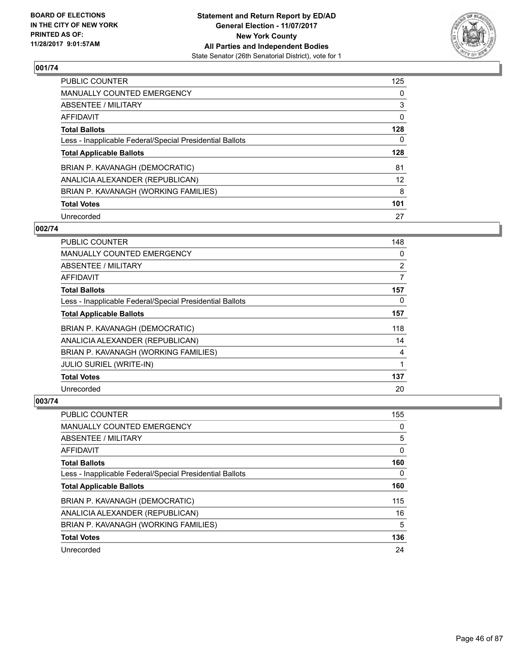

| <b>PUBLIC COUNTER</b>                                    | 125 |
|----------------------------------------------------------|-----|
| MANUALLY COUNTED EMERGENCY                               | 0   |
| ABSENTEE / MILITARY                                      | 3   |
| AFFIDAVIT                                                | 0   |
| <b>Total Ballots</b>                                     | 128 |
| Less - Inapplicable Federal/Special Presidential Ballots | 0   |
| <b>Total Applicable Ballots</b>                          | 128 |
| BRIAN P. KAVANAGH (DEMOCRATIC)                           | 81  |
| ANALICIA ALEXANDER (REPUBLICAN)                          | 12  |
| BRIAN P. KAVANAGH (WORKING FAMILIES)                     | 8   |
| <b>Total Votes</b>                                       | 101 |
| Unrecorded                                               | 27  |

# **002/74**

| <b>PUBLIC COUNTER</b>                                    | 148 |
|----------------------------------------------------------|-----|
| <b>MANUALLY COUNTED EMERGENCY</b>                        | 0   |
| ABSENTEE / MILITARY                                      | 2   |
| <b>AFFIDAVIT</b>                                         | 7   |
| <b>Total Ballots</b>                                     | 157 |
| Less - Inapplicable Federal/Special Presidential Ballots | 0   |
| <b>Total Applicable Ballots</b>                          | 157 |
| BRIAN P. KAVANAGH (DEMOCRATIC)                           | 118 |
| ANALICIA ALEXANDER (REPUBLICAN)                          | 14  |
| BRIAN P. KAVANAGH (WORKING FAMILIES)                     | 4   |
| <b>JULIO SURIEL (WRITE-IN)</b>                           | 1   |
| <b>Total Votes</b>                                       | 137 |
| Unrecorded                                               | 20  |

| PUBLIC COUNTER                                           | 155 |
|----------------------------------------------------------|-----|
| <b>MANUALLY COUNTED EMERGENCY</b>                        | 0   |
| ABSENTEE / MILITARY                                      | 5   |
| AFFIDAVIT                                                | 0   |
| <b>Total Ballots</b>                                     | 160 |
| Less - Inapplicable Federal/Special Presidential Ballots | 0   |
| <b>Total Applicable Ballots</b>                          | 160 |
| BRIAN P. KAVANAGH (DEMOCRATIC)                           | 115 |
| ANALICIA ALEXANDER (REPUBLICAN)                          | 16  |
| BRIAN P. KAVANAGH (WORKING FAMILIES)                     | 5   |
|                                                          |     |
| <b>Total Votes</b>                                       | 136 |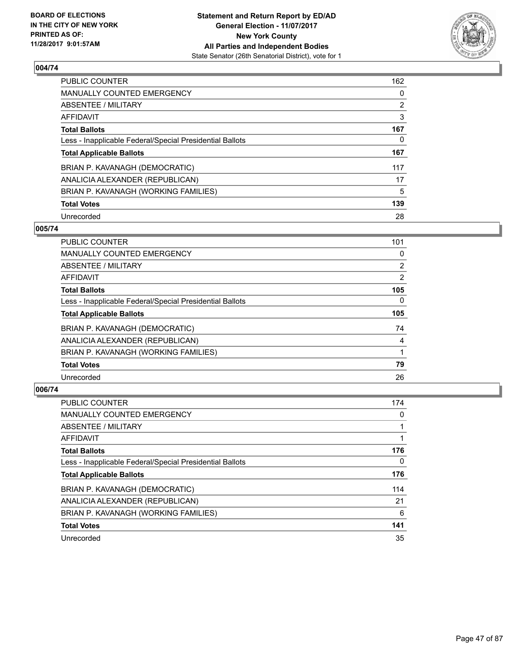

| <b>PUBLIC COUNTER</b>                                    | 162            |
|----------------------------------------------------------|----------------|
| MANUALLY COUNTED EMERGENCY                               | 0              |
| ABSENTEE / MILITARY                                      | $\overline{2}$ |
| AFFIDAVIT                                                | 3              |
| <b>Total Ballots</b>                                     | 167            |
| Less - Inapplicable Federal/Special Presidential Ballots | 0              |
| <b>Total Applicable Ballots</b>                          | 167            |
| BRIAN P. KAVANAGH (DEMOCRATIC)                           | 117            |
| ANALICIA ALEXANDER (REPUBLICAN)                          | 17             |
| BRIAN P. KAVANAGH (WORKING FAMILIES)                     | 5              |
| <b>Total Votes</b>                                       | 139            |
| Unrecorded                                               | 28             |

#### **005/74**

| <b>PUBLIC COUNTER</b>                                    | 101            |
|----------------------------------------------------------|----------------|
| <b>MANUALLY COUNTED EMERGENCY</b>                        | 0              |
| ABSENTEE / MILITARY                                      | $\overline{2}$ |
| <b>AFFIDAVIT</b>                                         | 2              |
| <b>Total Ballots</b>                                     | 105            |
| Less - Inapplicable Federal/Special Presidential Ballots | $\Omega$       |
| <b>Total Applicable Ballots</b>                          | 105            |
| BRIAN P. KAVANAGH (DEMOCRATIC)                           | 74             |
| ANALICIA ALEXANDER (REPUBLICAN)                          | 4              |
| BRIAN P. KAVANAGH (WORKING FAMILIES)                     |                |
| <b>Total Votes</b>                                       | 79             |
| Unrecorded                                               | 26             |

| <b>PUBLIC COUNTER</b>                                    | 174 |
|----------------------------------------------------------|-----|
| <b>MANUALLY COUNTED EMERGENCY</b>                        | 0   |
| ABSENTEE / MILITARY                                      |     |
| AFFIDAVIT                                                |     |
| <b>Total Ballots</b>                                     | 176 |
| Less - Inapplicable Federal/Special Presidential Ballots | 0   |
| <b>Total Applicable Ballots</b>                          | 176 |
| BRIAN P. KAVANAGH (DEMOCRATIC)                           | 114 |
| ANALICIA ALEXANDER (REPUBLICAN)                          | 21  |
| BRIAN P. KAVANAGH (WORKING FAMILIES)                     | 6   |
| <b>Total Votes</b>                                       | 141 |
| Unrecorded                                               | 35  |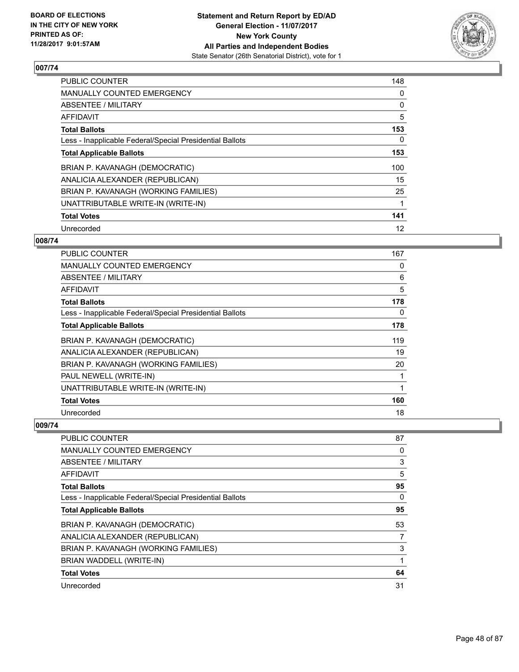

| <b>PUBLIC COUNTER</b>                                    | 148 |
|----------------------------------------------------------|-----|
| <b>MANUALLY COUNTED EMERGENCY</b>                        | 0   |
| ABSENTEE / MILITARY                                      | 0   |
| AFFIDAVIT                                                | 5   |
| <b>Total Ballots</b>                                     | 153 |
| Less - Inapplicable Federal/Special Presidential Ballots | 0   |
| <b>Total Applicable Ballots</b>                          | 153 |
| BRIAN P. KAVANAGH (DEMOCRATIC)                           | 100 |
| ANALICIA ALEXANDER (REPUBLICAN)                          | 15  |
| BRIAN P. KAVANAGH (WORKING FAMILIES)                     | 25  |
| UNATTRIBUTABLE WRITE-IN (WRITE-IN)                       |     |
| <b>Total Votes</b>                                       | 141 |
| Unrecorded                                               | 12  |

## **008/74**

| PUBLIC COUNTER                                           | 167 |
|----------------------------------------------------------|-----|
| <b>MANUALLY COUNTED EMERGENCY</b>                        | 0   |
| ABSENTEE / MILITARY                                      | 6   |
| AFFIDAVIT                                                | 5   |
| <b>Total Ballots</b>                                     | 178 |
| Less - Inapplicable Federal/Special Presidential Ballots | 0   |
| <b>Total Applicable Ballots</b>                          | 178 |
| BRIAN P. KAVANAGH (DEMOCRATIC)                           | 119 |
| ANALICIA ALEXANDER (REPUBLICAN)                          | 19  |
| BRIAN P. KAVANAGH (WORKING FAMILIES)                     | 20  |
| PAUL NEWELL (WRITE-IN)                                   | 1   |
| UNATTRIBUTABLE WRITE-IN (WRITE-IN)                       | 1   |
| <b>Total Votes</b>                                       | 160 |
| Unrecorded                                               | 18  |

| PUBLIC COUNTER                                           | 87 |
|----------------------------------------------------------|----|
| <b>MANUALLY COUNTED EMERGENCY</b>                        | 0  |
| ABSENTEE / MILITARY                                      | 3  |
| AFFIDAVIT                                                | 5  |
| <b>Total Ballots</b>                                     | 95 |
| Less - Inapplicable Federal/Special Presidential Ballots | 0  |
| <b>Total Applicable Ballots</b>                          | 95 |
| BRIAN P. KAVANAGH (DEMOCRATIC)                           | 53 |
| ANALICIA ALEXANDER (REPUBLICAN)                          | 7  |
| BRIAN P. KAVANAGH (WORKING FAMILIES)                     | 3  |
| BRIAN WADDELL (WRITE-IN)                                 |    |
| <b>Total Votes</b>                                       | 64 |
| Unrecorded                                               | 31 |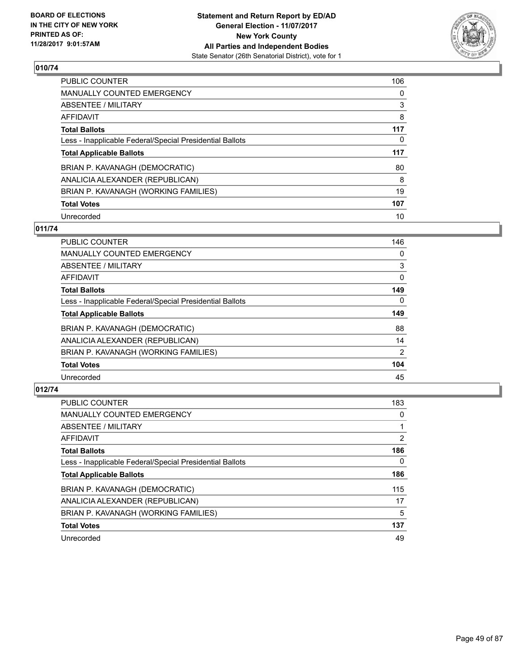

| PUBLIC COUNTER                                           | 106 |
|----------------------------------------------------------|-----|
| <b>MANUALLY COUNTED EMERGENCY</b>                        | 0   |
| ABSENTEE / MILITARY                                      | 3   |
| AFFIDAVIT                                                | 8   |
| <b>Total Ballots</b>                                     | 117 |
| Less - Inapplicable Federal/Special Presidential Ballots | 0   |
| <b>Total Applicable Ballots</b>                          | 117 |
| BRIAN P. KAVANAGH (DEMOCRATIC)                           | 80  |
| ANALICIA ALEXANDER (REPUBLICAN)                          | 8   |
| BRIAN P. KAVANAGH (WORKING FAMILIES)                     | 19  |
| <b>Total Votes</b>                                       | 107 |
| Unrecorded                                               | 10  |

## **011/74**

| <b>PUBLIC COUNTER</b>                                    | 146      |
|----------------------------------------------------------|----------|
| <b>MANUALLY COUNTED EMERGENCY</b>                        | 0        |
| ABSENTEE / MILITARY                                      | 3        |
| <b>AFFIDAVIT</b>                                         | $\Omega$ |
| <b>Total Ballots</b>                                     | 149      |
| Less - Inapplicable Federal/Special Presidential Ballots | $\Omega$ |
| <b>Total Applicable Ballots</b>                          | 149      |
| BRIAN P. KAVANAGH (DEMOCRATIC)                           | 88       |
| ANALICIA ALEXANDER (REPUBLICAN)                          | 14       |
| BRIAN P. KAVANAGH (WORKING FAMILIES)                     | 2        |
| <b>Total Votes</b>                                       | 104      |
| Unrecorded                                               | 45       |

| <b>PUBLIC COUNTER</b>                                    | 183            |
|----------------------------------------------------------|----------------|
| <b>MANUALLY COUNTED EMERGENCY</b>                        | 0              |
| ABSENTEE / MILITARY                                      |                |
| AFFIDAVIT                                                | $\overline{2}$ |
| <b>Total Ballots</b>                                     | 186            |
| Less - Inapplicable Federal/Special Presidential Ballots | 0              |
| <b>Total Applicable Ballots</b>                          | 186            |
| BRIAN P. KAVANAGH (DEMOCRATIC)                           | 115            |
| ANALICIA ALEXANDER (REPUBLICAN)                          | 17             |
| BRIAN P. KAVANAGH (WORKING FAMILIES)                     | 5              |
| <b>Total Votes</b>                                       | 137            |
| Unrecorded                                               | 49             |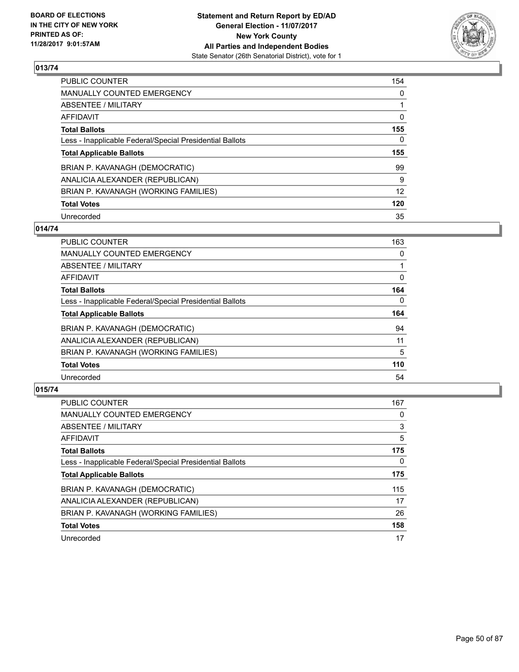

| <b>PUBLIC COUNTER</b>                                    | 154 |
|----------------------------------------------------------|-----|
| MANUALLY COUNTED EMERGENCY                               | 0   |
| ABSENTEE / MILITARY                                      |     |
| AFFIDAVIT                                                | 0   |
| <b>Total Ballots</b>                                     | 155 |
| Less - Inapplicable Federal/Special Presidential Ballots | 0   |
| <b>Total Applicable Ballots</b>                          | 155 |
| BRIAN P. KAVANAGH (DEMOCRATIC)                           | 99  |
| ANALICIA ALEXANDER (REPUBLICAN)                          | 9   |
| BRIAN P. KAVANAGH (WORKING FAMILIES)                     | 12  |
| <b>Total Votes</b>                                       | 120 |
| Unrecorded                                               | 35  |

#### **014/74**

| <b>PUBLIC COUNTER</b>                                    | 163      |
|----------------------------------------------------------|----------|
| <b>MANUALLY COUNTED EMERGENCY</b>                        | 0        |
| ABSENTEE / MILITARY                                      |          |
| <b>AFFIDAVIT</b>                                         | 0        |
| <b>Total Ballots</b>                                     | 164      |
| Less - Inapplicable Federal/Special Presidential Ballots | $\Omega$ |
| <b>Total Applicable Ballots</b>                          | 164      |
| BRIAN P. KAVANAGH (DEMOCRATIC)                           | 94       |
| ANALICIA ALEXANDER (REPUBLICAN)                          | 11       |
| BRIAN P. KAVANAGH (WORKING FAMILIES)                     | 5        |
| <b>Total Votes</b>                                       | 110      |
| Unrecorded                                               | 54       |

| PUBLIC COUNTER                                           | 167 |
|----------------------------------------------------------|-----|
| <b>MANUALLY COUNTED EMERGENCY</b>                        | 0   |
| ABSENTEE / MILITARY                                      | 3   |
| AFFIDAVIT                                                | 5   |
| <b>Total Ballots</b>                                     | 175 |
| Less - Inapplicable Federal/Special Presidential Ballots | 0   |
| <b>Total Applicable Ballots</b>                          | 175 |
| BRIAN P. KAVANAGH (DEMOCRATIC)                           | 115 |
| ANALICIA ALEXANDER (REPUBLICAN)                          | 17  |
| BRIAN P. KAVANAGH (WORKING FAMILIES)                     | 26  |
| <b>Total Votes</b>                                       | 158 |
| Unrecorded                                               | 17  |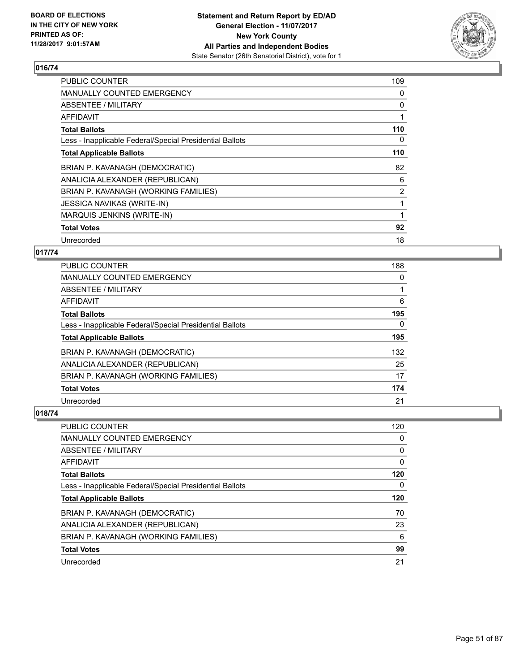

| <b>PUBLIC COUNTER</b>                                    | 109 |
|----------------------------------------------------------|-----|
| <b>MANUALLY COUNTED EMERGENCY</b>                        | 0   |
| ABSENTEE / MILITARY                                      | 0   |
| <b>AFFIDAVIT</b>                                         |     |
| <b>Total Ballots</b>                                     | 110 |
| Less - Inapplicable Federal/Special Presidential Ballots | 0   |
| <b>Total Applicable Ballots</b>                          | 110 |
| BRIAN P. KAVANAGH (DEMOCRATIC)                           | 82  |
|                                                          | 6   |
| ANALICIA ALEXANDER (REPUBLICAN)                          |     |
| BRIAN P. KAVANAGH (WORKING FAMILIES)                     | 2   |
| <b>JESSICA NAVIKAS (WRITE-IN)</b>                        |     |
| MARQUIS JENKINS (WRITE-IN)                               |     |
| <b>Total Votes</b>                                       | 92  |

## **017/74**

| <b>PUBLIC COUNTER</b>                                    | 188      |
|----------------------------------------------------------|----------|
| MANUALLY COUNTED EMERGENCY                               | 0        |
| ABSENTEE / MILITARY                                      |          |
| AFFIDAVIT                                                | 6        |
| <b>Total Ballots</b>                                     | 195      |
| Less - Inapplicable Federal/Special Presidential Ballots | $\Omega$ |
| <b>Total Applicable Ballots</b>                          | 195      |
| BRIAN P. KAVANAGH (DEMOCRATIC)                           | 132      |
| ANALICIA ALEXANDER (REPUBLICAN)                          | 25       |
| BRIAN P. KAVANAGH (WORKING FAMILIES)                     | 17       |
| <b>Total Votes</b>                                       | 174      |
| Unrecorded                                               | 21       |

| <b>PUBLIC COUNTER</b>                                    | 120 |
|----------------------------------------------------------|-----|
| <b>MANUALLY COUNTED EMERGENCY</b>                        | 0   |
| ABSENTEE / MILITARY                                      | 0   |
| AFFIDAVIT                                                | 0   |
| <b>Total Ballots</b>                                     | 120 |
| Less - Inapplicable Federal/Special Presidential Ballots | 0   |
| <b>Total Applicable Ballots</b>                          | 120 |
|                                                          |     |
| BRIAN P. KAVANAGH (DEMOCRATIC)                           | 70  |
| ANALICIA ALEXANDER (REPUBLICAN)                          | 23  |
| BRIAN P. KAVANAGH (WORKING FAMILIES)                     | 6   |
| <b>Total Votes</b>                                       | 99  |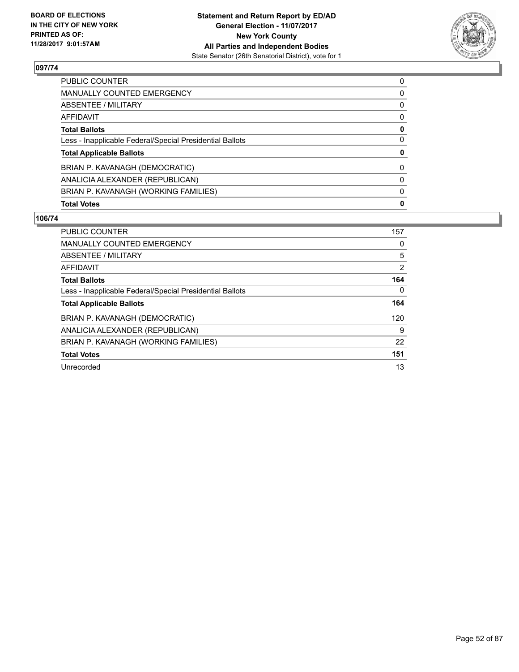

| <b>Total Votes</b>                                       | 0 |
|----------------------------------------------------------|---|
| BRIAN P. KAVANAGH (WORKING FAMILIES)                     | 0 |
| ANALICIA ALEXANDER (REPUBLICAN)                          | 0 |
| BRIAN P. KAVANAGH (DEMOCRATIC)                           | 0 |
| <b>Total Applicable Ballots</b>                          | 0 |
| Less - Inapplicable Federal/Special Presidential Ballots | 0 |
| <b>Total Ballots</b>                                     | 0 |
| AFFIDAVIT                                                | 0 |
| ABSENTEE / MILITARY                                      | 0 |
| MANUALLY COUNTED EMERGENCY                               | 0 |
| <b>PUBLIC COUNTER</b>                                    | 0 |

| <b>PUBLIC COUNTER</b>                                    | 157 |
|----------------------------------------------------------|-----|
| <b>MANUALLY COUNTED EMERGENCY</b>                        | 0   |
| ABSENTEE / MILITARY                                      | 5   |
| AFFIDAVIT                                                | 2   |
| <b>Total Ballots</b>                                     | 164 |
| Less - Inapplicable Federal/Special Presidential Ballots | 0   |
| <b>Total Applicable Ballots</b>                          | 164 |
| BRIAN P. KAVANAGH (DEMOCRATIC)                           | 120 |
| ANALICIA ALEXANDER (REPUBLICAN)                          | 9   |
| BRIAN P. KAVANAGH (WORKING FAMILIES)                     | 22  |
| <b>Total Votes</b>                                       | 151 |
| Unrecorded                                               | 13  |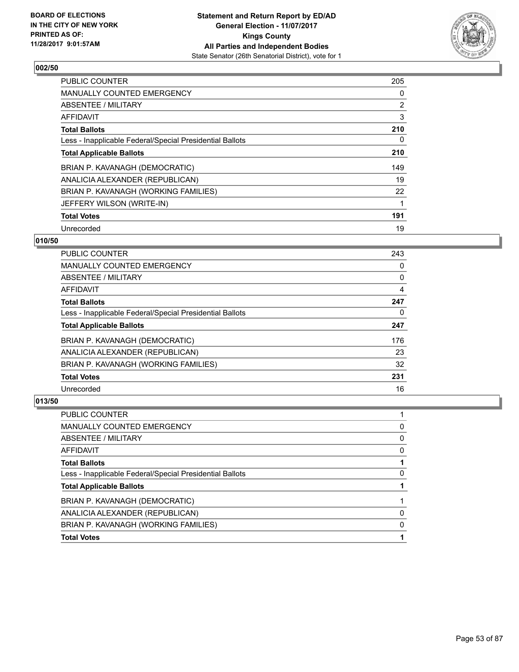

| <b>PUBLIC COUNTER</b>                                    | 205            |
|----------------------------------------------------------|----------------|
| <b>MANUALLY COUNTED EMERGENCY</b>                        | 0              |
| ABSENTEE / MILITARY                                      | $\overline{2}$ |
| AFFIDAVIT                                                | 3              |
| <b>Total Ballots</b>                                     | 210            |
| Less - Inapplicable Federal/Special Presidential Ballots | 0              |
| <b>Total Applicable Ballots</b>                          | 210            |
| BRIAN P. KAVANAGH (DEMOCRATIC)                           | 149            |
| ANALICIA ALEXANDER (REPUBLICAN)                          | 19             |
| BRIAN P. KAVANAGH (WORKING FAMILIES)                     | 22             |
| JEFFERY WILSON (WRITE-IN)                                |                |
| <b>Total Votes</b>                                       | 191            |
| Unrecorded                                               | 19             |

## **010/50**

| <b>PUBLIC COUNTER</b>                                    | 243 |
|----------------------------------------------------------|-----|
| <b>MANUALLY COUNTED EMERGENCY</b>                        | 0   |
| ABSENTEE / MILITARY                                      | 0   |
| AFFIDAVIT                                                | 4   |
| <b>Total Ballots</b>                                     | 247 |
| Less - Inapplicable Federal/Special Presidential Ballots | 0   |
| <b>Total Applicable Ballots</b>                          | 247 |
| BRIAN P. KAVANAGH (DEMOCRATIC)                           | 176 |
| ANALICIA ALEXANDER (REPUBLICAN)                          | 23  |
| BRIAN P. KAVANAGH (WORKING FAMILIES)                     | 32  |
| <b>Total Votes</b>                                       | 231 |
| Unrecorded                                               | 16  |

| PUBLIC COUNTER                                           |   |
|----------------------------------------------------------|---|
| <b>MANUALLY COUNTED EMERGENCY</b>                        | 0 |
| ABSENTEE / MILITARY                                      | 0 |
| AFFIDAVIT                                                | 0 |
| <b>Total Ballots</b>                                     |   |
| Less - Inapplicable Federal/Special Presidential Ballots | 0 |
| <b>Total Applicable Ballots</b>                          |   |
| BRIAN P. KAVANAGH (DEMOCRATIC)                           |   |
| ANALICIA ALEXANDER (REPUBLICAN)                          | 0 |
| BRIAN P. KAVANAGH (WORKING FAMILIES)                     | 0 |
| <b>Total Votes</b>                                       |   |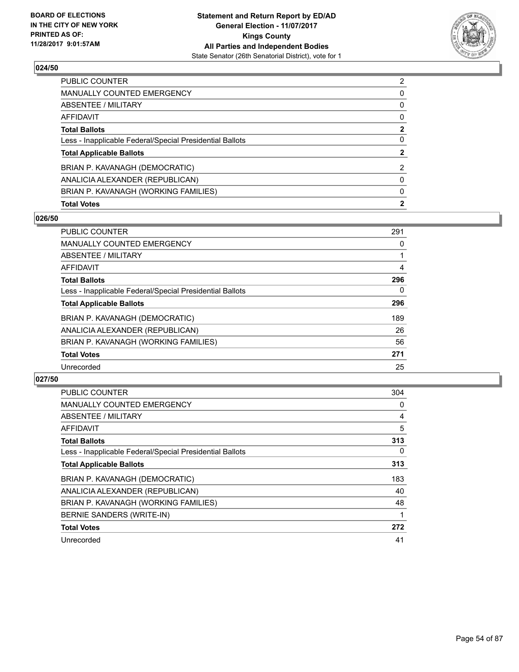

| <b>Total Votes</b>                                       | $\mathbf{2}$   |
|----------------------------------------------------------|----------------|
| BRIAN P. KAVANAGH (WORKING FAMILIES)                     | 0              |
| ANALICIA ALEXANDER (REPUBLICAN)                          | 0              |
| BRIAN P. KAVANAGH (DEMOCRATIC)                           | 2              |
| <b>Total Applicable Ballots</b>                          | $\mathbf{2}$   |
| Less - Inapplicable Federal/Special Presidential Ballots | 0              |
| <b>Total Ballots</b>                                     | $\mathbf{2}$   |
| AFFIDAVIT                                                | 0              |
| ABSENTEE / MILITARY                                      | 0              |
| MANUALLY COUNTED EMERGENCY                               | 0              |
| <b>PUBLIC COUNTER</b>                                    | $\overline{2}$ |

## **026/50**

| PUBLIC COUNTER                                           | 291 |
|----------------------------------------------------------|-----|
| <b>MANUALLY COUNTED EMERGENCY</b>                        | 0   |
| ABSENTEE / MILITARY                                      |     |
| AFFIDAVIT                                                | 4   |
| <b>Total Ballots</b>                                     | 296 |
| Less - Inapplicable Federal/Special Presidential Ballots | 0   |
| <b>Total Applicable Ballots</b>                          | 296 |
| BRIAN P. KAVANAGH (DEMOCRATIC)                           | 189 |
| ANALICIA ALEXANDER (REPUBLICAN)                          | 26  |
| BRIAN P. KAVANAGH (WORKING FAMILIES)                     | 56  |
| <b>Total Votes</b>                                       | 271 |
| Unrecorded                                               | 25  |

| <b>PUBLIC COUNTER</b>                                    | 304 |
|----------------------------------------------------------|-----|
| <b>MANUALLY COUNTED EMERGENCY</b>                        | 0   |
| ABSENTEE / MILITARY                                      | 4   |
| AFFIDAVIT                                                | 5   |
| <b>Total Ballots</b>                                     | 313 |
| Less - Inapplicable Federal/Special Presidential Ballots | 0   |
| <b>Total Applicable Ballots</b>                          | 313 |
| BRIAN P. KAVANAGH (DEMOCRATIC)                           | 183 |
| ANALICIA ALEXANDER (REPUBLICAN)                          | 40  |
| BRIAN P. KAVANAGH (WORKING FAMILIES)                     | 48  |
| BERNIE SANDERS (WRITE-IN)                                |     |
| <b>Total Votes</b>                                       | 272 |
| Unrecorded                                               | 41  |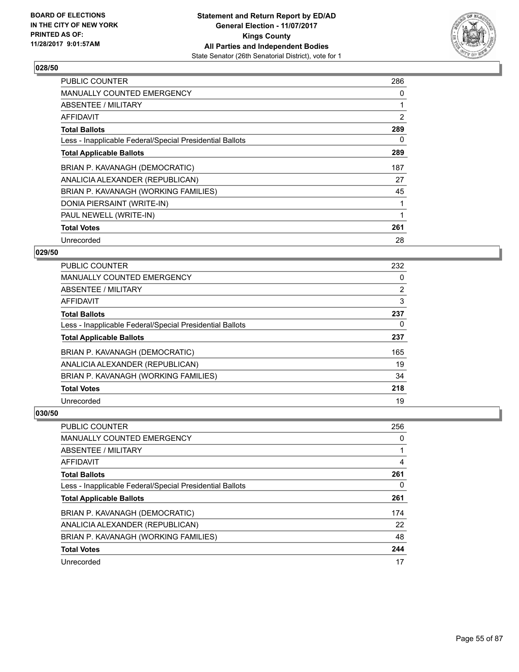

| <b>PUBLIC COUNTER</b>                                    | 286 |
|----------------------------------------------------------|-----|
| <b>MANUALLY COUNTED EMERGENCY</b>                        | 0   |
| ABSENTEE / MILITARY                                      |     |
| AFFIDAVIT                                                | 2   |
| <b>Total Ballots</b>                                     | 289 |
| Less - Inapplicable Federal/Special Presidential Ballots | 0   |
| <b>Total Applicable Ballots</b>                          | 289 |
| BRIAN P. KAVANAGH (DEMOCRATIC)                           | 187 |
| ANALICIA ALEXANDER (REPUBLICAN)                          | 27  |
| BRIAN P. KAVANAGH (WORKING FAMILIES)                     | 45  |
| DONIA PIERSAINT (WRITE-IN)                               |     |
| PAUL NEWELL (WRITE-IN)                                   |     |
| <b>Total Votes</b>                                       | 261 |
| Unrecorded                                               | 28  |

## **029/50**

| PUBLIC COUNTER                                           | 232            |
|----------------------------------------------------------|----------------|
| MANUALLY COUNTED EMERGENCY                               | 0              |
| ABSENTEE / MILITARY                                      | $\overline{2}$ |
| AFFIDAVIT                                                | 3              |
| <b>Total Ballots</b>                                     | 237            |
| Less - Inapplicable Federal/Special Presidential Ballots | 0              |
| <b>Total Applicable Ballots</b>                          | 237            |
| BRIAN P. KAVANAGH (DEMOCRATIC)                           | 165            |
| ANALICIA ALEXANDER (REPUBLICAN)                          | 19             |
| BRIAN P. KAVANAGH (WORKING FAMILIES)                     | 34             |
| <b>Total Votes</b>                                       | 218            |
| Unrecorded                                               | 19             |

| <b>PUBLIC COUNTER</b>                                    | 256 |
|----------------------------------------------------------|-----|
| <b>MANUALLY COUNTED EMERGENCY</b>                        | 0   |
| ABSENTEE / MILITARY                                      |     |
| AFFIDAVIT                                                | 4   |
| <b>Total Ballots</b>                                     | 261 |
| Less - Inapplicable Federal/Special Presidential Ballots | 0   |
| <b>Total Applicable Ballots</b>                          | 261 |
| BRIAN P. KAVANAGH (DEMOCRATIC)                           | 174 |
| ANALICIA ALEXANDER (REPUBLICAN)                          | 22  |
| BRIAN P. KAVANAGH (WORKING FAMILIES)                     | 48  |
| <b>Total Votes</b>                                       | 244 |
| Unrecorded                                               | 17  |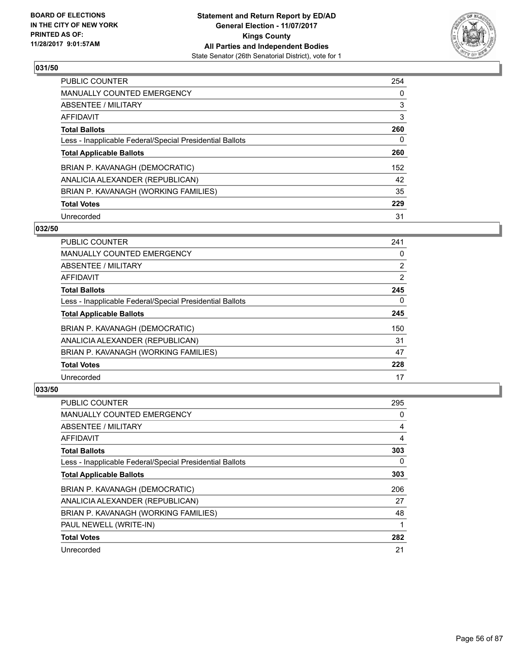

| <b>PUBLIC COUNTER</b>                                    | 254 |
|----------------------------------------------------------|-----|
| MANUALLY COUNTED EMERGENCY                               | 0   |
| ABSENTEE / MILITARY                                      | 3   |
| AFFIDAVIT                                                | 3   |
| <b>Total Ballots</b>                                     | 260 |
| Less - Inapplicable Federal/Special Presidential Ballots | 0   |
| <b>Total Applicable Ballots</b>                          | 260 |
| BRIAN P. KAVANAGH (DEMOCRATIC)                           | 152 |
| ANALICIA ALEXANDER (REPUBLICAN)                          | 42  |
| BRIAN P. KAVANAGH (WORKING FAMILIES)                     | 35  |
| <b>Total Votes</b>                                       | 229 |
| Unrecorded                                               | 31  |

#### **032/50**

| <b>PUBLIC COUNTER</b>                                    | 241            |
|----------------------------------------------------------|----------------|
| MANUALLY COUNTED EMERGENCY                               | 0              |
| ABSENTEE / MILITARY                                      | $\overline{2}$ |
| <b>AFFIDAVIT</b>                                         | 2              |
| <b>Total Ballots</b>                                     | 245            |
| Less - Inapplicable Federal/Special Presidential Ballots | $\Omega$       |
| <b>Total Applicable Ballots</b>                          | 245            |
| BRIAN P. KAVANAGH (DEMOCRATIC)                           | 150            |
| ANALICIA ALEXANDER (REPUBLICAN)                          | 31             |
| BRIAN P. KAVANAGH (WORKING FAMILIES)                     | 47             |
| <b>Total Votes</b>                                       | 228            |
| Unrecorded                                               | 17             |

| <b>PUBLIC COUNTER</b>                                    | 295 |
|----------------------------------------------------------|-----|
| MANUALLY COUNTED EMERGENCY                               | 0   |
| ABSENTEE / MILITARY                                      | 4   |
| AFFIDAVIT                                                | 4   |
| <b>Total Ballots</b>                                     | 303 |
| Less - Inapplicable Federal/Special Presidential Ballots | 0   |
| <b>Total Applicable Ballots</b>                          | 303 |
| BRIAN P. KAVANAGH (DEMOCRATIC)                           | 206 |
| ANALICIA ALEXANDER (REPUBLICAN)                          | 27  |
| BRIAN P. KAVANAGH (WORKING FAMILIES)                     | 48  |
| PAUL NEWELL (WRITE-IN)                                   |     |
| <b>Total Votes</b>                                       | 282 |
| Unrecorded                                               | 21  |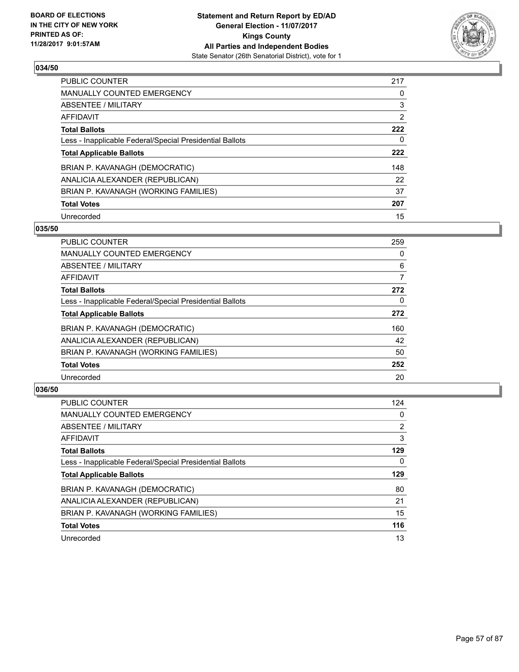

| <b>PUBLIC COUNTER</b>                                    | 217 |
|----------------------------------------------------------|-----|
| MANUALLY COUNTED EMERGENCY                               | 0   |
| ABSENTEE / MILITARY                                      | 3   |
| AFFIDAVIT                                                | 2   |
| <b>Total Ballots</b>                                     | 222 |
| Less - Inapplicable Federal/Special Presidential Ballots | 0   |
| <b>Total Applicable Ballots</b>                          | 222 |
| BRIAN P. KAVANAGH (DEMOCRATIC)                           | 148 |
| ANALICIA ALEXANDER (REPUBLICAN)                          | 22  |
| BRIAN P. KAVANAGH (WORKING FAMILIES)                     | 37  |
| <b>Total Votes</b>                                       | 207 |
| Unrecorded                                               | 15  |

#### **035/50**

| <b>PUBLIC COUNTER</b>                                    | 259 |
|----------------------------------------------------------|-----|
| <b>MANUALLY COUNTED EMERGENCY</b>                        | 0   |
| ABSENTEE / MILITARY                                      | 6   |
| <b>AFFIDAVIT</b>                                         | 7   |
| <b>Total Ballots</b>                                     | 272 |
| Less - Inapplicable Federal/Special Presidential Ballots | 0   |
| <b>Total Applicable Ballots</b>                          | 272 |
| BRIAN P. KAVANAGH (DEMOCRATIC)                           | 160 |
| ANALICIA ALEXANDER (REPUBLICAN)                          | 42  |
| BRIAN P. KAVANAGH (WORKING FAMILIES)                     | 50  |
| <b>Total Votes</b>                                       | 252 |
| Unrecorded                                               | 20  |

| <b>PUBLIC COUNTER</b>                                    | 124            |
|----------------------------------------------------------|----------------|
| <b>MANUALLY COUNTED EMERGENCY</b>                        | 0              |
| ABSENTEE / MILITARY                                      | $\overline{2}$ |
| <b>AFFIDAVIT</b>                                         | 3              |
| <b>Total Ballots</b>                                     | 129            |
| Less - Inapplicable Federal/Special Presidential Ballots | 0              |
| <b>Total Applicable Ballots</b>                          | 129            |
|                                                          |                |
| BRIAN P. KAVANAGH (DEMOCRATIC)                           | 80             |
| ANALICIA ALEXANDER (REPUBLICAN)                          | 21             |
| BRIAN P. KAVANAGH (WORKING FAMILIES)                     | 15             |
| <b>Total Votes</b>                                       | 116            |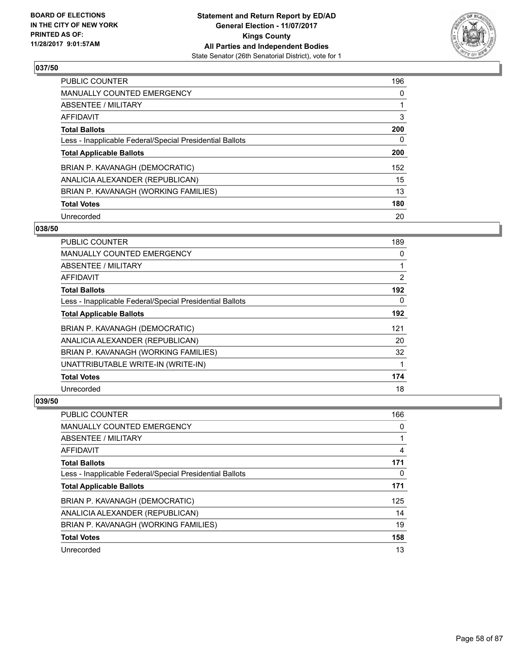

| PUBLIC COUNTER                                           | 196 |
|----------------------------------------------------------|-----|
| <b>MANUALLY COUNTED EMERGENCY</b>                        | 0   |
| ABSENTEE / MILITARY                                      |     |
| AFFIDAVIT                                                | 3   |
| <b>Total Ballots</b>                                     | 200 |
| Less - Inapplicable Federal/Special Presidential Ballots | 0   |
| <b>Total Applicable Ballots</b>                          | 200 |
| BRIAN P. KAVANAGH (DEMOCRATIC)                           | 152 |
| ANALICIA ALEXANDER (REPUBLICAN)                          | 15  |
| BRIAN P. KAVANAGH (WORKING FAMILIES)                     | 13  |
| <b>Total Votes</b>                                       | 180 |
| Unrecorded                                               | 20  |

#### **038/50**

| <b>PUBLIC COUNTER</b>                                    | 189            |
|----------------------------------------------------------|----------------|
| <b>MANUALLY COUNTED EMERGENCY</b>                        | 0              |
| ABSENTEE / MILITARY                                      |                |
| AFFIDAVIT                                                | $\overline{2}$ |
| <b>Total Ballots</b>                                     | 192            |
| Less - Inapplicable Federal/Special Presidential Ballots | 0              |
| <b>Total Applicable Ballots</b>                          | 192            |
| BRIAN P. KAVANAGH (DEMOCRATIC)                           | 121            |
| ANALICIA ALEXANDER (REPUBLICAN)                          | 20             |
| BRIAN P. KAVANAGH (WORKING FAMILIES)                     | 32             |
| UNATTRIBUTABLE WRITE-IN (WRITE-IN)                       |                |
| <b>Total Votes</b>                                       | 174            |
| Unrecorded                                               | 18             |

| <b>PUBLIC COUNTER</b>                                    | 166 |
|----------------------------------------------------------|-----|
| <b>MANUALLY COUNTED EMERGENCY</b>                        | 0   |
| ABSENTEE / MILITARY                                      |     |
| AFFIDAVIT                                                | 4   |
| <b>Total Ballots</b>                                     | 171 |
| Less - Inapplicable Federal/Special Presidential Ballots | 0   |
| <b>Total Applicable Ballots</b>                          | 171 |
| BRIAN P. KAVANAGH (DEMOCRATIC)                           | 125 |
| ANALICIA ALEXANDER (REPUBLICAN)                          | 14  |
| BRIAN P. KAVANAGH (WORKING FAMILIES)                     | 19  |
| <b>Total Votes</b>                                       | 158 |
| Unrecorded                                               | 13  |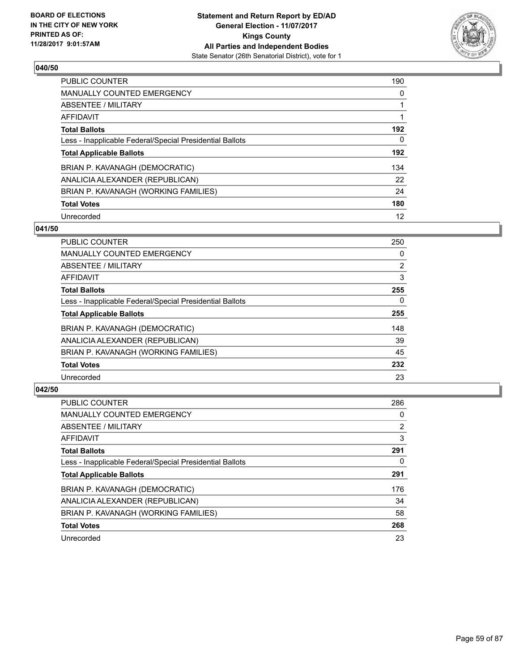

| <b>PUBLIC COUNTER</b>                                    | 190 |
|----------------------------------------------------------|-----|
| <b>MANUALLY COUNTED EMERGENCY</b>                        | 0   |
| ABSENTEE / MILITARY                                      |     |
| AFFIDAVIT                                                |     |
| <b>Total Ballots</b>                                     | 192 |
| Less - Inapplicable Federal/Special Presidential Ballots | 0   |
| <b>Total Applicable Ballots</b>                          | 192 |
| BRIAN P. KAVANAGH (DEMOCRATIC)                           | 134 |
| ANALICIA ALEXANDER (REPUBLICAN)                          | 22  |
| BRIAN P. KAVANAGH (WORKING FAMILIES)                     | 24  |
| <b>Total Votes</b>                                       | 180 |
| Unrecorded                                               | 12  |

#### **041/50**

| <b>PUBLIC COUNTER</b>                                    | 250            |
|----------------------------------------------------------|----------------|
| <b>MANUALLY COUNTED EMERGENCY</b>                        | 0              |
| ABSENTEE / MILITARY                                      | $\overline{2}$ |
| <b>AFFIDAVIT</b>                                         | 3              |
| <b>Total Ballots</b>                                     | 255            |
| Less - Inapplicable Federal/Special Presidential Ballots | $\Omega$       |
| <b>Total Applicable Ballots</b>                          | 255            |
| BRIAN P. KAVANAGH (DEMOCRATIC)                           | 148            |
| ANALICIA ALEXANDER (REPUBLICAN)                          | 39             |
| BRIAN P. KAVANAGH (WORKING FAMILIES)                     | 45             |
| <b>Total Votes</b>                                       | 232            |
| Unrecorded                                               | 23             |

| <b>PUBLIC COUNTER</b>                                    | 286 |
|----------------------------------------------------------|-----|
| <b>MANUALLY COUNTED EMERGENCY</b>                        | 0   |
| ABSENTEE / MILITARY                                      | 2   |
| <b>AFFIDAVIT</b>                                         | 3   |
| <b>Total Ballots</b>                                     | 291 |
| Less - Inapplicable Federal/Special Presidential Ballots | 0   |
| <b>Total Applicable Ballots</b>                          | 291 |
| BRIAN P. KAVANAGH (DEMOCRATIC)                           | 176 |
| ANALICIA ALEXANDER (REPUBLICAN)                          | 34  |
| BRIAN P. KAVANAGH (WORKING FAMILIES)                     | 58  |
| <b>Total Votes</b>                                       | 268 |
| Unrecorded                                               | 23  |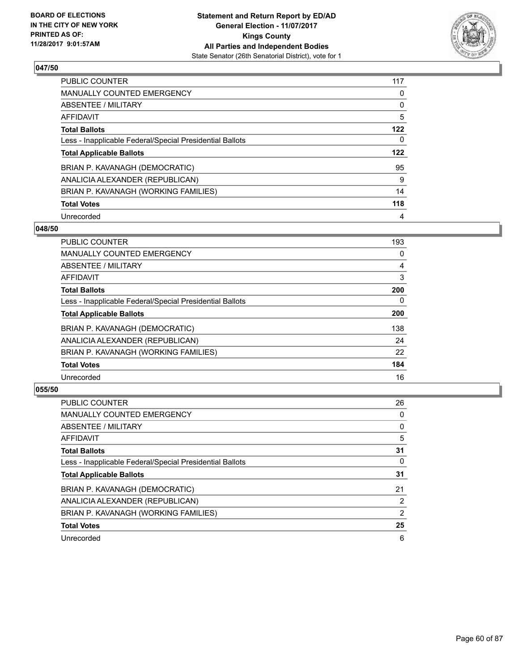

| <b>PUBLIC COUNTER</b>                                    | 117 |
|----------------------------------------------------------|-----|
| MANUALLY COUNTED EMERGENCY                               | 0   |
| ABSENTEE / MILITARY                                      | 0   |
| AFFIDAVIT                                                | 5   |
| <b>Total Ballots</b>                                     | 122 |
| Less - Inapplicable Federal/Special Presidential Ballots | 0   |
| <b>Total Applicable Ballots</b>                          | 122 |
| BRIAN P. KAVANAGH (DEMOCRATIC)                           | 95  |
| ANALICIA ALEXANDER (REPUBLICAN)                          | 9   |
| BRIAN P. KAVANAGH (WORKING FAMILIES)                     | 14  |
| <b>Total Votes</b>                                       | 118 |
| Unrecorded                                               | 4   |

#### **048/50**

| <b>PUBLIC COUNTER</b>                                    | 193      |
|----------------------------------------------------------|----------|
| <b>MANUALLY COUNTED EMERGENCY</b>                        | 0        |
| ABSENTEE / MILITARY                                      | 4        |
| <b>AFFIDAVIT</b>                                         | 3        |
| <b>Total Ballots</b>                                     | 200      |
| Less - Inapplicable Federal/Special Presidential Ballots | $\Omega$ |
| <b>Total Applicable Ballots</b>                          | 200      |
| BRIAN P. KAVANAGH (DEMOCRATIC)                           | 138      |
| ANALICIA ALEXANDER (REPUBLICAN)                          | 24       |
| BRIAN P. KAVANAGH (WORKING FAMILIES)                     | 22       |
| <b>Total Votes</b>                                       | 184      |
| Unrecorded                                               | 16       |

| <b>PUBLIC COUNTER</b>                                    | 26 |
|----------------------------------------------------------|----|
| <b>MANUALLY COUNTED EMERGENCY</b>                        | 0  |
| ABSENTEE / MILITARY                                      | 0  |
| AFFIDAVIT                                                | 5  |
| <b>Total Ballots</b>                                     | 31 |
| Less - Inapplicable Federal/Special Presidential Ballots | 0  |
| <b>Total Applicable Ballots</b>                          | 31 |
| BRIAN P. KAVANAGH (DEMOCRATIC)                           | 21 |
| ANALICIA ALEXANDER (REPUBLICAN)                          | 2  |
| BRIAN P. KAVANAGH (WORKING FAMILIES)                     | 2  |
| <b>Total Votes</b>                                       | 25 |
| Unrecorded                                               | 6  |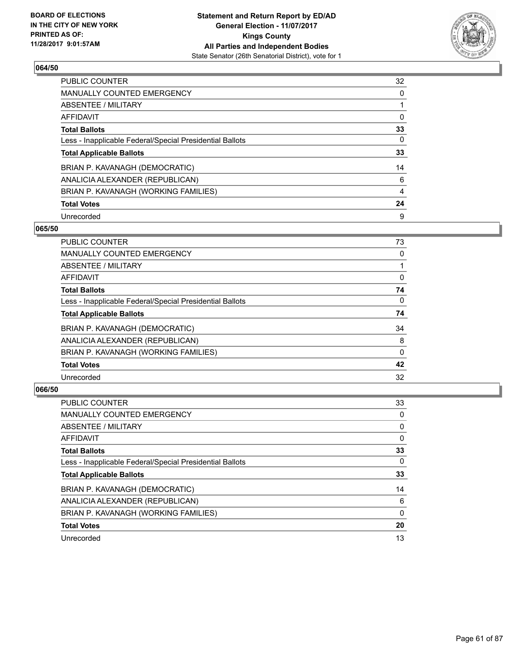

| <b>PUBLIC COUNTER</b>                                    | 32 |
|----------------------------------------------------------|----|
| MANUALLY COUNTED EMERGENCY                               | 0  |
| ABSENTEE / MILITARY                                      |    |
| AFFIDAVIT                                                | 0  |
| <b>Total Ballots</b>                                     | 33 |
| Less - Inapplicable Federal/Special Presidential Ballots | 0  |
| <b>Total Applicable Ballots</b>                          | 33 |
| BRIAN P. KAVANAGH (DEMOCRATIC)                           | 14 |
| ANALICIA ALEXANDER (REPUBLICAN)                          | 6  |
| BRIAN P. KAVANAGH (WORKING FAMILIES)                     | 4  |
| <b>Total Votes</b>                                       | 24 |
| Unrecorded                                               | 9  |

#### **065/50**

| <b>PUBLIC COUNTER</b>                                    | 73       |
|----------------------------------------------------------|----------|
| <b>MANUALLY COUNTED EMERGENCY</b>                        | 0        |
| ABSENTEE / MILITARY                                      |          |
| <b>AFFIDAVIT</b>                                         | 0        |
| <b>Total Ballots</b>                                     | 74       |
| Less - Inapplicable Federal/Special Presidential Ballots | $\Omega$ |
| <b>Total Applicable Ballots</b>                          | 74       |
| BRIAN P. KAVANAGH (DEMOCRATIC)                           | 34       |
| ANALICIA ALEXANDER (REPUBLICAN)                          | 8        |
| BRIAN P. KAVANAGH (WORKING FAMILIES)                     | 0        |
| <b>Total Votes</b>                                       | 42       |
| Unrecorded                                               | 32       |

| PUBLIC COUNTER                                           | 33 |
|----------------------------------------------------------|----|
| <b>MANUALLY COUNTED EMERGENCY</b>                        | 0  |
| ABSENTEE / MILITARY                                      | 0  |
| AFFIDAVIT                                                | 0  |
| <b>Total Ballots</b>                                     | 33 |
| Less - Inapplicable Federal/Special Presidential Ballots | 0  |
| <b>Total Applicable Ballots</b>                          | 33 |
| BRIAN P. KAVANAGH (DEMOCRATIC)                           | 14 |
| ANALICIA ALEXANDER (REPUBLICAN)                          | 6  |
| BRIAN P. KAVANAGH (WORKING FAMILIES)                     | 0  |
| <b>Total Votes</b>                                       | 20 |
| Unrecorded                                               | 13 |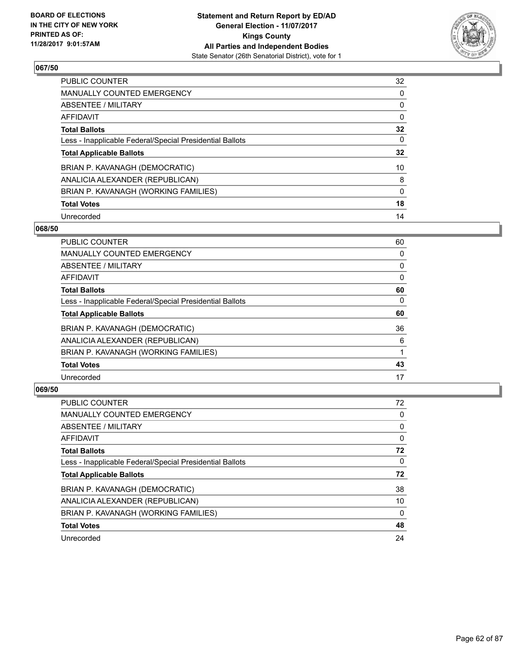

| <b>PUBLIC COUNTER</b>                                    | 32 |
|----------------------------------------------------------|----|
| MANUALLY COUNTED EMERGENCY                               | 0  |
| ABSENTEE / MILITARY                                      | 0  |
| AFFIDAVIT                                                | 0  |
| <b>Total Ballots</b>                                     | 32 |
| Less - Inapplicable Federal/Special Presidential Ballots | 0  |
| <b>Total Applicable Ballots</b>                          | 32 |
| BRIAN P. KAVANAGH (DEMOCRATIC)                           | 10 |
| ANALICIA ALEXANDER (REPUBLICAN)                          | 8  |
| BRIAN P. KAVANAGH (WORKING FAMILIES)                     | 0  |
| <b>Total Votes</b>                                       | 18 |
| Unrecorded                                               | 14 |

#### **068/50**

| <b>PUBLIC COUNTER</b>                                    | 60       |
|----------------------------------------------------------|----------|
| <b>MANUALLY COUNTED EMERGENCY</b>                        | 0        |
| ABSENTEE / MILITARY                                      | 0        |
| <b>AFFIDAVIT</b>                                         | 0        |
| <b>Total Ballots</b>                                     | 60       |
| Less - Inapplicable Federal/Special Presidential Ballots | $\Omega$ |
| <b>Total Applicable Ballots</b>                          | 60       |
| BRIAN P. KAVANAGH (DEMOCRATIC)                           | 36       |
| ANALICIA ALEXANDER (REPUBLICAN)                          | 6        |
| BRIAN P. KAVANAGH (WORKING FAMILIES)                     |          |
| <b>Total Votes</b>                                       | 43       |
| Unrecorded                                               | 17       |

| <b>PUBLIC COUNTER</b>                                    | 72 |
|----------------------------------------------------------|----|
| <b>MANUALLY COUNTED EMERGENCY</b>                        | 0  |
| ABSENTEE / MILITARY                                      | 0  |
| AFFIDAVIT                                                | 0  |
| <b>Total Ballots</b>                                     | 72 |
| Less - Inapplicable Federal/Special Presidential Ballots | 0  |
| <b>Total Applicable Ballots</b>                          | 72 |
| BRIAN P. KAVANAGH (DEMOCRATIC)                           | 38 |
| ANALICIA ALEXANDER (REPUBLICAN)                          | 10 |
| BRIAN P. KAVANAGH (WORKING FAMILIES)                     | 0  |
| <b>Total Votes</b>                                       | 48 |
| Unrecorded                                               | 24 |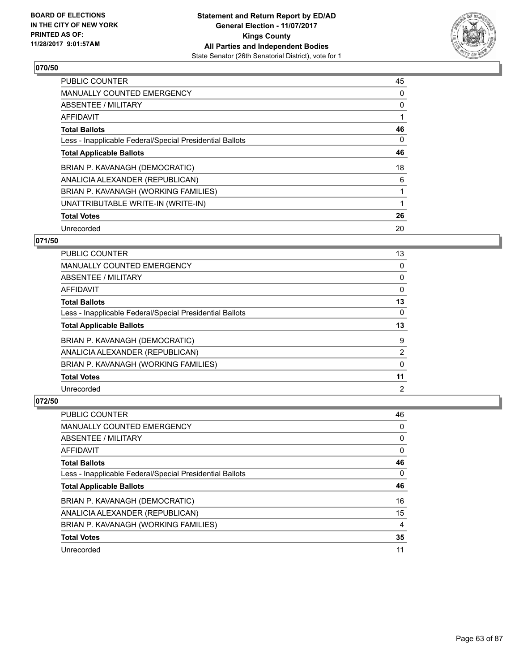

| <b>PUBLIC COUNTER</b>                                    | 45 |
|----------------------------------------------------------|----|
| <b>MANUALLY COUNTED EMERGENCY</b>                        | 0  |
| ABSENTEE / MILITARY                                      | 0  |
| <b>AFFIDAVIT</b>                                         |    |
| <b>Total Ballots</b>                                     | 46 |
| Less - Inapplicable Federal/Special Presidential Ballots | 0  |
| <b>Total Applicable Ballots</b>                          | 46 |
| BRIAN P. KAVANAGH (DEMOCRATIC)                           | 18 |
| ANALICIA ALEXANDER (REPUBLICAN)                          | 6  |
| BRIAN P. KAVANAGH (WORKING FAMILIES)                     | 1  |
| UNATTRIBUTABLE WRITE-IN (WRITE-IN)                       | 1  |
| <b>Total Votes</b>                                       | 26 |
| Unrecorded                                               | 20 |

# **071/50**

| PUBLIC COUNTER                                           | 13 |
|----------------------------------------------------------|----|
| MANUALLY COUNTED EMERGENCY                               | 0  |
| ABSENTEE / MILITARY                                      | 0  |
| AFFIDAVIT                                                | 0  |
| <b>Total Ballots</b>                                     | 13 |
| Less - Inapplicable Federal/Special Presidential Ballots | 0  |
| <b>Total Applicable Ballots</b>                          | 13 |
| BRIAN P. KAVANAGH (DEMOCRATIC)                           | 9  |
| ANALICIA ALEXANDER (REPUBLICAN)                          | 2  |
| BRIAN P. KAVANAGH (WORKING FAMILIES)                     | 0  |
| <b>Total Votes</b>                                       | 11 |
| Unrecorded                                               | 2  |

| PUBLIC COUNTER                                           | 46 |
|----------------------------------------------------------|----|
| <b>MANUALLY COUNTED EMERGENCY</b>                        | 0  |
| ABSENTEE / MILITARY                                      | 0  |
| AFFIDAVIT                                                | 0  |
| <b>Total Ballots</b>                                     | 46 |
| Less - Inapplicable Federal/Special Presidential Ballots | 0  |
| <b>Total Applicable Ballots</b>                          | 46 |
| BRIAN P. KAVANAGH (DEMOCRATIC)                           | 16 |
| ANALICIA ALEXANDER (REPUBLICAN)                          | 15 |
| BRIAN P. KAVANAGH (WORKING FAMILIES)                     | 4  |
| <b>Total Votes</b>                                       | 35 |
| Unrecorded                                               | 11 |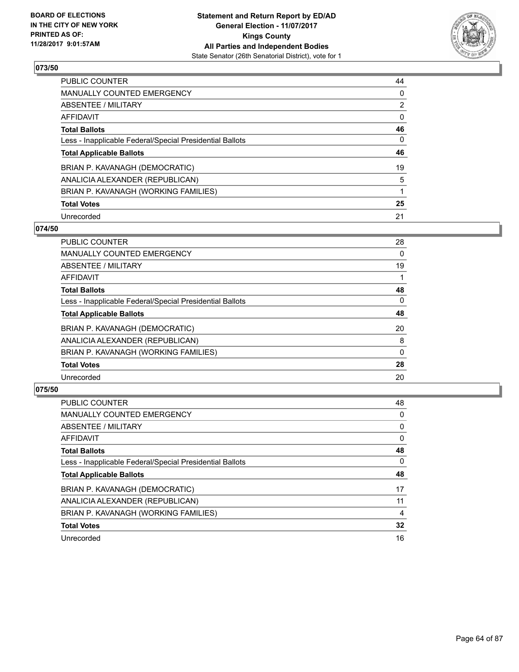

| <b>PUBLIC COUNTER</b>                                    | 44             |
|----------------------------------------------------------|----------------|
| MANUALLY COUNTED EMERGENCY                               | 0              |
| ABSENTEE / MILITARY                                      | $\overline{2}$ |
| AFFIDAVIT                                                | 0              |
| <b>Total Ballots</b>                                     | 46             |
| Less - Inapplicable Federal/Special Presidential Ballots | 0              |
| <b>Total Applicable Ballots</b>                          | 46             |
| BRIAN P. KAVANAGH (DEMOCRATIC)                           | 19             |
| ANALICIA ALEXANDER (REPUBLICAN)                          | 5              |
| BRIAN P. KAVANAGH (WORKING FAMILIES)                     |                |
| <b>Total Votes</b>                                       | 25             |
| Unrecorded                                               | 21             |

#### **074/50**

| <b>PUBLIC COUNTER</b>                                    | 28           |
|----------------------------------------------------------|--------------|
| <b>MANUALLY COUNTED EMERGENCY</b>                        | 0            |
| ABSENTEE / MILITARY                                      | 19           |
| <b>AFFIDAVIT</b>                                         |              |
| <b>Total Ballots</b>                                     | 48           |
| Less - Inapplicable Federal/Special Presidential Ballots | $\Omega$     |
| <b>Total Applicable Ballots</b>                          | 48           |
| BRIAN P. KAVANAGH (DEMOCRATIC)                           | 20           |
| ANALICIA ALEXANDER (REPUBLICAN)                          | 8            |
| BRIAN P. KAVANAGH (WORKING FAMILIES)                     | $\mathbf{0}$ |
| <b>Total Votes</b>                                       | 28           |
| Unrecorded                                               | 20           |

| <b>PUBLIC COUNTER</b>                                    | 48 |
|----------------------------------------------------------|----|
| <b>MANUALLY COUNTED EMERGENCY</b>                        | 0  |
| ABSENTEE / MILITARY                                      | 0  |
| AFFIDAVIT                                                | 0  |
| <b>Total Ballots</b>                                     | 48 |
| Less - Inapplicable Federal/Special Presidential Ballots | 0  |
| <b>Total Applicable Ballots</b>                          | 48 |
| BRIAN P. KAVANAGH (DEMOCRATIC)                           | 17 |
| ANALICIA ALEXANDER (REPUBLICAN)                          | 11 |
| BRIAN P. KAVANAGH (WORKING FAMILIES)                     | 4  |
| <b>Total Votes</b>                                       | 32 |
| Unrecorded                                               | 16 |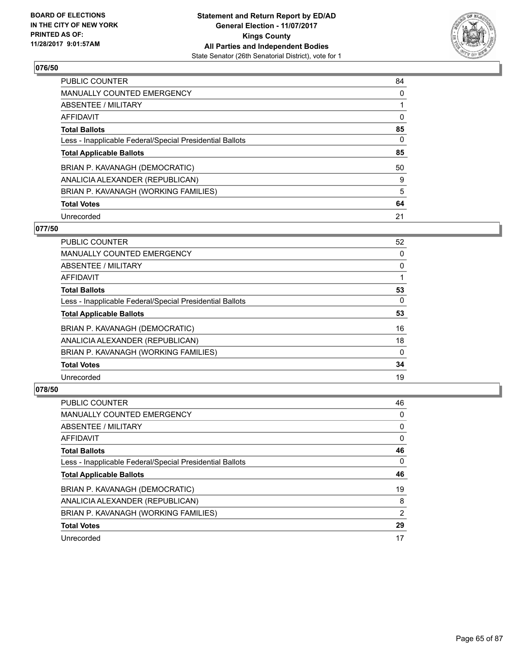

| <b>PUBLIC COUNTER</b>                                    | 84 |
|----------------------------------------------------------|----|
| MANUALLY COUNTED EMERGENCY                               | 0  |
| ABSENTEE / MILITARY                                      |    |
| AFFIDAVIT                                                | 0  |
| <b>Total Ballots</b>                                     | 85 |
| Less - Inapplicable Federal/Special Presidential Ballots | 0  |
| <b>Total Applicable Ballots</b>                          | 85 |
| BRIAN P. KAVANAGH (DEMOCRATIC)                           | 50 |
| ANALICIA ALEXANDER (REPUBLICAN)                          | 9  |
| BRIAN P. KAVANAGH (WORKING FAMILIES)                     | 5  |
| <b>Total Votes</b>                                       | 64 |
| Unrecorded                                               | 21 |

#### **077/50**

| <b>PUBLIC COUNTER</b>                                    | 52       |
|----------------------------------------------------------|----------|
| <b>MANUALLY COUNTED EMERGENCY</b>                        | 0        |
| ABSENTEE / MILITARY                                      | 0        |
| AFFIDAVIT                                                |          |
| <b>Total Ballots</b>                                     | 53       |
| Less - Inapplicable Federal/Special Presidential Ballots | $\Omega$ |
| <b>Total Applicable Ballots</b>                          | 53       |
| BRIAN P. KAVANAGH (DEMOCRATIC)                           | 16       |
| ANALICIA ALEXANDER (REPUBLICAN)                          | 18       |
| BRIAN P. KAVANAGH (WORKING FAMILIES)                     | $\Omega$ |
| <b>Total Votes</b>                                       | 34       |
| Unrecorded                                               | 19       |
|                                                          |          |

| <b>PUBLIC COUNTER</b>                                    | 46 |
|----------------------------------------------------------|----|
| <b>MANUALLY COUNTED EMERGENCY</b>                        | 0  |
| ABSENTEE / MILITARY                                      | 0  |
| AFFIDAVIT                                                | 0  |
| <b>Total Ballots</b>                                     | 46 |
| Less - Inapplicable Federal/Special Presidential Ballots | 0  |
| <b>Total Applicable Ballots</b>                          | 46 |
| BRIAN P. KAVANAGH (DEMOCRATIC)                           | 19 |
|                                                          |    |
| ANALICIA ALEXANDER (REPUBLICAN)                          | 8  |
| BRIAN P. KAVANAGH (WORKING FAMILIES)                     | 2  |
| <b>Total Votes</b>                                       | 29 |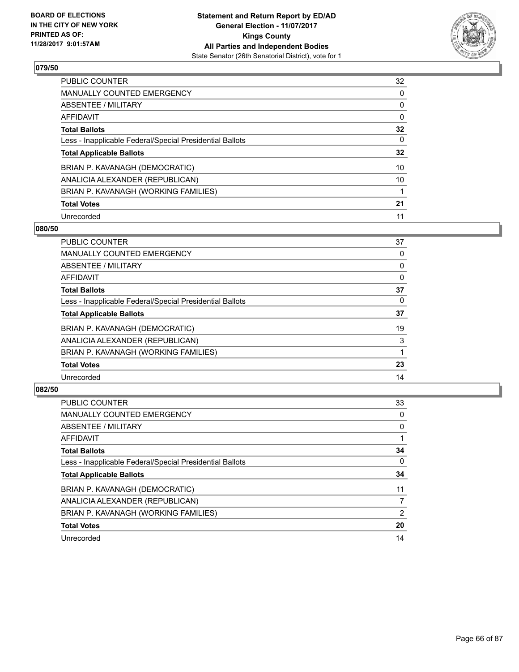

| <b>PUBLIC COUNTER</b>                                    | 32 |
|----------------------------------------------------------|----|
| MANUALLY COUNTED EMERGENCY                               | 0  |
| ABSENTEE / MILITARY                                      | 0  |
| AFFIDAVIT                                                | 0  |
| <b>Total Ballots</b>                                     | 32 |
| Less - Inapplicable Federal/Special Presidential Ballots | 0  |
| <b>Total Applicable Ballots</b>                          | 32 |
| BRIAN P. KAVANAGH (DEMOCRATIC)                           | 10 |
| ANALICIA ALEXANDER (REPUBLICAN)                          | 10 |
| BRIAN P. KAVANAGH (WORKING FAMILIES)                     |    |
| <b>Total Votes</b>                                       | 21 |
| Unrecorded                                               | 11 |

#### **080/50**

| <b>PUBLIC COUNTER</b>                                    | 37 |
|----------------------------------------------------------|----|
| <b>MANUALLY COUNTED EMERGENCY</b>                        | 0  |
| ABSENTEE / MILITARY                                      | 0  |
| AFFIDAVIT                                                | 0  |
| <b>Total Ballots</b>                                     | 37 |
| Less - Inapplicable Federal/Special Presidential Ballots | 0  |
| <b>Total Applicable Ballots</b>                          | 37 |
| BRIAN P. KAVANAGH (DEMOCRATIC)                           | 19 |
| ANALICIA ALEXANDER (REPUBLICAN)                          | 3  |
| BRIAN P. KAVANAGH (WORKING FAMILIES)                     |    |
| <b>Total Votes</b>                                       | 23 |
| Unrecorded                                               | 14 |

| <b>PUBLIC COUNTER</b>                                    | 33 |
|----------------------------------------------------------|----|
| <b>MANUALLY COUNTED EMERGENCY</b>                        | 0  |
| ABSENTEE / MILITARY                                      | 0  |
| AFFIDAVIT                                                |    |
| <b>Total Ballots</b>                                     | 34 |
| Less - Inapplicable Federal/Special Presidential Ballots | 0  |
| <b>Total Applicable Ballots</b>                          | 34 |
| BRIAN P. KAVANAGH (DEMOCRATIC)                           | 11 |
| ANALICIA ALEXANDER (REPUBLICAN)                          | 7  |
| BRIAN P. KAVANAGH (WORKING FAMILIES)                     | 2  |
| <b>Total Votes</b>                                       | 20 |
| Unrecorded                                               | 14 |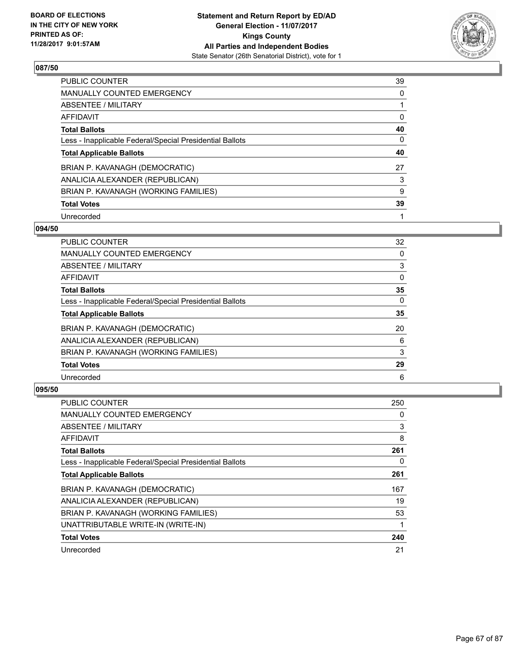

| <b>PUBLIC COUNTER</b>                                    | 39 |
|----------------------------------------------------------|----|
| MANUALLY COUNTED EMERGENCY                               | 0  |
| ABSENTEE / MILITARY                                      |    |
| AFFIDAVIT                                                | 0  |
| <b>Total Ballots</b>                                     | 40 |
| Less - Inapplicable Federal/Special Presidential Ballots | 0  |
| <b>Total Applicable Ballots</b>                          | 40 |
| BRIAN P. KAVANAGH (DEMOCRATIC)                           | 27 |
| ANALICIA ALEXANDER (REPUBLICAN)                          | 3  |
| BRIAN P. KAVANAGH (WORKING FAMILIES)                     | 9  |
| <b>Total Votes</b>                                       | 39 |
| Unrecorded                                               |    |

#### **094/50**

| <b>PUBLIC COUNTER</b>                                    | 32       |
|----------------------------------------------------------|----------|
| <b>MANUALLY COUNTED EMERGENCY</b>                        | 0        |
| ABSENTEE / MILITARY                                      | 3        |
| AFFIDAVIT                                                | $\Omega$ |
| <b>Total Ballots</b>                                     | 35       |
| Less - Inapplicable Federal/Special Presidential Ballots | $\Omega$ |
| <b>Total Applicable Ballots</b>                          | 35       |
| BRIAN P. KAVANAGH (DEMOCRATIC)                           | 20       |
| ANALICIA ALEXANDER (REPUBLICAN)                          | 6        |
| BRIAN P. KAVANAGH (WORKING FAMILIES)                     | 3        |
| <b>Total Votes</b>                                       | 29       |
| Unrecorded                                               | 6        |

| <b>PUBLIC COUNTER</b>                                    | 250 |
|----------------------------------------------------------|-----|
| <b>MANUALLY COUNTED EMERGENCY</b>                        | 0   |
| ABSENTEE / MILITARY                                      | 3   |
| AFFIDAVIT                                                | 8   |
| <b>Total Ballots</b>                                     | 261 |
| Less - Inapplicable Federal/Special Presidential Ballots | 0   |
| <b>Total Applicable Ballots</b>                          | 261 |
| BRIAN P. KAVANAGH (DEMOCRATIC)                           | 167 |
| ANALICIA ALEXANDER (REPUBLICAN)                          | 19  |
| BRIAN P. KAVANAGH (WORKING FAMILIES)                     | 53  |
| UNATTRIBUTABLE WRITE-IN (WRITE-IN)                       |     |
| <b>Total Votes</b>                                       | 240 |
| Unrecorded                                               | 21  |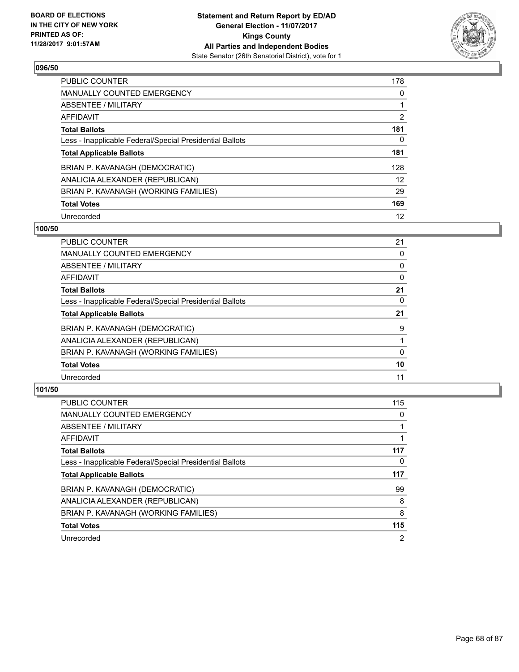

| <b>PUBLIC COUNTER</b>                                    | 178 |
|----------------------------------------------------------|-----|
| MANUALLY COUNTED EMERGENCY                               | 0   |
| ABSENTEE / MILITARY                                      |     |
| AFFIDAVIT                                                | 2   |
| <b>Total Ballots</b>                                     | 181 |
| Less - Inapplicable Federal/Special Presidential Ballots | 0   |
| <b>Total Applicable Ballots</b>                          | 181 |
| BRIAN P. KAVANAGH (DEMOCRATIC)                           | 128 |
| ANALICIA ALEXANDER (REPUBLICAN)                          | 12  |
| BRIAN P. KAVANAGH (WORKING FAMILIES)                     | 29  |
| <b>Total Votes</b>                                       | 169 |
| Unrecorded                                               | 12  |

#### **100/50**

| <b>PUBLIC COUNTER</b>                                    | 21 |
|----------------------------------------------------------|----|
| <b>MANUALLY COUNTED EMERGENCY</b>                        | 0  |
| ABSENTEE / MILITARY                                      | 0  |
| <b>AFFIDAVIT</b>                                         | 0  |
| <b>Total Ballots</b>                                     | 21 |
| Less - Inapplicable Federal/Special Presidential Ballots | 0  |
| <b>Total Applicable Ballots</b>                          | 21 |
| BRIAN P. KAVANAGH (DEMOCRATIC)                           | 9  |
| ANALICIA ALEXANDER (REPUBLICAN)                          |    |
| BRIAN P. KAVANAGH (WORKING FAMILIES)                     | 0  |
| <b>Total Votes</b>                                       | 10 |
| Unrecorded                                               | 11 |

| <b>PUBLIC COUNTER</b>                                    | 115            |
|----------------------------------------------------------|----------------|
| <b>MANUALLY COUNTED EMERGENCY</b>                        | 0              |
| ABSENTEE / MILITARY                                      |                |
| <b>AFFIDAVIT</b>                                         |                |
| <b>Total Ballots</b>                                     | 117            |
| Less - Inapplicable Federal/Special Presidential Ballots | 0              |
| <b>Total Applicable Ballots</b>                          | 117            |
| BRIAN P. KAVANAGH (DEMOCRATIC)                           | 99             |
| ANALICIA ALEXANDER (REPUBLICAN)                          | 8              |
| BRIAN P. KAVANAGH (WORKING FAMILIES)                     | 8              |
| <b>Total Votes</b>                                       | 115            |
| Unrecorded                                               | $\overline{2}$ |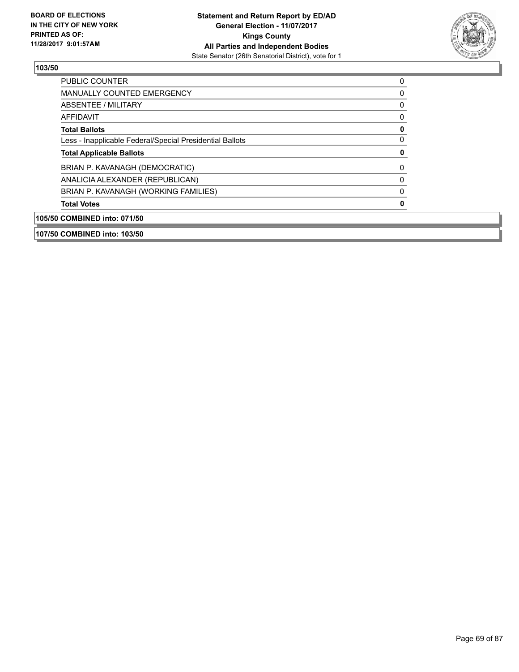

| ABSENTEE / MILITARY                                      | 0 |
|----------------------------------------------------------|---|
| AFFIDAVIT                                                | 0 |
| <b>Total Ballots</b>                                     | 0 |
| Less - Inapplicable Federal/Special Presidential Ballots | 0 |
| <b>Total Applicable Ballots</b>                          | 0 |
| BRIAN P. KAVANAGH (DEMOCRATIC)                           | 0 |
| ANALICIA ALEXANDER (REPUBLICAN)                          | 0 |
|                                                          | 0 |
| BRIAN P. KAVANAGH (WORKING FAMILIES)                     |   |
| <b>Total Votes</b>                                       | 0 |
| 105/50 COMBINED into: 071/50                             |   |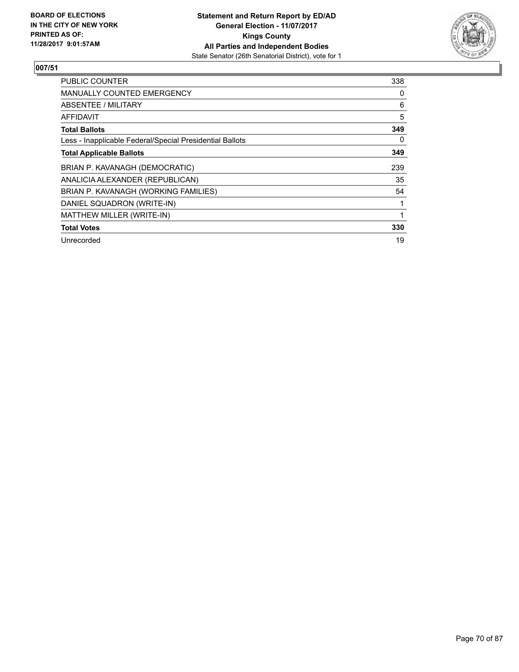

| <b>PUBLIC COUNTER</b>                                    | 338 |
|----------------------------------------------------------|-----|
| <b>MANUALLY COUNTED EMERGENCY</b>                        | 0   |
| ABSENTEE / MILITARY                                      | 6   |
| AFFIDAVIT                                                | 5   |
| <b>Total Ballots</b>                                     | 349 |
| Less - Inapplicable Federal/Special Presidential Ballots | 0   |
| <b>Total Applicable Ballots</b>                          | 349 |
| BRIAN P. KAVANAGH (DEMOCRATIC)                           | 239 |
| ANALICIA ALEXANDER (REPUBLICAN)                          | 35  |
| BRIAN P. KAVANAGH (WORKING FAMILIES)                     | 54  |
| DANIEL SQUADRON (WRITE-IN)                               |     |
| MATTHEW MILLER (WRITE-IN)                                |     |
| <b>Total Votes</b>                                       | 330 |
| Unrecorded                                               | 19  |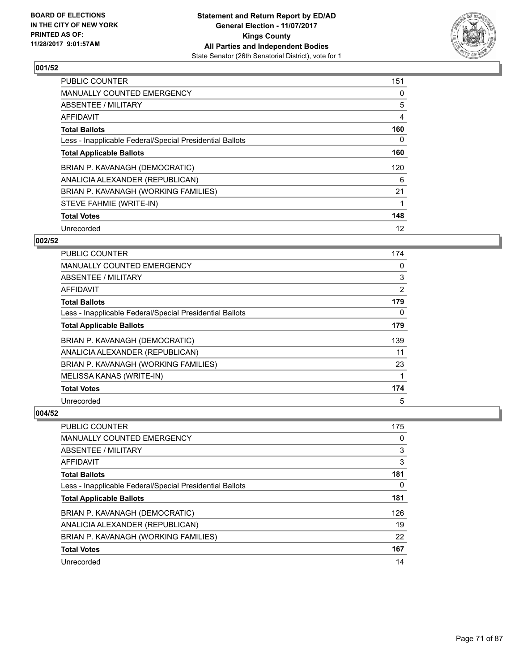

| <b>PUBLIC COUNTER</b>                                    | 151 |
|----------------------------------------------------------|-----|
| <b>MANUALLY COUNTED EMERGENCY</b>                        | 0   |
| ABSENTEE / MILITARY                                      | 5   |
| <b>AFFIDAVIT</b>                                         | 4   |
| <b>Total Ballots</b>                                     | 160 |
| Less - Inapplicable Federal/Special Presidential Ballots | 0   |
| <b>Total Applicable Ballots</b>                          | 160 |
| BRIAN P. KAVANAGH (DEMOCRATIC)                           | 120 |
| ANALICIA ALEXANDER (REPUBLICAN)                          | 6   |
| BRIAN P. KAVANAGH (WORKING FAMILIES)                     | 21  |
| STEVE FAHMIE (WRITE-IN)                                  |     |
| <b>Total Votes</b>                                       | 148 |
| Unrecorded                                               | 12  |

#### **002/52**

| <b>PUBLIC COUNTER</b>                                    | 174 |
|----------------------------------------------------------|-----|
| <b>MANUALLY COUNTED EMERGENCY</b>                        | 0   |
| ABSENTEE / MILITARY                                      | 3   |
| AFFIDAVIT                                                | 2   |
| <b>Total Ballots</b>                                     | 179 |
| Less - Inapplicable Federal/Special Presidential Ballots | 0   |
| <b>Total Applicable Ballots</b>                          | 179 |
| BRIAN P. KAVANAGH (DEMOCRATIC)                           | 139 |
| ANALICIA ALEXANDER (REPUBLICAN)                          | 11  |
| BRIAN P. KAVANAGH (WORKING FAMILIES)                     | 23  |
| MELISSA KANAS (WRITE-IN)                                 |     |
| <b>Total Votes</b>                                       | 174 |
| Unrecorded                                               | 5   |

| <b>PUBLIC COUNTER</b>                                    | 175 |
|----------------------------------------------------------|-----|
| MANUALLY COUNTED EMERGENCY                               | 0   |
| ABSENTEE / MILITARY                                      | 3   |
| AFFIDAVIT                                                | 3   |
| <b>Total Ballots</b>                                     | 181 |
| Less - Inapplicable Federal/Special Presidential Ballots | 0   |
| <b>Total Applicable Ballots</b>                          | 181 |
| BRIAN P. KAVANAGH (DEMOCRATIC)                           | 126 |
| ANALICIA ALEXANDER (REPUBLICAN)                          | 19  |
| BRIAN P. KAVANAGH (WORKING FAMILIES)                     | 22  |
| <b>Total Votes</b>                                       | 167 |
| Unrecorded                                               | 14  |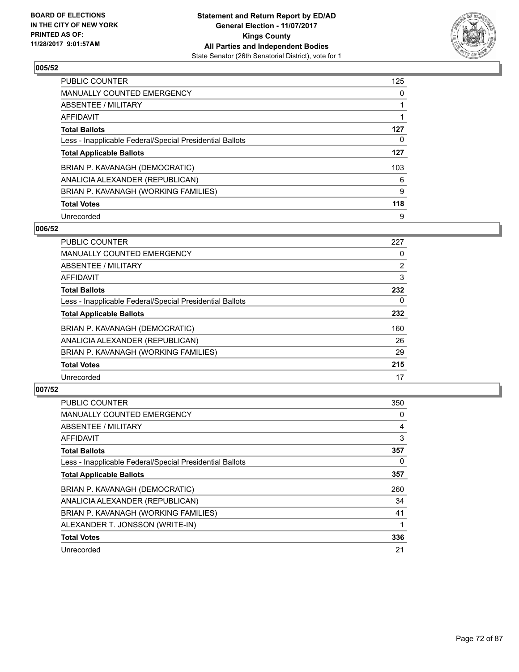

| <b>PUBLIC COUNTER</b>                                    | 125 |
|----------------------------------------------------------|-----|
| <b>MANUALLY COUNTED EMERGENCY</b>                        | 0   |
| ABSENTEE / MILITARY                                      |     |
| AFFIDAVIT                                                |     |
| <b>Total Ballots</b>                                     | 127 |
| Less - Inapplicable Federal/Special Presidential Ballots | 0   |
| <b>Total Applicable Ballots</b>                          | 127 |
| BRIAN P. KAVANAGH (DEMOCRATIC)                           | 103 |
| ANALICIA ALEXANDER (REPUBLICAN)                          | 6   |
| BRIAN P. KAVANAGH (WORKING FAMILIES)                     | 9   |
| <b>Total Votes</b>                                       | 118 |
| Unrecorded                                               | 9   |

#### **006/52**

| <b>PUBLIC COUNTER</b>                                    | 227            |
|----------------------------------------------------------|----------------|
| <b>MANUALLY COUNTED EMERGENCY</b>                        | 0              |
| ABSENTEE / MILITARY                                      | $\overline{2}$ |
| <b>AFFIDAVIT</b>                                         | 3              |
| <b>Total Ballots</b>                                     | 232            |
| Less - Inapplicable Federal/Special Presidential Ballots | 0              |
| <b>Total Applicable Ballots</b>                          | 232            |
| BRIAN P. KAVANAGH (DEMOCRATIC)                           | 160            |
| ANALICIA ALEXANDER (REPUBLICAN)                          | 26             |
| BRIAN P. KAVANAGH (WORKING FAMILIES)                     | 29             |
| <b>Total Votes</b>                                       | 215            |
| Unrecorded                                               | 17             |

| <b>PUBLIC COUNTER</b>                                    | 350 |
|----------------------------------------------------------|-----|
| MANUALLY COUNTED EMERGENCY                               | 0   |
| ABSENTEE / MILITARY                                      | 4   |
| AFFIDAVIT                                                | 3   |
| <b>Total Ballots</b>                                     | 357 |
| Less - Inapplicable Federal/Special Presidential Ballots | 0   |
| <b>Total Applicable Ballots</b>                          | 357 |
| BRIAN P. KAVANAGH (DEMOCRATIC)                           | 260 |
| ANALICIA ALEXANDER (REPUBLICAN)                          | 34  |
| BRIAN P. KAVANAGH (WORKING FAMILIES)                     | 41  |
| ALEXANDER T. JONSSON (WRITE-IN)                          |     |
| <b>Total Votes</b>                                       | 336 |
| Unrecorded                                               | 21  |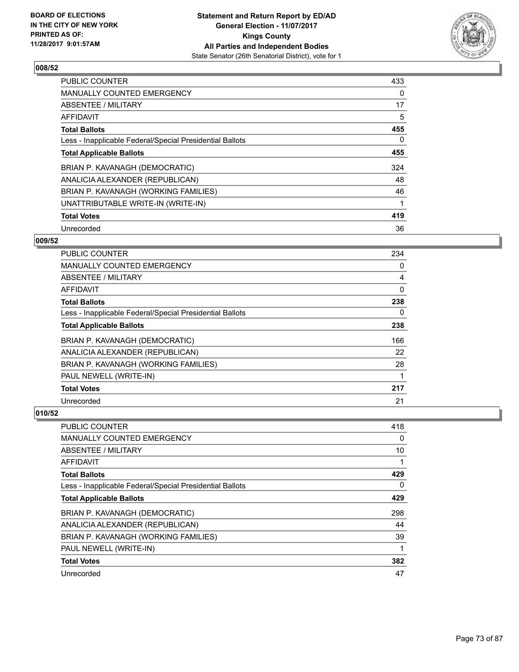

| <b>PUBLIC COUNTER</b>                                    | 433 |
|----------------------------------------------------------|-----|
| <b>MANUALLY COUNTED EMERGENCY</b>                        | 0   |
| ABSENTEE / MILITARY                                      | 17  |
| <b>AFFIDAVIT</b>                                         | 5   |
| <b>Total Ballots</b>                                     | 455 |
| Less - Inapplicable Federal/Special Presidential Ballots | 0   |
| <b>Total Applicable Ballots</b>                          | 455 |
| BRIAN P. KAVANAGH (DEMOCRATIC)                           | 324 |
| ANALICIA ALEXANDER (REPUBLICAN)                          | 48  |
| BRIAN P. KAVANAGH (WORKING FAMILIES)                     | 46  |
| UNATTRIBUTABLE WRITE-IN (WRITE-IN)                       |     |
| <b>Total Votes</b>                                       | 419 |
| Unrecorded                                               | 36  |

## **009/52**

| <b>PUBLIC COUNTER</b>                                    | 234 |
|----------------------------------------------------------|-----|
| <b>MANUALLY COUNTED EMERGENCY</b>                        | 0   |
| ABSENTEE / MILITARY                                      | 4   |
| AFFIDAVIT                                                | 0   |
| <b>Total Ballots</b>                                     | 238 |
| Less - Inapplicable Federal/Special Presidential Ballots | 0   |
| <b>Total Applicable Ballots</b>                          | 238 |
| BRIAN P. KAVANAGH (DEMOCRATIC)                           | 166 |
| ANALICIA ALEXANDER (REPUBLICAN)                          | 22  |
| BRIAN P. KAVANAGH (WORKING FAMILIES)                     | 28  |
| PAUL NEWELL (WRITE-IN)                                   |     |
| <b>Total Votes</b>                                       | 217 |
| Unrecorded                                               | 21  |

| <b>PUBLIC COUNTER</b>                                    | 418 |
|----------------------------------------------------------|-----|
| <b>MANUALLY COUNTED EMERGENCY</b>                        | 0   |
| ABSENTEE / MILITARY                                      | 10  |
| AFFIDAVIT                                                |     |
| <b>Total Ballots</b>                                     | 429 |
| Less - Inapplicable Federal/Special Presidential Ballots | 0   |
| <b>Total Applicable Ballots</b>                          | 429 |
| BRIAN P. KAVANAGH (DEMOCRATIC)                           | 298 |
| ANALICIA ALEXANDER (REPUBLICAN)                          | 44  |
| BRIAN P. KAVANAGH (WORKING FAMILIES)                     | 39  |
| PAUL NEWELL (WRITE-IN)                                   | 1   |
| <b>Total Votes</b>                                       | 382 |
| Unrecorded                                               | 47  |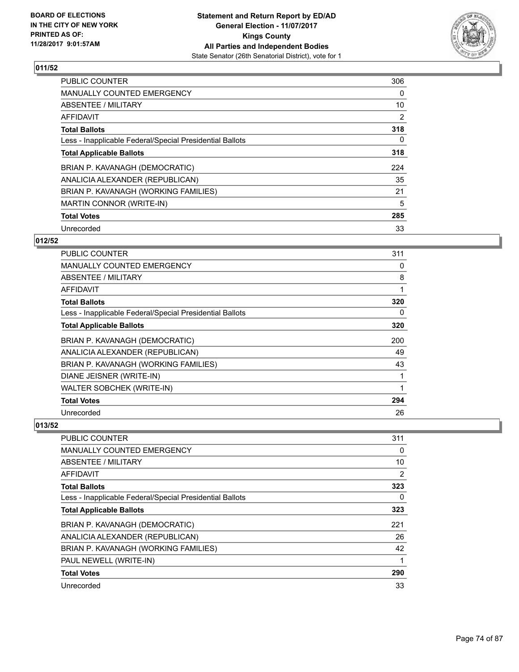

| <b>PUBLIC COUNTER</b>                                    | 306            |
|----------------------------------------------------------|----------------|
| <b>MANUALLY COUNTED EMERGENCY</b>                        | 0              |
| ABSENTEE / MILITARY                                      | 10             |
| AFFIDAVIT                                                | $\overline{2}$ |
| <b>Total Ballots</b>                                     | 318            |
| Less - Inapplicable Federal/Special Presidential Ballots | 0              |
| <b>Total Applicable Ballots</b>                          | 318            |
| BRIAN P. KAVANAGH (DEMOCRATIC)                           | 224            |
| ANALICIA ALEXANDER (REPUBLICAN)                          | 35             |
| BRIAN P. KAVANAGH (WORKING FAMILIES)                     | 21             |
| MARTIN CONNOR (WRITE-IN)                                 | 5              |
| <b>Total Votes</b>                                       | 285            |
| Unrecorded                                               | 33             |

## **012/52**

| <b>PUBLIC COUNTER</b>                                    | 311 |
|----------------------------------------------------------|-----|
| <b>MANUALLY COUNTED EMERGENCY</b>                        | 0   |
| ABSENTEE / MILITARY                                      | 8   |
| <b>AFFIDAVIT</b>                                         | 1   |
| <b>Total Ballots</b>                                     | 320 |
| Less - Inapplicable Federal/Special Presidential Ballots | 0   |
| <b>Total Applicable Ballots</b>                          | 320 |
| BRIAN P. KAVANAGH (DEMOCRATIC)                           | 200 |
| ANALICIA ALEXANDER (REPUBLICAN)                          | 49  |
| BRIAN P. KAVANAGH (WORKING FAMILIES)                     | 43  |
| DIANE JEISNER (WRITE-IN)                                 | 1   |
| <b>WALTER SOBCHEK (WRITE-IN)</b>                         | 1   |
| <b>Total Votes</b>                                       | 294 |
| Unrecorded                                               | 26  |

| <b>PUBLIC COUNTER</b>                                    | 311 |
|----------------------------------------------------------|-----|
| <b>MANUALLY COUNTED EMERGENCY</b>                        | 0   |
| ABSENTEE / MILITARY                                      | 10  |
| AFFIDAVIT                                                | 2   |
| <b>Total Ballots</b>                                     | 323 |
| Less - Inapplicable Federal/Special Presidential Ballots | 0   |
| <b>Total Applicable Ballots</b>                          | 323 |
| BRIAN P. KAVANAGH (DEMOCRATIC)                           | 221 |
| ANALICIA ALEXANDER (REPUBLICAN)                          | 26  |
| BRIAN P. KAVANAGH (WORKING FAMILIES)                     | 42  |
| PAUL NEWELL (WRITE-IN)                                   |     |
| <b>Total Votes</b>                                       | 290 |
| Unrecorded                                               | 33  |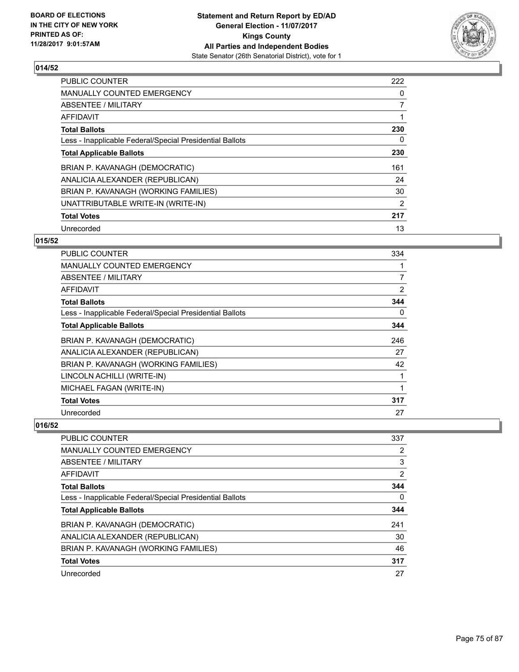

| <b>PUBLIC COUNTER</b>                                    | 222            |
|----------------------------------------------------------|----------------|
| MANUALLY COUNTED EMERGENCY                               | 0              |
| ABSENTEE / MILITARY                                      | $\overline{7}$ |
| <b>AFFIDAVIT</b>                                         |                |
| <b>Total Ballots</b>                                     | 230            |
| Less - Inapplicable Federal/Special Presidential Ballots | 0              |
| <b>Total Applicable Ballots</b>                          | 230            |
| BRIAN P. KAVANAGH (DEMOCRATIC)                           | 161            |
| ANALICIA ALEXANDER (REPUBLICAN)                          | 24             |
| BRIAN P. KAVANAGH (WORKING FAMILIES)                     | 30             |
| UNATTRIBUTABLE WRITE-IN (WRITE-IN)                       | 2              |
| <b>Total Votes</b>                                       | 217            |
| Unrecorded                                               | 13             |

#### **015/52**

| PUBLIC COUNTER                                           | 334 |
|----------------------------------------------------------|-----|
| <b>MANUALLY COUNTED EMERGENCY</b>                        |     |
| ABSENTEE / MILITARY                                      | 7   |
| AFFIDAVIT                                                | 2   |
| <b>Total Ballots</b>                                     | 344 |
| Less - Inapplicable Federal/Special Presidential Ballots | 0   |
| <b>Total Applicable Ballots</b>                          | 344 |
| BRIAN P. KAVANAGH (DEMOCRATIC)                           | 246 |
| ANALICIA ALEXANDER (REPUBLICAN)                          | 27  |
| BRIAN P. KAVANAGH (WORKING FAMILIES)                     | 42  |
| LINCOLN ACHILLI (WRITE-IN)                               |     |
| MICHAEL FAGAN (WRITE-IN)                                 |     |
| <b>Total Votes</b>                                       | 317 |
| Unrecorded                                               | 27  |

| <b>PUBLIC COUNTER</b>                                    | 337                   |
|----------------------------------------------------------|-----------------------|
| <b>MANUALLY COUNTED EMERGENCY</b>                        | $\mathbf{2}^{\prime}$ |
| <b>ABSENTEE / MILITARY</b>                               | 3                     |
| <b>AFFIDAVIT</b>                                         | 2                     |
| <b>Total Ballots</b>                                     | 344                   |
| Less - Inapplicable Federal/Special Presidential Ballots | $\Omega$              |
| <b>Total Applicable Ballots</b>                          | 344                   |
| BRIAN P. KAVANAGH (DEMOCRATIC)                           | 241                   |
| ANALICIA ALEXANDER (REPUBLICAN)                          | 30                    |
| BRIAN P. KAVANAGH (WORKING FAMILIES)                     | 46                    |
| <b>Total Votes</b>                                       | 317                   |
| Unrecorded                                               | 27                    |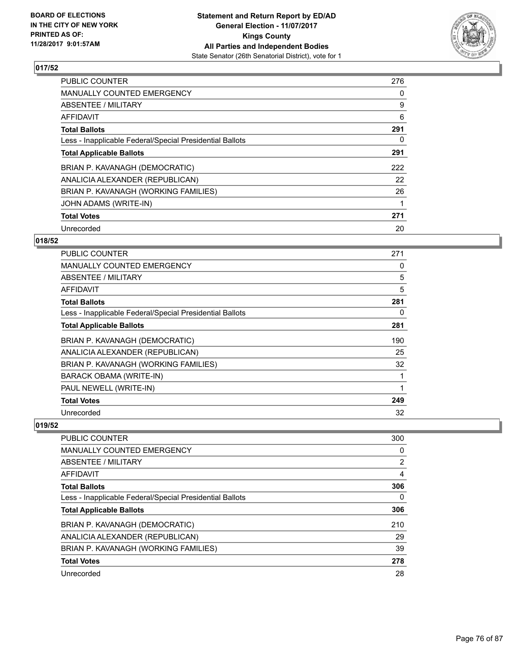

| <b>PUBLIC COUNTER</b>                                    | 276 |
|----------------------------------------------------------|-----|
| <b>MANUALLY COUNTED EMERGENCY</b>                        | 0   |
| ABSENTEE / MILITARY                                      | 9   |
| <b>AFFIDAVIT</b>                                         | 6   |
| <b>Total Ballots</b>                                     | 291 |
| Less - Inapplicable Federal/Special Presidential Ballots | 0   |
| <b>Total Applicable Ballots</b>                          | 291 |
| BRIAN P. KAVANAGH (DEMOCRATIC)                           | 222 |
| ANALICIA ALEXANDER (REPUBLICAN)                          | 22  |
| BRIAN P. KAVANAGH (WORKING FAMILIES)                     | 26  |
| JOHN ADAMS (WRITE-IN)                                    |     |
| <b>Total Votes</b>                                       | 271 |
| Unrecorded                                               | 20  |

## **018/52**

| PUBLIC COUNTER                                           | 271 |
|----------------------------------------------------------|-----|
| <b>MANUALLY COUNTED EMERGENCY</b>                        | 0   |
| ABSENTEE / MILITARY                                      | 5   |
| AFFIDAVIT                                                | 5   |
| <b>Total Ballots</b>                                     | 281 |
| Less - Inapplicable Federal/Special Presidential Ballots | 0   |
| <b>Total Applicable Ballots</b>                          | 281 |
| BRIAN P. KAVANAGH (DEMOCRATIC)                           | 190 |
| ANALICIA ALEXANDER (REPUBLICAN)                          | 25  |
| BRIAN P. KAVANAGH (WORKING FAMILIES)                     | 32  |
| BARACK OBAMA (WRITE-IN)                                  | 1   |
| PAUL NEWELL (WRITE-IN)                                   | 1   |
| <b>Total Votes</b>                                       | 249 |
| Unrecorded                                               | 32  |

| <b>PUBLIC COUNTER</b>                                    | 300      |
|----------------------------------------------------------|----------|
| <b>MANUALLY COUNTED EMERGENCY</b>                        | 0        |
| <b>ABSENTEE / MILITARY</b>                               | 2        |
| <b>AFFIDAVIT</b>                                         | 4        |
| <b>Total Ballots</b>                                     | 306      |
| Less - Inapplicable Federal/Special Presidential Ballots | $\Omega$ |
| <b>Total Applicable Ballots</b>                          | 306      |
| BRIAN P. KAVANAGH (DEMOCRATIC)                           | 210      |
| ANALICIA ALEXANDER (REPUBLICAN)                          | 29       |
| BRIAN P. KAVANAGH (WORKING FAMILIES)                     | 39       |
| <b>Total Votes</b>                                       | 278      |
| Unrecorded                                               | 28       |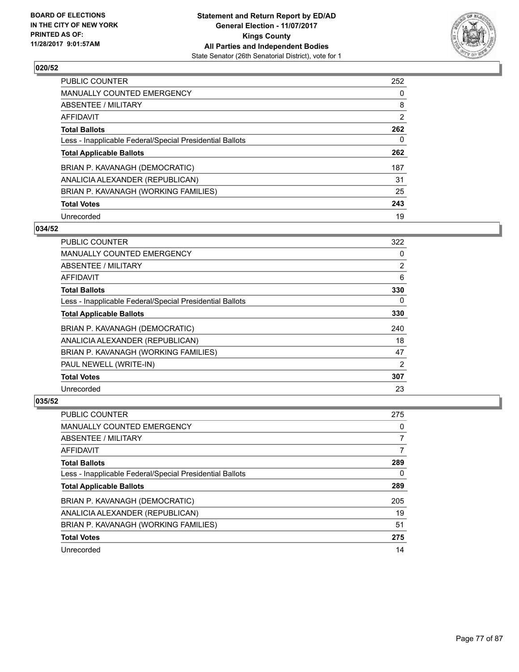

| <b>PUBLIC COUNTER</b>                                    | 252            |
|----------------------------------------------------------|----------------|
| <b>MANUALLY COUNTED EMERGENCY</b>                        | 0              |
| ABSENTEE / MILITARY                                      | 8              |
| AFFIDAVIT                                                | $\overline{2}$ |
| <b>Total Ballots</b>                                     | 262            |
| Less - Inapplicable Federal/Special Presidential Ballots | 0              |
| <b>Total Applicable Ballots</b>                          | 262            |
| BRIAN P. KAVANAGH (DEMOCRATIC)                           | 187            |
| ANALICIA ALEXANDER (REPUBLICAN)                          | 31             |
| BRIAN P. KAVANAGH (WORKING FAMILIES)                     | 25             |
| <b>Total Votes</b>                                       | 243            |
| Unrecorded                                               | 19             |

#### **034/52**

| <b>PUBLIC COUNTER</b>                                    | 322            |
|----------------------------------------------------------|----------------|
| <b>MANUALLY COUNTED EMERGENCY</b>                        | 0              |
| ABSENTEE / MILITARY                                      | $\overline{2}$ |
| <b>AFFIDAVIT</b>                                         | 6              |
| <b>Total Ballots</b>                                     | 330            |
| Less - Inapplicable Federal/Special Presidential Ballots | 0              |
| <b>Total Applicable Ballots</b>                          | 330            |
| BRIAN P. KAVANAGH (DEMOCRATIC)                           | 240            |
| ANALICIA ALEXANDER (REPUBLICAN)                          | 18             |
| BRIAN P. KAVANAGH (WORKING FAMILIES)                     | 47             |
| PAUL NEWELL (WRITE-IN)                                   | 2              |
| <b>Total Votes</b>                                       | 307            |
| Unrecorded                                               | 23             |

| PUBLIC COUNTER                                           | 275 |
|----------------------------------------------------------|-----|
| <b>MANUALLY COUNTED EMERGENCY</b>                        | 0   |
| ABSENTEE / MILITARY                                      | 7   |
| AFFIDAVIT                                                | 7   |
| <b>Total Ballots</b>                                     | 289 |
| Less - Inapplicable Federal/Special Presidential Ballots | 0   |
| <b>Total Applicable Ballots</b>                          | 289 |
| BRIAN P. KAVANAGH (DEMOCRATIC)                           | 205 |
| ANALICIA ALEXANDER (REPUBLICAN)                          | 19  |
| BRIAN P. KAVANAGH (WORKING FAMILIES)                     | 51  |
| <b>Total Votes</b>                                       | 275 |
| Unrecorded                                               | 14  |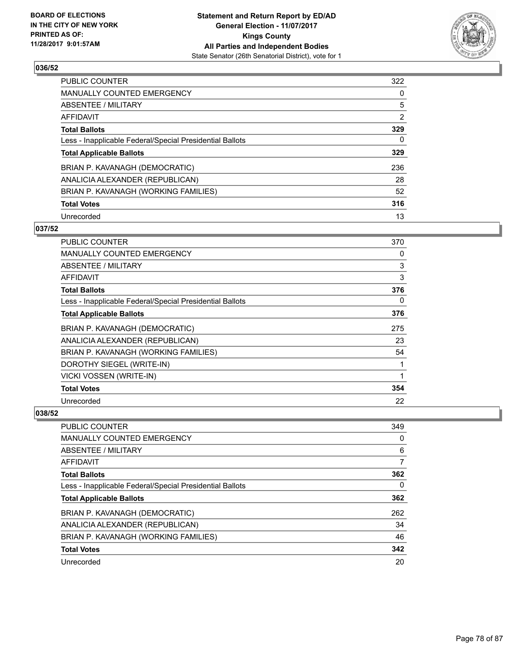

| PUBLIC COUNTER                                           | 322 |
|----------------------------------------------------------|-----|
| <b>MANUALLY COUNTED EMERGENCY</b>                        | 0   |
| ABSENTEE / MILITARY                                      | 5   |
| AFFIDAVIT                                                | 2   |
| <b>Total Ballots</b>                                     | 329 |
| Less - Inapplicable Federal/Special Presidential Ballots | 0   |
| <b>Total Applicable Ballots</b>                          | 329 |
| BRIAN P. KAVANAGH (DEMOCRATIC)                           | 236 |
| ANALICIA ALEXANDER (REPUBLICAN)                          | 28  |
| BRIAN P. KAVANAGH (WORKING FAMILIES)                     | 52  |
| <b>Total Votes</b>                                       | 316 |
| Unrecorded                                               | 13  |

#### **037/52**

| <b>PUBLIC COUNTER</b>                                    | 370 |
|----------------------------------------------------------|-----|
| MANUALLY COUNTED EMERGENCY                               | 0   |
| ABSENTEE / MILITARY                                      | 3   |
| AFFIDAVIT                                                | 3   |
| <b>Total Ballots</b>                                     | 376 |
| Less - Inapplicable Federal/Special Presidential Ballots | 0   |
| <b>Total Applicable Ballots</b>                          | 376 |
| BRIAN P. KAVANAGH (DEMOCRATIC)                           | 275 |
| ANALICIA ALEXANDER (REPUBLICAN)                          | 23  |
| BRIAN P. KAVANAGH (WORKING FAMILIES)                     | 54  |
| DOROTHY SIEGEL (WRITE-IN)                                | 1   |
| VICKI VOSSEN (WRITE-IN)                                  | 1   |
| <b>Total Votes</b>                                       | 354 |
| Unrecorded                                               | 22  |

| <b>PUBLIC COUNTER</b>                                    | 349 |
|----------------------------------------------------------|-----|
| <b>MANUALLY COUNTED EMERGENCY</b>                        | 0   |
| ABSENTEE / MILITARY                                      | 6   |
| AFFIDAVIT                                                | 7   |
| <b>Total Ballots</b>                                     | 362 |
| Less - Inapplicable Federal/Special Presidential Ballots | 0   |
| <b>Total Applicable Ballots</b>                          | 362 |
| BRIAN P. KAVANAGH (DEMOCRATIC)                           | 262 |
| ANALICIA ALEXANDER (REPUBLICAN)                          | 34  |
| BRIAN P. KAVANAGH (WORKING FAMILIES)                     | 46  |
| <b>Total Votes</b>                                       | 342 |
| Unrecorded                                               | 20  |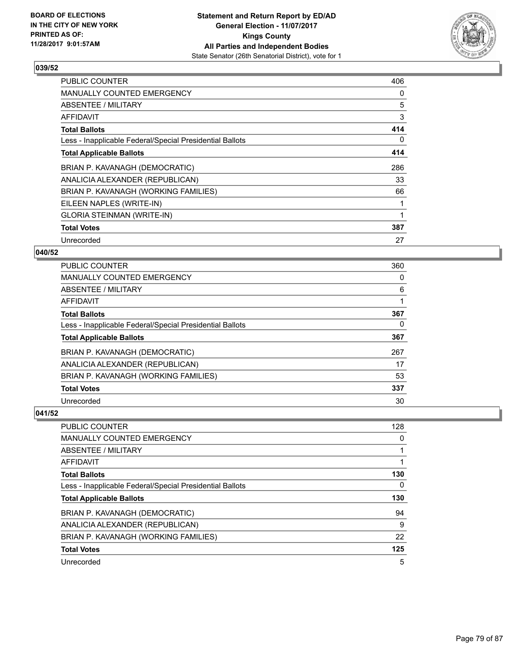

| <b>PUBLIC COUNTER</b>                                    | 406 |
|----------------------------------------------------------|-----|
| MANUALLY COUNTED EMERGENCY                               | 0   |
| ABSENTEE / MILITARY                                      | 5   |
| AFFIDAVIT                                                | 3   |
| <b>Total Ballots</b>                                     | 414 |
| Less - Inapplicable Federal/Special Presidential Ballots | 0   |
| <b>Total Applicable Ballots</b>                          | 414 |
| BRIAN P. KAVANAGH (DEMOCRATIC)                           | 286 |
| ANALICIA ALEXANDER (REPUBLICAN)                          | 33  |
| BRIAN P. KAVANAGH (WORKING FAMILIES)                     | 66  |
| EILEEN NAPLES (WRITE-IN)                                 |     |
| <b>GLORIA STEINMAN (WRITE-IN)</b>                        |     |
| <b>Total Votes</b>                                       | 387 |
| Unrecorded                                               | 27  |

## **040/52**

| <b>PUBLIC COUNTER</b>                                    | 360 |
|----------------------------------------------------------|-----|
| <b>MANUALLY COUNTED EMERGENCY</b>                        | 0   |
| ABSENTEE / MILITARY                                      | 6   |
| AFFIDAVIT                                                |     |
| <b>Total Ballots</b>                                     | 367 |
| Less - Inapplicable Federal/Special Presidential Ballots | 0   |
| <b>Total Applicable Ballots</b>                          | 367 |
| BRIAN P. KAVANAGH (DEMOCRATIC)                           | 267 |
| ANALICIA ALEXANDER (REPUBLICAN)                          | 17  |
| BRIAN P. KAVANAGH (WORKING FAMILIES)                     | 53  |
| <b>Total Votes</b>                                       | 337 |
| Unrecorded                                               | 30  |

| PUBLIC COUNTER                                           | 128 |
|----------------------------------------------------------|-----|
| MANUALLY COUNTED EMERGENCY                               | 0   |
| ABSENTEE / MILITARY                                      |     |
| AFFIDAVIT                                                |     |
| <b>Total Ballots</b>                                     | 130 |
| Less - Inapplicable Federal/Special Presidential Ballots | 0   |
| <b>Total Applicable Ballots</b>                          | 130 |
| BRIAN P. KAVANAGH (DEMOCRATIC)                           | 94  |
| ANALICIA ALEXANDER (REPUBLICAN)                          | 9   |
|                                                          |     |
| BRIAN P. KAVANAGH (WORKING FAMILIES)                     | 22  |
| <b>Total Votes</b>                                       | 125 |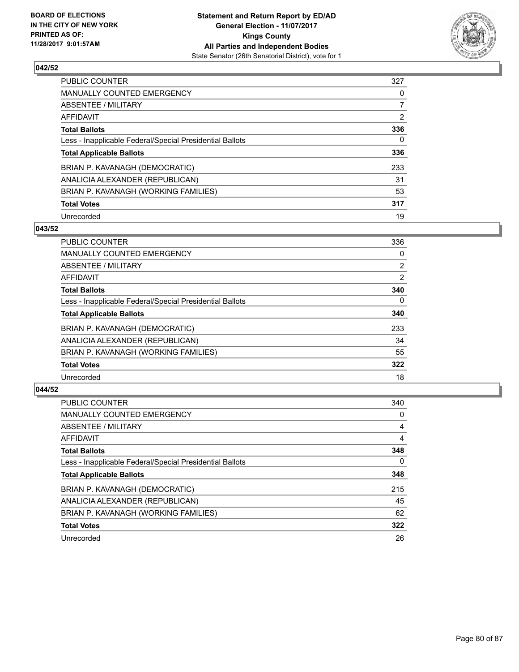

| PUBLIC COUNTER                                           | 327            |
|----------------------------------------------------------|----------------|
| <b>MANUALLY COUNTED EMERGENCY</b>                        | 0              |
| ABSENTEE / MILITARY                                      | $\overline{7}$ |
| AFFIDAVIT                                                | 2              |
| <b>Total Ballots</b>                                     | 336            |
| Less - Inapplicable Federal/Special Presidential Ballots | 0              |
| <b>Total Applicable Ballots</b>                          | 336            |
| BRIAN P. KAVANAGH (DEMOCRATIC)                           | 233            |
| ANALICIA ALEXANDER (REPUBLICAN)                          | 31             |
| BRIAN P. KAVANAGH (WORKING FAMILIES)                     | 53             |
| <b>Total Votes</b>                                       | 317            |
| Unrecorded                                               | 19             |

#### **043/52**

| <b>PUBLIC COUNTER</b>                                    | 336            |
|----------------------------------------------------------|----------------|
| <b>MANUALLY COUNTED EMERGENCY</b>                        | 0              |
| ABSENTEE / MILITARY                                      | $\overline{2}$ |
| <b>AFFIDAVIT</b>                                         | 2              |
| <b>Total Ballots</b>                                     | 340            |
| Less - Inapplicable Federal/Special Presidential Ballots | $\Omega$       |
| <b>Total Applicable Ballots</b>                          | 340            |
| BRIAN P. KAVANAGH (DEMOCRATIC)                           | 233            |
| ANALICIA ALEXANDER (REPUBLICAN)                          | 34             |
| BRIAN P. KAVANAGH (WORKING FAMILIES)                     | 55             |
| <b>Total Votes</b>                                       | 322            |
| Unrecorded                                               | 18             |

| <b>PUBLIC COUNTER</b>                                    | 340 |
|----------------------------------------------------------|-----|
| <b>MANUALLY COUNTED EMERGENCY</b>                        | 0   |
| ABSENTEE / MILITARY                                      | 4   |
| AFFIDAVIT                                                | 4   |
| <b>Total Ballots</b>                                     | 348 |
| Less - Inapplicable Federal/Special Presidential Ballots | 0   |
| <b>Total Applicable Ballots</b>                          | 348 |
| BRIAN P. KAVANAGH (DEMOCRATIC)                           | 215 |
| ANALICIA ALEXANDER (REPUBLICAN)                          | 45  |
| BRIAN P. KAVANAGH (WORKING FAMILIES)                     | 62  |
| <b>Total Votes</b>                                       | 322 |
| Unrecorded                                               | 26  |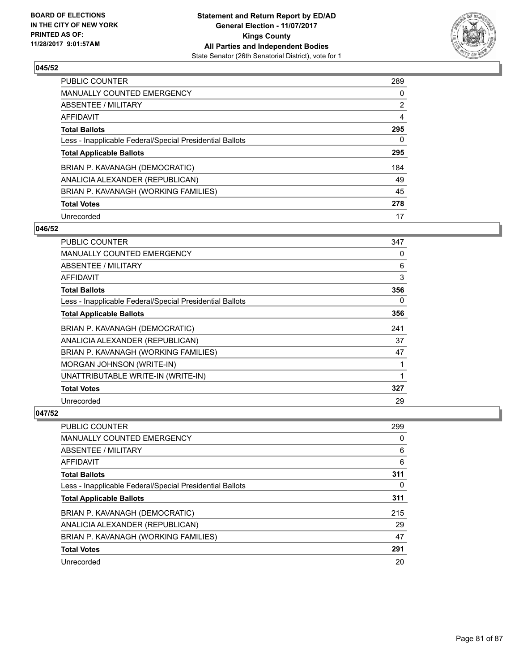

| <b>PUBLIC COUNTER</b>                                    | 289            |
|----------------------------------------------------------|----------------|
| MANUALLY COUNTED EMERGENCY                               | 0              |
| ABSENTEE / MILITARY                                      | $\overline{2}$ |
| AFFIDAVIT                                                | 4              |
| <b>Total Ballots</b>                                     | 295            |
| Less - Inapplicable Federal/Special Presidential Ballots | 0              |
| <b>Total Applicable Ballots</b>                          | 295            |
| BRIAN P. KAVANAGH (DEMOCRATIC)                           | 184            |
| ANALICIA ALEXANDER (REPUBLICAN)                          | 49             |
| BRIAN P. KAVANAGH (WORKING FAMILIES)                     | 45             |
| <b>Total Votes</b>                                       | 278            |
| Unrecorded                                               | 17             |

#### **046/52**

| <b>PUBLIC COUNTER</b>                                    | 347 |
|----------------------------------------------------------|-----|
| <b>MANUALLY COUNTED EMERGENCY</b>                        | 0   |
| ABSENTEE / MILITARY                                      | 6   |
| AFFIDAVIT                                                | 3   |
| <b>Total Ballots</b>                                     | 356 |
| Less - Inapplicable Federal/Special Presidential Ballots | 0   |
| <b>Total Applicable Ballots</b>                          | 356 |
| BRIAN P. KAVANAGH (DEMOCRATIC)                           | 241 |
| ANALICIA ALEXANDER (REPUBLICAN)                          | 37  |
| BRIAN P. KAVANAGH (WORKING FAMILIES)                     | 47  |
| MORGAN JOHNSON (WRITE-IN)                                | 1   |
| UNATTRIBUTABLE WRITE-IN (WRITE-IN)                       | 1   |
| <b>Total Votes</b>                                       | 327 |
| Unrecorded                                               | 29  |

| <b>PUBLIC COUNTER</b>                                    | 299 |
|----------------------------------------------------------|-----|
| <b>MANUALLY COUNTED EMERGENCY</b>                        | 0   |
| ABSENTEE / MILITARY                                      | 6   |
| AFFIDAVIT                                                | 6   |
| <b>Total Ballots</b>                                     | 311 |
| Less - Inapplicable Federal/Special Presidential Ballots | 0   |
| <b>Total Applicable Ballots</b>                          | 311 |
| BRIAN P. KAVANAGH (DEMOCRATIC)                           | 215 |
| ANALICIA ALEXANDER (REPUBLICAN)                          | 29  |
| BRIAN P. KAVANAGH (WORKING FAMILIES)                     | 47  |
| <b>Total Votes</b>                                       | 291 |
| Unrecorded                                               | 20  |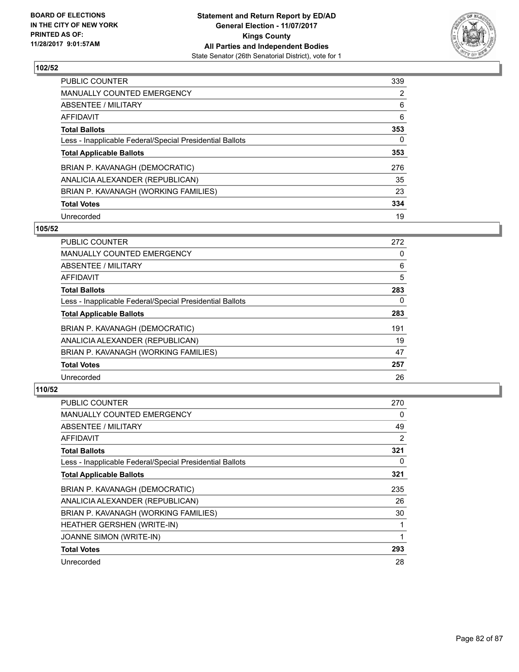

| <b>PUBLIC COUNTER</b>                                    | 339 |
|----------------------------------------------------------|-----|
| <b>MANUALLY COUNTED EMERGENCY</b>                        | 2   |
| ABSENTEE / MILITARY                                      | 6   |
| AFFIDAVIT                                                | 6   |
| <b>Total Ballots</b>                                     | 353 |
| Less - Inapplicable Federal/Special Presidential Ballots | 0   |
| <b>Total Applicable Ballots</b>                          | 353 |
| BRIAN P. KAVANAGH (DEMOCRATIC)                           | 276 |
| ANALICIA ALEXANDER (REPUBLICAN)                          | 35  |
| BRIAN P. KAVANAGH (WORKING FAMILIES)                     | 23  |
| <b>Total Votes</b>                                       | 334 |
| Unrecorded                                               | 19  |

#### **105/52**

| <b>PUBLIC COUNTER</b>                                    | 272 |
|----------------------------------------------------------|-----|
| <b>MANUALLY COUNTED EMERGENCY</b>                        | 0   |
| ABSENTEE / MILITARY                                      | 6   |
| <b>AFFIDAVIT</b>                                         | 5   |
| <b>Total Ballots</b>                                     | 283 |
| Less - Inapplicable Federal/Special Presidential Ballots | 0   |
| <b>Total Applicable Ballots</b>                          | 283 |
| BRIAN P. KAVANAGH (DEMOCRATIC)                           | 191 |
| ANALICIA ALEXANDER (REPUBLICAN)                          | 19  |
| BRIAN P. KAVANAGH (WORKING FAMILIES)                     | 47  |
| <b>Total Votes</b>                                       | 257 |
| Unrecorded                                               | 26  |

| <b>PUBLIC COUNTER</b>                                    | 270 |
|----------------------------------------------------------|-----|
| <b>MANUALLY COUNTED EMERGENCY</b>                        | 0   |
| ABSENTEE / MILITARY                                      | 49  |
| AFFIDAVIT                                                | 2   |
| <b>Total Ballots</b>                                     | 321 |
| Less - Inapplicable Federal/Special Presidential Ballots | 0   |
| <b>Total Applicable Ballots</b>                          | 321 |
| BRIAN P. KAVANAGH (DEMOCRATIC)                           | 235 |
| ANALICIA ALEXANDER (REPUBLICAN)                          | 26  |
| BRIAN P. KAVANAGH (WORKING FAMILIES)                     | 30  |
| <b>HEATHER GERSHEN (WRITE-IN)</b>                        |     |
| <b>JOANNE SIMON (WRITE-IN)</b>                           | 1   |
| <b>Total Votes</b>                                       | 293 |
| Unrecorded                                               | 28  |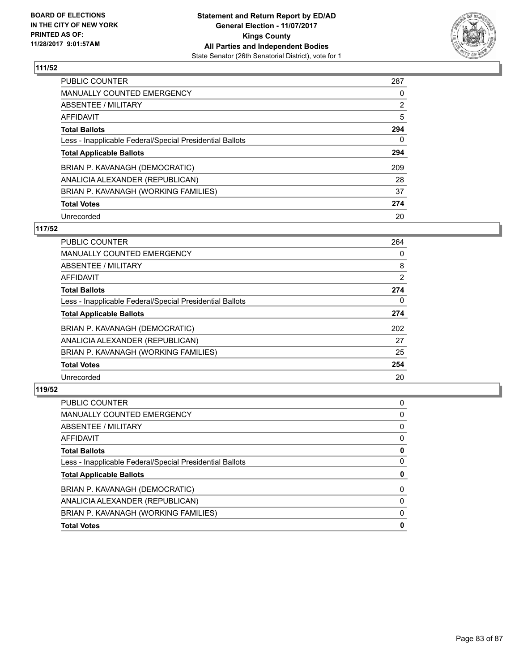

| PUBLIC COUNTER                                           | 287            |
|----------------------------------------------------------|----------------|
| <b>MANUALLY COUNTED EMERGENCY</b>                        | 0              |
| ABSENTEE / MILITARY                                      | $\overline{2}$ |
| AFFIDAVIT                                                | 5              |
| <b>Total Ballots</b>                                     | 294            |
| Less - Inapplicable Federal/Special Presidential Ballots | 0              |
| <b>Total Applicable Ballots</b>                          | 294            |
| BRIAN P. KAVANAGH (DEMOCRATIC)                           | 209            |
| ANALICIA ALEXANDER (REPUBLICAN)                          | 28             |
| BRIAN P. KAVANAGH (WORKING FAMILIES)                     | 37             |
| <b>Total Votes</b>                                       | 274            |
| Unrecorded                                               | 20             |

#### **117/52**

| <b>PUBLIC COUNTER</b>                                    | 264            |
|----------------------------------------------------------|----------------|
| <b>MANUALLY COUNTED EMERGENCY</b>                        | 0              |
| ABSENTEE / MILITARY                                      | 8              |
| <b>AFFIDAVIT</b>                                         | $\overline{2}$ |
| <b>Total Ballots</b>                                     | 274            |
| Less - Inapplicable Federal/Special Presidential Ballots | 0              |
| <b>Total Applicable Ballots</b>                          | 274            |
| BRIAN P. KAVANAGH (DEMOCRATIC)                           | 202            |
| ANALICIA ALEXANDER (REPUBLICAN)                          | 27             |
| BRIAN P. KAVANAGH (WORKING FAMILIES)                     | 25             |
| <b>Total Votes</b>                                       | 254            |
| Unrecorded                                               | 20             |

| <b>PUBLIC COUNTER</b>                                    | 0 |
|----------------------------------------------------------|---|
| <b>MANUALLY COUNTED EMERGENCY</b>                        | 0 |
| ABSENTEE / MILITARY                                      | 0 |
| AFFIDAVIT                                                | 0 |
| <b>Total Ballots</b>                                     | 0 |
| Less - Inapplicable Federal/Special Presidential Ballots | 0 |
| <b>Total Applicable Ballots</b>                          | 0 |
| BRIAN P. KAVANAGH (DEMOCRATIC)                           | 0 |
| ANALICIA ALEXANDER (REPUBLICAN)                          | 0 |
| BRIAN P. KAVANAGH (WORKING FAMILIES)                     | 0 |
| <b>Total Votes</b>                                       | 0 |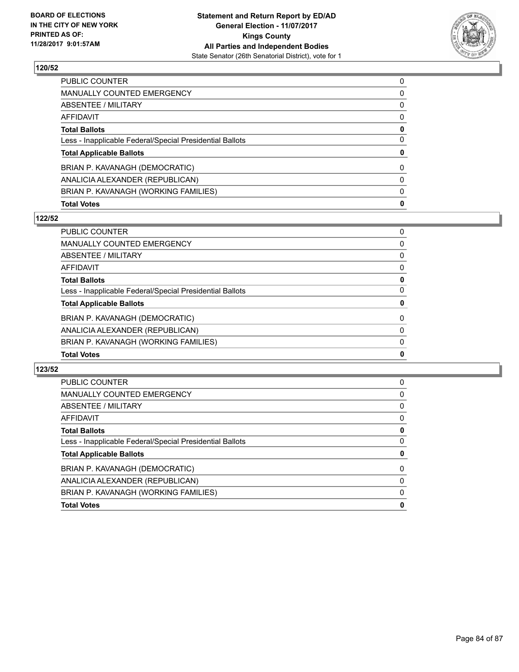

| <b>Total Votes</b>                                       | 0 |
|----------------------------------------------------------|---|
| BRIAN P. KAVANAGH (WORKING FAMILIES)                     | 0 |
| ANALICIA ALEXANDER (REPUBLICAN)                          | 0 |
| BRIAN P. KAVANAGH (DEMOCRATIC)                           | 0 |
| <b>Total Applicable Ballots</b>                          | 0 |
| Less - Inapplicable Federal/Special Presidential Ballots | 0 |
| <b>Total Ballots</b>                                     | 0 |
| <b>AFFIDAVIT</b>                                         | 0 |
| ABSENTEE / MILITARY                                      | 0 |
| <b>MANUALLY COUNTED EMERGENCY</b>                        | 0 |
| <b>PUBLIC COUNTER</b>                                    | 0 |

## **122/52**

| <b>Total Votes</b>                                       | 0            |
|----------------------------------------------------------|--------------|
| BRIAN P. KAVANAGH (WORKING FAMILIES)                     | $\mathbf{0}$ |
| ANALICIA ALEXANDER (REPUBLICAN)                          | $\Omega$     |
| BRIAN P. KAVANAGH (DEMOCRATIC)                           | $\Omega$     |
| <b>Total Applicable Ballots</b>                          | 0            |
| Less - Inapplicable Federal/Special Presidential Ballots | 0            |
| <b>Total Ballots</b>                                     | 0            |
| <b>AFFIDAVIT</b>                                         | 0            |
| <b>ABSENTEE / MILITARY</b>                               | 0            |
| <b>MANUALLY COUNTED EMERGENCY</b>                        | 0            |
| <b>PUBLIC COUNTER</b>                                    | 0            |

| <b>PUBLIC COUNTER</b>                                    | 0 |
|----------------------------------------------------------|---|
| <b>MANUALLY COUNTED EMERGENCY</b>                        | 0 |
| ABSENTEE / MILITARY                                      | 0 |
| AFFIDAVIT                                                | 0 |
| <b>Total Ballots</b>                                     | 0 |
| Less - Inapplicable Federal/Special Presidential Ballots | 0 |
| <b>Total Applicable Ballots</b>                          | 0 |
| BRIAN P. KAVANAGH (DEMOCRATIC)                           | 0 |
| ANALICIA ALEXANDER (REPUBLICAN)                          | 0 |
| BRIAN P. KAVANAGH (WORKING FAMILIES)                     | 0 |
| <b>Total Votes</b>                                       | 0 |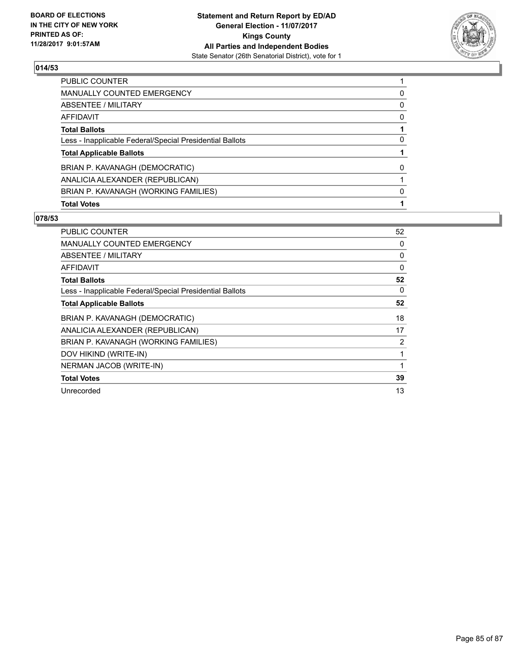

| <b>PUBLIC COUNTER</b>                                    |          |
|----------------------------------------------------------|----------|
| <b>MANUALLY COUNTED EMERGENCY</b>                        | 0        |
| ABSENTEE / MILITARY                                      | 0        |
| AFFIDAVIT                                                | $\Omega$ |
| <b>Total Ballots</b>                                     |          |
| Less - Inapplicable Federal/Special Presidential Ballots | 0        |
| <b>Total Applicable Ballots</b>                          |          |
| BRIAN P. KAVANAGH (DEMOCRATIC)                           | 0        |
| ANALICIA ALEXANDER (REPUBLICAN)                          |          |
| BRIAN P. KAVANAGH (WORKING FAMILIES)                     | 0        |
| <b>Total Votes</b>                                       |          |

| <b>PUBLIC COUNTER</b>                                    | 52 |
|----------------------------------------------------------|----|
| <b>MANUALLY COUNTED EMERGENCY</b>                        | 0  |
| ABSENTEE / MILITARY                                      | 0  |
| AFFIDAVIT                                                | 0  |
| <b>Total Ballots</b>                                     | 52 |
| Less - Inapplicable Federal/Special Presidential Ballots | 0  |
| <b>Total Applicable Ballots</b>                          | 52 |
| BRIAN P. KAVANAGH (DEMOCRATIC)                           | 18 |
| ANALICIA ALEXANDER (REPUBLICAN)                          | 17 |
| BRIAN P. KAVANAGH (WORKING FAMILIES)                     | 2  |
| DOV HIKIND (WRITE-IN)                                    |    |
| NERMAN JACOB (WRITE-IN)                                  | 1  |
| <b>Total Votes</b>                                       | 39 |
| Unrecorded                                               | 13 |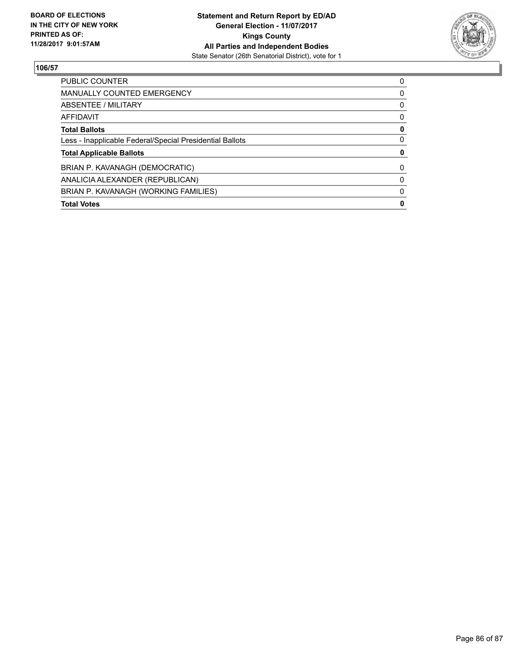

| PUBLIC COUNTER                                           | 0 |
|----------------------------------------------------------|---|
| <b>MANUALLY COUNTED EMERGENCY</b>                        | 0 |
| ABSENTEE / MILITARY                                      | 0 |
| AFFIDAVIT                                                | 0 |
| <b>Total Ballots</b>                                     | 0 |
| Less - Inapplicable Federal/Special Presidential Ballots | 0 |
| <b>Total Applicable Ballots</b>                          | 0 |
| BRIAN P. KAVANAGH (DEMOCRATIC)                           | 0 |
| ANALICIA ALEXANDER (REPUBLICAN)                          | 0 |
| BRIAN P. KAVANAGH (WORKING FAMILIES)                     | 0 |
| <b>Total Votes</b>                                       | 0 |